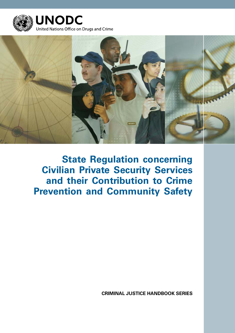



**State Regulation concerning Civilian Private Security Services and their Contribution to Crime Prevention and Community Safety**

**CRIMINAL JUSTICE HANDBOOK SERIES**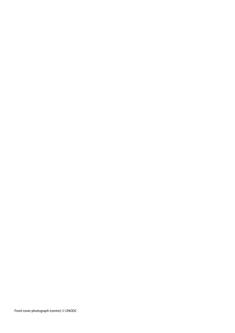Front cover photograph (centre): © UNODC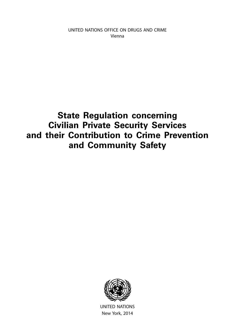UNITED NATIONS OFFICE ON DRUGS AND CRIME Vienna

# **State Regulation concerning Civilian Private Security Services and their Contribution to Crime Prevention and Community Safety**



UNITED NATIONS New York, 2014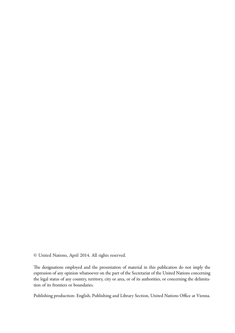© United Nations, April 2014. All rights reserved.

The designations employed and the presentation of material in this publication do not imply the expression of any opinion whatsoever on the part of the Secretariat of the United Nations concerning the legal status of any country, territory, city or area, or of its authorities, or concerning the delimitation of its frontiers or boundaries.

Publishing production: English, Publishing and Library Section, United Nations Office at Vienna.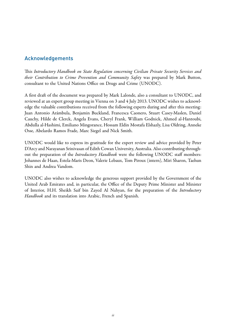# Acknowledgements

This *Introductory Handbook on State Regulation concerning Civilian Private Security Services and their Contribution to Crime Prevention and Community Safety* was prepared by Mark Button, consultant to the United Nations Office on Drugs and Crime (UNODC).

A first draft of the document was prepared by Mark Lalonde, also a consultant to UNODC, and reviewed at an expert group meeting in Vienna on 3 and 4 July 2013. UNODC wishes to acknowledge the valuable contributions received from the following experts during and after this meeting: Juan Antonio Arámbula, Benjamin Buckland, Francesca Caonero, Stuart Casey-Maslen, Daniel Cauchy, Hilde de Clerck, Angela Evans, Cheryl Frank, William Godnick, Ahmed al-Hantoubi, Abdulla al-Hashimi, Emiliano Mingorance, Hossam Eldin Mostafa Elshazly, Lisa Oldring, Anneke Osse, Abelardo Ramos Frade, Marc Siegel and Nick Smith.

UNODC would like to express its gratitude for the expert review and advice provided by Peter D'Arcy and Narayanan Srinivasan of Edith Cowan University, Australia. Also contributing throughout the preparation of the *Introductory Handbook* were the following UNODC staff members: Johannes de Haan, Estela-Maris Deon, Valerie Lebaux, Tom Piroux (intern), Miri Sharon, Taehun Shin and Andrea Vandom.

UNODC also wishes to acknowledge the generous support provided by the Government of the United Arab Emirates and, in particular, the Office of the Deputy Prime Minister and Minister of Interior, H.H. Sheikh Saif bin Zayed Al Nahyan, for the preparation of the *Introductory Handbook* and its translation into Arabic, French and Spanish.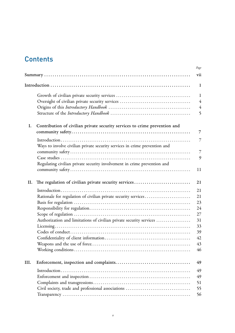# **Contents**

|      |                                                                            | Page           |
|------|----------------------------------------------------------------------------|----------------|
|      |                                                                            | vii            |
|      |                                                                            | 1              |
|      |                                                                            | $\mathbf{1}$   |
|      |                                                                            | $\overline{4}$ |
|      |                                                                            | $\overline{4}$ |
|      |                                                                            | 5              |
| I.   | Contribution of civilian private security services to crime prevention and |                |
|      |                                                                            | 7              |
|      | Ways to involve civilian private security services in crime prevention and | 7              |
|      |                                                                            | $\overline{7}$ |
|      |                                                                            | 9              |
|      | Regulating civilian private security involvement in crime prevention and   |                |
|      |                                                                            | 11             |
| II.  | The regulation of civilian private security services                       | 21             |
|      |                                                                            | 21             |
|      | Rationale for regulation of civilian private security services             | 21             |
|      |                                                                            | 23             |
|      |                                                                            | 24             |
|      |                                                                            |                |
|      |                                                                            | 27             |
|      | Authorization and limitations of civilian private security services        | 31             |
|      |                                                                            | 33             |
|      |                                                                            | 39             |
|      |                                                                            | 42             |
|      |                                                                            | 43             |
|      |                                                                            | 46             |
| III. |                                                                            | 49             |
|      |                                                                            | 49             |
|      |                                                                            | 49             |
|      |                                                                            | 51             |
|      |                                                                            | 55             |
|      |                                                                            | 56             |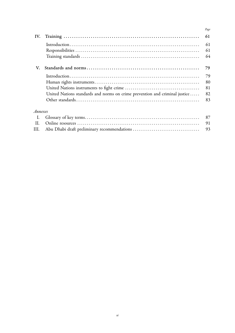| V. |                                                                             |
|----|-----------------------------------------------------------------------------|
|    |                                                                             |
|    |                                                                             |
|    |                                                                             |
|    | United Nations standards and norms on crime prevention and criminal justice |
|    |                                                                             |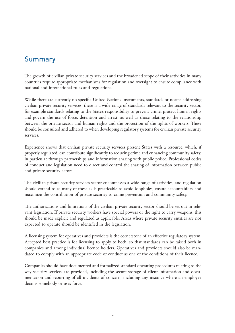# Summary

The growth of civilian private security services and the broadened scope of their activities in many countries require appropriate mechanisms for regulation and oversight to ensure compliance with national and international rules and regulations.

While there are currently no specific United Nations instruments, standards or norms addressing civilian private security services, there is a wide range of standards relevant to the security sector, for example standards relating to the State's responsibility to prevent crime, protect human rights and govern the use of force, detention and arrest, as well as those relating to the relationship between the private sector and human rights and the protection of the rights of workers. These should be consulted and adhered to when developing regulatory systems for civilian private security services.

Experience shows that civilian private security services present States with a resource, which, if properly regulated, can contribute significantly to reducing crime and enhancing community safety, in particular through partnerships and information-sharing with public police. Professional codes of conduct and legislation need to direct and control the sharing of information between public and private security actors.

The civilian private security services sector encompasses a wide range of activities, and regulation should extend to as many of these as is practicable to avoid loopholes, ensure accountability and maximize the contribution of private security to crime prevention and community safety.

The authorizations and limitations of the civilian private security sector should be set out in relevant legislation. If private security workers have special powers or the right to carry weapons, this should be made explicit and regulated as applicable. Areas where private security entities are not expected to operate should be identified in the legislation.

A licensing system for operatives and providers is the cornerstone of an effective regulatory system. Accepted best practice is for licensing to apply to both, so that standards can be raised both in companies and among individual licence holders. Operatives and providers should also be mandated to comply with an appropriate code of conduct as one of the conditions of their licence.

Companies should have documented and formalized standard operating procedures relating to the way security services are provided, including the secure storage of client information and documentation and reporting of all incidents of concern, including any instance where an employee detains somebody or uses force.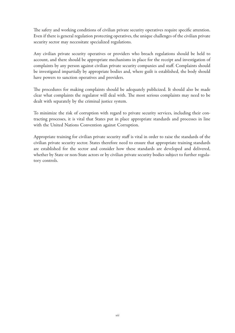The safety and working conditions of civilian private security operatives require specific attention. Even if there is general regulation protecting operatives, the unique challenges of the civilian private security sector may necessitate specialized regulations.

Any civilian private security operatives or providers who breach regulations should be held to account, and there should be appropriate mechanisms in place for the receipt and investigation of complaints by any person against civilian private security companies and staff. Complaints should be investigated impartially by appropriate bodies and, where guilt is established, the body should have powers to sanction operatives and providers.

The procedures for making complaints should be adequately publicized. It should also be made clear what complaints the regulator will deal with. The most serious complaints may need to be dealt with separately by the criminal justice system.

To minimize the risk of corruption with regard to private security services, including their contracting processes, it is vital that States put in place appropriate standards and processes in line with the United Nations Convention against Corruption.

Appropriate training for civilian private security staff is vital in order to raise the standards of the civilian private security sector. States therefore need to ensure that appropriate training standards are established for the sector and consider how these standards are developed and delivered, whether by State or non-State actors or by civilian private security bodies subject to further regulatory controls.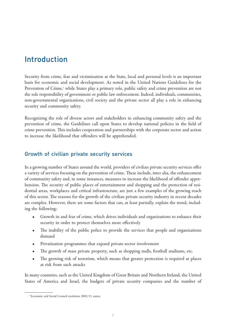# Introduction

Security from crime, fear and victimization at the State, local and personal levels is an important basis for economic and social development. As noted in the United Nations Guidelines for the Prevention of Crime,<sup>1</sup> while States play a primary role, public safety and crime prevention are not the sole responsibility of government or public law enforcement. Indeed, individuals, communities, non-governmental organizations, civil society and the private sector all play a role in enhancing security and community safety.

Recognizing the role of diverse actors and stakeholders in enhancing community safety and the prevention of crime, the Guidelines call upon States to develop national policies in the field of crime prevention. This includes cooperation and partnerships with the corporate sector and action to increase the likelihood that offenders will be apprehended.

# Growth of civilian private security services

In a growing number of States around the world, providers of civilian private security services offer a variety of services focusing on the prevention of crime. These include, inter alia, the enhancement of community safety and, in some instances, measures to increase the likelihood of offender apprehension. The security of public places of entertainment and shopping and the protection of residential areas, workplaces and critical infrastructure, are just a few examples of the growing reach of this sector. The reasons for the growth of the civilian private security industry in recent decades are complex. However, there are some factors that can, at least partially, explain the trend, including the following:

- Growth in and fear of crime, which drives individuals and organizations to enhance their security in order to protect themselves more effectively
- The inability of the public police to provide the services that people and organizations demand
- Privatization programmes that expand private-sector involvement
- The growth of mass private property, such as shopping malls, football stadiums, etc.
- The growing risk of terrorism, which means that greater protection is required at places at risk from such attacks

In many countries, such as the United Kingdom of Great Britain and Northern Ireland, the United States of America and Israel, the budgets of private security companies and the number of

<sup>&</sup>lt;sup>1</sup> Economic and Social Council resolution 2002/13, annex.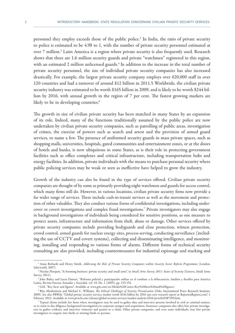personnel they employ exceeds those of the public police.<sup>2</sup> In India, the ratio of private security to police is estimated to be 4.98 to 1, with the number of private security personnel estimated at over 7 million.<sup>3</sup> Latin America is a region where private security is also frequently used. Research shows that there are 1.6 million security guards and private "watchmen" registered in this region, with an estimated 2 million unlicensed guards.<sup>4</sup> In addition to the increase in the total number of private security personnel, the size of individual private security companies has also increased drastically. For example, the largest private security company employs over 620,000 staff in over 120 countries and had a turnover of around \$12 billion in 2011.5 Worldwide, the civilian private security industry was estimated to be worth \$165 billion in 2009, and is likely to be worth \$244 billion by 2016, with annual growth in the region of 7 per cent. The fastest growing markets are likely to be in developing countries.<sup>6</sup>

The growth in size of civilian private security has been matched in many States by an expansion of its role. Indeed, many of the functions traditionally assumed by the public police are now undertaken by civilian private security companies, such as patrolling of public areas, investigation of crimes, the exercise of powers such as search and arrest and the provision of armed guard services, to name a few. The presence of uniformed security guards in mass private spaces, such as shopping malls, universities, hospitals, gated communities and entertainment zones, or at the doors of hotels and banks, is now ubiquitous in some States, as is their role in protecting government facilities such as office complexes and critical infrastructure, including transportation hubs and energy facilities. In addition, private individuals with the means to purchase personal security where public policing services may be weak or seen as ineffective have helped to grow the industry.

Growth of the industry can also be found in the type of services offered. Civilian private security companies are thought of by some as primarily providing night watchmen and guards for access control, which many firms still do. However, in various locations, civilian private security firms now provide a far wider range of services. These include cash-in-transit services as well as the movement and protection of other valuables. They also conduct various forms of confidential investigations, including undercover or covert investigations and complex fraud investigations.7 Private investigators may also engage in background investigations of individuals being considered for sensitive positions, as one measure to protect assets, infrastructure and information from theft, abuse or damage. Other services offered by private security companies include providing bodyguards and close protection, witness protection, crowd control, armed guards for nuclear energy sites, process-serving, conducting surveillance (including the use of CCTV and covert systems), collecting and disseminating intelligence, and monitoring, installing and responding to various forms of alarms. Different forms of technical security consulting are also provided, including countermeasures for industrial espionage and tracking and

<sup>2</sup> Anna Richards and Henry Smith, *Addressing the Role of Private Security Companies within Security Sector Reform Programmes* (London, Saferworld, 2007).

<sup>&</sup>lt;sup>3</sup> Nicolas Florquin, "A booming business: private security and small arms", in *Small Arms Survey 2011: States of Security* (Geneva, Small Arms Survey, 2011).

<sup>4</sup> John Bailey and Lucia Damert, "Reforma policial y participación militar en el combate a la delincuencia. Análisis y desafíos para América Latina, Revista Fuerzas Armadas y Sociedad, vol. 19, No. 1 (2005), pp. 133-152.

<sup>5</sup> G4S, "Key facts and figures". Available at www.g4s.com/en/Media%20Centre/Key%20facts%20and%20figures/.

<sup>6</sup> Rita Abrahamson and Michael C. Williams, *The Ethical Challenges of Security Privatization* (Oslo, International Peace Research Institute, 2009). See also PRWeb, "Global private security services market worth \$244 billion by 2016 says new research report at ReportsnReports.com", 1 February 2013. Available at www.prweb.com/releases/global-security-services/market-analysis-2016/prweb10387295.htm.

<sup>7</sup> Typical clients include law firms where investigators may be used to gather data and interview persons involved in civil or criminal matters, or to assist in due diligence background investigations in corporate mergers and acquisitions. Insurance companies also often hire private investigators to gather evidence and interview witnesses and parties to a claim. Other private companies, and even some individuals, may hire private investigators to enquire into thefts or missing funds or persons.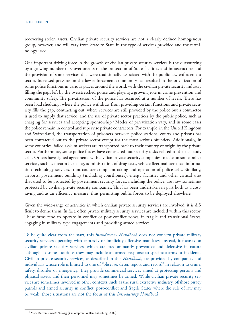recovering stolen assets. Civilian private security services are not a clearly defined homogenous group, however, and will vary from State to State in the type of services provided and the terminology used.

One important driving force in the growth of civilian private security services is the outsourcing by a growing number of Governments of the protection of State facilities and infrastructure and the provision of some services that were traditionally associated with the public law enforcement sector. Increased pressure on the law enforcement community has resulted in the privatization of some police functions in various places around the world, with the civilian private security industry filling the gaps left by the overstretched police and playing a growing role in crime prevention and community safety. The privatization of the police has occurred at a number of levels. There has been load shedding, where the police withdraw from providing certain functions and private security fills the gap; contracting out, where services are still provided by the police but a contractor is used to supply that service; and the use of private sector practices by the public police, such as charging for services and accepting sponsorship.8 Modes of privatization vary, and in some cases the police remain in control and supervise private contractors. For example, in the United Kingdom and Switzerland, the transportation of prisoners between police stations, courts and prisons has been contracted out to the private sector except for the most serious offenders. Additionally, in some countries, failed asylum seekers are transported back to their country of origin by the private sector. Furthermore, some police forces have contracted out security tasks related to their custody cells. Others have signed agreements with civilian private security companies to take on some police services, such as firearm licensing, administration of drug tests, vehicle fleet maintenance, information technology services, front-counter complaint-taking and operation of police cells. Similarly, airports, government buildings (including courthouses), energy facilities and other critical sites that used to be protected by government security forces, including the police, are now sometimes protected by civilian private security companies. This has been undertaken in part both as a costsaving and as an efficiency measure, thus permitting public forces to be deployed elsewhere.

Given the wide-range of activities in which civilian private security services are involved, it is difficult to define them. In fact, often private military security services are included within this sector. These firms tend to operate in conflict or post-conflict zones, in fragile and transitional States, engaging in military type engagements and providing armed services.

To be quite clear from the start, this *Introductory Handbook* does not concern private military security services operating with expressly or implicitly offensive mandates. Instead, it focuses on civilian private security services, which are predominantly preventive and defensive in nature although in some locations they may include an armed response to specific alarms or incidents. Civilian private security services, as described in this *Handbook*, are provided by companies and individuals whose role is limited to one of "observe, deter, report and record" in relation to crime, safety, disorder or emergency. They provide commercial services aimed at protecting persons and physical assets, and their personnel may sometimes be armed. While civilian private security services are sometimes involved in other contexts, such as the rural extractive industry, offshore piracy patrols and armed security in conflict, post-conflict and fragile States where the rule of law may be weak, those situations are not the focus of this *Introductory Handbook*.

<sup>8</sup> Mark Button, *Private Policing* (Cullompton, Willan Publishing, 2002).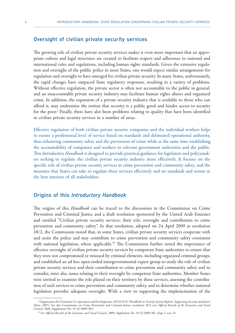### Oversight of civilian private security services

The growing role of civilian private security services makes it even more important that an appropriate culture and legal structures are created to facilitate respect and adherence to national and international rules and regulations, including human rights standards. Given the extensive regulation and oversight of the public police in most States, one would expect similar arrangements for regulation and oversight to have emerged for civilian private security. In many States, unfortunately, the rapid changes have outpaced State regulatory responses, resulting in a variety of problems. Without effective regulation, the private sector is often not accountable to the public in general, and an unaccountable private security industry may facilitate human rights abuses and organized crime. In addition, the expansion of a private security industry that is available to those who can afford it, may undermine the notion that security is a public good and hinder access to security for the poor.<sup>9</sup> Finally, there have also been problems relating to quality that have been identified in civilian private security services in a number of areas.

Effective regulation of both civilian private security companies and the individual workers helps to ensure a professional level of service based on standards and delineated operational authority, thus enhancing community safety and the prevention of crime while at the same time establishing the accountability of companies and workers to relevant government authorities and the public. This *Introductory Handbook* is designed to provide practical guidance for legislators and policymakers seeking to regulate the civilian private security industry more effectively. It focuses on the specific role of civilian private security services in crime prevention and community safety, and the measures that States can take to regulate these services effectively and set standards and norms in the best interests of all stakeholders.

### Origins of this *Introductory Handbook*

The origins of this *Handbook* can be traced to the discussions in the Commission on Crime Prevention and Criminal Justice and a draft resolution sponsored by the United Arab Emirates and entitled "Civilian private security services: their role, oversight and contribution to crime prevention and community safety". In that resolution, adopted on 24 April 2009 as resolution 18/2, the Commission noted that, in some States, civilian private security services cooperate with and assist the police and may contribute to crime prevention and community safety consistent with national legislation, where applicable.<sup>10</sup> The Commission further noted the importance of effective oversight of civilian private security services by competent State authorities to ensure that they were not compromised or misused by criminal elements, including organized criminal groups, and established an ad hoc open-ended intergovernmental expert group to study the role of civilian private security services and their contribution to crime prevention and community safety and to consider, inter alia, issues relating to their oversight by competent State authorities. Member States were invited to examine the role played on their territory by these services, assessing the contribution of such services to crime prevention and community safety, and to determine whether national legislation provides adequate oversight. With a view to supporting the implementation of the

<sup>9</sup> Organisation for Economic Co-operation and Development, *OECD DAC Handbook on Security System Reform: Supporting Security and Justice* (Paris, 2007). See also Commission on Crime Prevention and Criminal Justice resolution 18/2 (see *Official Records of the Economic and Social* 

<sup>&</sup>lt;sup>10</sup> See Official Records of the Economic and Social Council, 2009, Supplement No. 10 (E/2009/30), chap. I, sect. D.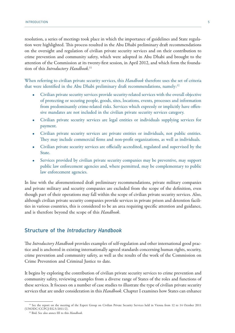resolution, a series of meetings took place in which the importance of guidelines and State regulation were highlighted. This process resulted in the Abu Dhabi preliminary draft recommendations on the oversight and regulation of civilian private security services and on their contribution to crime prevention and community safety, which were adopted in Abu Dhabi and brought to the attention of the Commission at its twenty-first session, in April 2012, and which form the foundation of this *Introductory Handbook*. 11

When referring to civilian private security services, this *Handbook* therefore uses the set of criteria that were identified in the Abu Dhabi preliminary draft recommendations, namely:<sup>12</sup>

- Civilian private security services provide security-related services with the overall objective of protecting or securing people, goods, sites, locations, events, processes and information from predominantly crime-related risks. Services which expressly or implicitly have offensive mandates are not included in the civilian private security services category.
- Civilian private security services are legal entities or individuals supplying services for payment.
- Civilian private security services are private entities or individuals, not public entities. They may include commercial firms and non-profit organizations, as well as individuals.
- Civilian private security services are officially accredited, regulated and supervised by the State.
- Services provided by civilian private security companies may be preventive, may support public law enforcement agencies and, where permitted, may be complementary to public law enforcement agencies.

In line with the aforementioned draft preliminary recommendations, private military companies and private military and security companies are excluded from the scope of the definition, even though part of their operations may fall within the scope of civilian private security services. Also, although civilian private security companies provide services in private prison and detention facilities in various countries, this is considered to be an area requiring specific attention and guidance, and is therefore beyond the scope of this *Handbook*.

## Structure of the *Introductory Handbook*

The *Introductory Handbook* provides examples of self-regulation and other international good practice and is anchored in existing internationally agreed standards concerning human rights, security, crime prevention and community safety, as well as the results of the work of the Commission on Crime Prevention and Criminal Justice to date.

It begins by exploring the contribution of civilian private security services to crime prevention and community safety, reviewing examples from a diverse range of States of the roles and functions of these services. It focuses on a number of case studies to illustrate the type of civilian private security services that are under consideration in this *Handbook*. Chapter I examines how States can enhance

<sup>&</sup>lt;sup>11</sup> See the report on the meeting of the Expert Group on Civilian Private Security Services held in Vienna from 12 to 14 October 2011 (UNODC/CCPCJ/EG.5/2011/2).

<sup>12</sup> Ibid. See also annex III to this *Handbook*.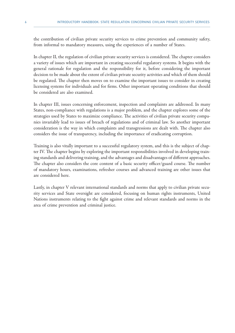the contribution of civilian private security services to crime prevention and community safety, from informal to mandatory measures, using the experiences of a number of States.

In chapter II, the regulation of civilian private security services is considered. The chapter considers a variety of issues which are important in creating successful regulatory systems. It begins with the general rationale for regulation and the responsibility for it, before considering the important decision to be made about the extent of civilian private security activities and which of them should be regulated. The chapter then moves on to examine the important issues to consider in creating licensing systems for individuals and for firms. Other important operating conditions that should be considered are also examined.

In chapter III, issues concerning enforcement, inspection and complaints are addressed. In many States, non-compliance with regulations is a major problem, and the chapter explores some of the strategies used by States to maximize compliance. The activities of civilian private security companies invariably lead to issues of breach of regulations and of criminal law. So another important consideration is the way in which complaints and transgressions are dealt with. The chapter also considers the issue of transparency, including the importance of eradicating corruption.

Training is also vitally important to a successful regulatory system, and this is the subject of chapter IV. The chapter begins by exploring the important responsibilities involved in developing training standards and delivering training, and the advantages and disadvantages of different approaches. The chapter also considers the core content of a basic security officer/guard course. The number of mandatory hours, examinations, refresher courses and advanced training are other issues that are considered here.

Lastly, in chapter V relevant international standards and norms that apply to civilian private security services and State oversight are considered, focusing on human rights instruments, United Nations instruments relating to the fight against crime and relevant standards and norms in the area of crime prevention and criminal justice.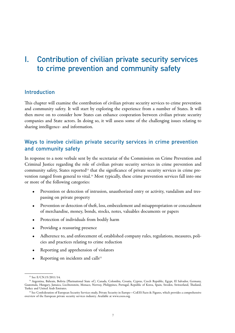# I. Contribution of civilian private security services to crime prevention and community safety

# Introduction

This chapter will examine the contribution of civilian private security services to crime prevention and community safety. It will start by exploring the experience from a number of States. It will then move on to consider how States can enhance cooperation between civilian private security companies and State actors. In doing so, it will assess some of the challenging issues relating to sharing intelligence- and information.

# Ways to involve civilian private security services in crime prevention and community safety

In response to a note verbale sent by the secretariat of the Commission on Crime Prevention and Criminal Justice regarding the role of civilian private security services in crime prevention and community safety, States reported<sup>13</sup> that the significance of private security services in crime prevention ranged from general to vital.<sup>14</sup> Most typically, these crime prevention services fall into one or more of the following categories:

- Prevention or detection of intrusion, unauthorized entry or activity, vandalism and trespassing on private property
- Prevention or detection of theft, loss, embezzlement and misappropriation or concealment of merchandise, money, bonds, stocks, notes, valuables documents or papers
- Protection of individuals from bodily harm
- Providing a reassuring presence
- Adherence to, and enforcement of, established company rules, regulations, measures, policies and practices relating to crime reduction
- Reporting and apprehension of violators
- Reporting on incidents and calls<sup>15</sup>

<sup>13</sup> See E/CN.15/2011/14.

<sup>&</sup>lt;sup>14</sup> Argentina, Bahrain, Bolivia (Plurinational State of), Canada, Colombia, Croatia, Cyprus, Czech Republic, Egypt, El Salvador, Germany, Guatemala, Hungary, Jamaica, Liechtenstein, Monaco, Norway, Philippines, Portugal, Republic of Korea, Spain, Sweden, Switzerland, Thailand, Turkey and United Arab Emirates.

<sup>&</sup>lt;sup>15</sup> See Confederation of European Security Services study, Private Security in Europe—CoESS Facts & Figures, which provides a comprehensive overview of the European private security services industry. Available at www.coess.org.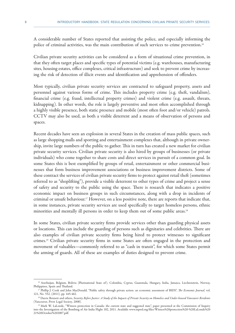A considerable number of States reported that assisting the police, and especially informing the police of criminal activities, was the main contribution of such services to crime prevention.<sup>16</sup>

Civilian private security activities can be considered as a form of situational crime prevention, in that they often target places and specific types of potential victims (e.g. warehouses, manufacturing sites, housing estates, office complexes, critical infrastructure) and seek to prevent crime by increasing the risk of detection of illicit events and identification and apprehension of offenders.

Most typically, civilian private security services are contracted to safeguard property, assets and personnel against various forms of crime. This includes property crime (e.g. theft, vandalism), financial crime (e.g. fraud, intellectual property crimes) and violent crime (e.g. assault, threats, kidnapping). In other words, the role is largely preventive and most often accomplished through a highly visible presence, both static presence and mobile (most often foot and/or vehicle) patrols. CCTV may also be used, as both a visible deterrent and a means of observation of persons and spaces.

Recent decades have seen an explosion in several States in the creation of mass public spaces, such as large shopping malls and sporting and entertainment complexes that, although in private ownership, invite large numbers of the public to gather. This in turn has created a new market for civilian private security services. Civilian private security is also hired by groups of businesses (or private individuals) who come together to share costs and direct services in pursuit of a common goal. In some States this is best exemplified by groups of retail, entertainment or other commercial businesses that form business improvement associations or business improvement districts. Some of these contract the services of civilian private security firms to protect against retail theft (sometimes referred to as "shoplifting"), provide a visible deterrent to other types of crime and project a sense of safety and security to the public using the space. There is research that indicates a positive economic impact on business groups in such circumstances, along with a drop in incidents of criminal or unsafe behaviour.17 However, on a less positive note, there are reports that indicate that, in some instances, private security services are used specifically to target homeless persons, ethnic minorities and mentally ill persons in order to keep them out of some public areas.<sup>18</sup>

In some States, civilian private security firms provide services other than guarding physical assets or locations. This can include the guarding of persons such as dignitaries and celebrities. There are also examples of civilian private security firms being hired to protect witnesses to significant crimes.19 Civilian private security firms in some States are often engaged in the protection and movement of valuables—commonly referred to as "cash in transit", for which some States permit the arming of guards. All of these are examples of duties designed to prevent crime.

<sup>&</sup>lt;sup>16</sup> Azerbaijan, Belgium, Bolivia (Plurinational State of), Colombia, Cyprus, Guatemala, Hungary, India, Jamaica, Liechtenstein, Norway, Philippines, Spain and Thailand.

<sup>17</sup> Phillip J. Cook and John MacDonald, "Public safety through private action: an economic assessment of BIDS", *The Economic Journal*, vol. 121, No. 552, (2011), pp. 445-462.

<sup>&</sup>lt;sup>18</sup> Darcie Bennett and others, *Security Before Justice: A Study of the Impacts of Private Security on Homeless and Under-housed Vancouver Residents* (Vancouver, Pivot Legal Society, 2008).

<sup>&</sup>lt;sup>19</sup> Mark W. LaLonde, "Witness protection in Canada: the current state and suggested state", paper presented at the Commission of Inquiry into the Investigation of the Bombing of Air India Flight 182, 2011. Available www.inprol.org/files/Witness%20protection%20-%20LaLonde%20 21%20October%202007.pdf.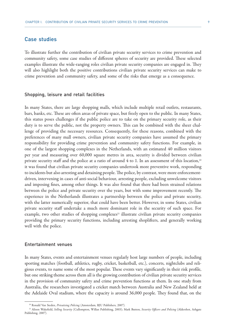## Case studies

To illustrate further the contribution of civilian private security services to crime prevention and community safety, some case studies of different spheres of security are provided. These selected examples illustrate the wide-ranging roles civilian private security companies are engaged in. They will also highlight both the positive contributions civilian private security services can make to crime prevention and community safety, and some of the risks that emerge as a consequence.

### Shopping, leisure and retail facilities

In many States, there are large shopping malls, which include multiple retail outlets, restaurants, bars, banks, etc. These are often areas of private space, but freely open to the public. In many States, this status poses challenges if the public police are to take on the primary security role, as their duty is to serve the public, not the property owners. This can be combined with the sheer challenge of providing the necessary resources. Consequently, for these reasons, combined with the preferences of many mall owners, civilian private security companies have assumed the primary responsibility for providing crime prevention and community safety functions. For example, in one of the largest shopping complexes in the Netherlands, with an estimated 40 million visitors per year and measuring over 60,000 square metres in area, security is divided between civilian private security staff and the police at a ratio of around 4 to 1. In an assessment of this location,<sup>20</sup> it was found that civilian private security companies undertook more preventive work, responding to incidents but also arresting and detaining people. The police, by contrast, were more enforcementdriven, intervening in cases of anti-social behaviour, arresting people, excluding unwelcome visitors and imposing fines, among other things. It was also found that there had been strained relations between the police and private security over the years, but with some improvement recently. The experience in the Netherlands illustrates a partnership between the police and private security, with the latter numerically superior, that could have been better. However, in some States, civilian private security staff undertake a much more dominant role in the security of such space. For example, two other studies of shopping complexes<sup>21</sup> illustrate civilian private security companies providing the primary security functions, including arresting shoplifters, and generally working well with the police.

#### Entertainment venues

In many States, events and entertainment venues regularly host large numbers of people, including sporting matches (football, athletics, rugby, cricket, basketball, etc.), concerts, nightclubs and religious events, to name some of the most popular. These events vary significantly in their risk profile, but one striking theme across them all is the growing contribution of civilian private security services in the provision of community safety and crime prevention functions at them. In one study from Australia, the researchers investigated a cricket match between Australia and New Zealand held at the Adelaide Oval stadium, where the capacity is around 36,000 people. They found that, on the

<sup>&</sup>lt;sup>20</sup> Ronald Van Steden, *Privatising Policing* (Amsterdam, BJU Publishers, 2007).<br><sup>21</sup> Alison Wakefield, *Selling Security* (Cullompton, Willan Publishing, 2003); Mark Button, *Security Officers and Policing* (Aldershot, A Publishing, 2007).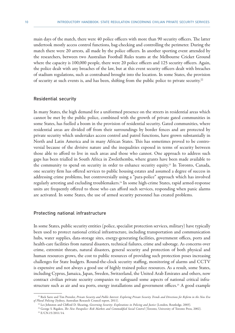main days of the match, there were 40 police officers with more than 90 security officers. The latter undertook mostly access control functions, bag-checking and controlling the perimeter. During the match there were 20 arrests, all made by the police officers. In another sporting event attended by the researchers, between two Australian Football Rules teams at the Melbourne Cricket Ground where the capacity is 100,000 people, there were 20 police officers and 125 security officers. Again, the police dealt with any breaches of the law, but at this event security officers dealt with breaches of stadium regulations, such as contraband brought into the location. In some States, the provision of security at such events is, and has been, shifting from the public police to private security.<sup>22</sup>

#### Residential security

In many States, the high demand for a uniformed presence on the streets in residential areas which cannot be met by the public police, combined with the growth of private gated communities in some States, has fuelled a boom in the provision of residential security. Gated communities, where residential areas are divided off from their surroundings by border fences and are protected by private security which undertakes access control and patrol functions, have grown substantially in North and Latin America and in many African States. This has sometimes proved to be controversial because of the divisive nature and the inequalities exposed in terms of security between those able to afford to live in such areas and those who cannot. One approach to address such gaps has been trialled in South Africa in Zwelethemba, where grants have been made available to the community to spend on security in order to enhance security equity.<sup>23</sup> In Toronto, Canada, one security firm has offered services to public housing estates and assumed a degree of success in addressing crime problems, but controversially using a "para-police" approach which has involved regularly arresting and excluding troublemakers.<sup>24</sup> In some high-crime States, rapid armed-response units are frequently offered to those who can afford such services, responding when panic alarms are activated. In some States, the use of armed security personnel has created problems.

#### Protecting national infrastructure

In some States, public security entities (police, specialist protection services, military) have typically been used to protect national critical infrastructure, including transportation and communication hubs, water supplies, data-storage sites, energy-generating facilities, government offices, ports and health-care facilities from natural disasters, technical failures, crime and sabotage. As concerns over crime, extremist threats, natural disasters, general security and protection of both physical and human resources grows, the cost to public resources of providing such protection poses increasing challenges for State budgets. Round-the-clock security staffing, monitoring of alarms and CCTV is expensive and not always a good use of highly trained police resources. As a result, some States, including Cyprus, Jamaica, Japan, Sweden, Switzerland, the United Arab Emirates and others, now contract civilian private security companies to safeguard some aspects of national critical infrastructure such as air and sea ports, energy installations and government offices.<sup>25</sup> A good example

<sup>&</sup>lt;sup>22</sup> Rick Sarre and Tim Prenzler, *Private Security and Public Interest: Exploring Private Security Trends and Directions for Reform in the New Era of Plural Policing (Sydney, Australian Research Council report, 2011).* 

<sup>&</sup>lt;sup>23</sup> Les Johnston and Clifford D. Shearing, *Governing Security: Explorations in Policing and Justice* (London, Routledge, 2003).

<sup>&</sup>lt;sup>24</sup> George S. Rigakos, *The New Parapolice: Risk Markets and Commodified Social Control* (Toronto, University of Toronto Press, 2002).<br><sup>25</sup> E/CN.15/2011/14.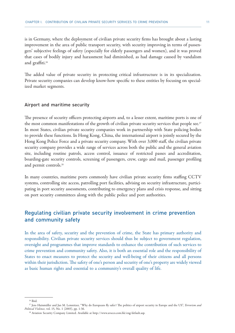is in Germany, where the deployment of civilian private security firms has brought about a lasting improvement in the area of public transport security, with security improving in terms of passengers' subjective feelings of safety (especially for elderly passengers and women), and it was proved that cases of bodily injury and harassment had diminished, as had damage caused by vandalism and graffiti.<sup>26</sup>

The added value of private security in protecting critical infrastructure is in its specialization. Private security companies can develop know-how specific to these entities by focusing on specialized market segments.

#### Airport and maritime security

The presence of security officers protecting airports and, to a lesser extent, maritime ports is one of the most common manifestations of the growth of civilian private security services that people see.<sup>27</sup> In most States, civilian private security companies work in partnership with State policing bodies to provide these functions. In Hong Kong, China, the international airport is jointly secured by the Hong Kong Police Force and a private security company. With over 3,000 staff, the civilian private security company provides a wide range of services across both the public and the general aviation site, including routine patrols, access control, issuance of restricted passes and accreditation, boarding-gate security controls, screening of passengers, crew, cargo and mail, passenger profiling and permit controls.<sup>28</sup>

In many countries, maritime ports commonly have civilian private security firms staffing CCTV systems, controlling site access, patrolling port facilities, advising on security infrastructure, participating in port security assessments, contributing to emergency plans and crisis response, and sitting on port security committees along with the public police and port authorities.

# Regulating civilian private security involvement in crime prevention and community safety

In the area of safety, security and the prevention of crime, the State has primary authority and responsibility. Civilian private security services should thus be subject to government regulation, oversight and programmes that improve standards to enhance the contribution of such services to crime prevention and community safety. Also, it is both an essential role and the responsibility of States to enact measures to protect the security and well-being of their citizens and all persons within their jurisdiction. The safety of one's person and security of one's property are widely viewed as basic human rights and essential to a community's overall quality of life.

 $26$  Ibid.

<sup>27</sup> Jens Hainmüller and Jan M. Lemnitzer, "Why do Europeans fly safer? The politics of airport security in Europe and the US", *Terrorism and* 

<sup>&</sup>lt;sup>28</sup> Aviation Security Company Limited. Available at http://www.avseco.com.hk/eng/default.asp.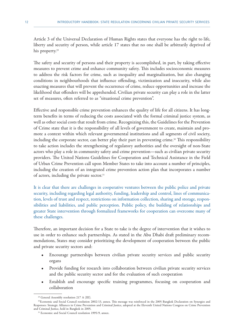Article 3 of the Universal Declaration of Human Rights states that everyone has the right to life, liberty and security of person, while article 17 states that no one shall be arbitrarily deprived of his property.<sup>29</sup>

The safety and security of persons and their property is accomplished, in part, by taking effective measures to prevent crime and enhance community safety. This includes socioeconomic measures to address the risk factors for crime, such as inequality and marginalization, but also changing conditions in neighbourhoods that influence offending, victimization and insecurity, while also enacting measures that will prevent the occurrence of crime, reduce opportunities and increase the likelihood that offenders will be apprehended. Civilian private security can play a role in the latter set of measures, often referred to as "situational crime prevention".

Effective and responsible crime prevention enhances the quality of life for all citizens. It has longterm benefits in terms of reducing the costs associated with the formal criminal justice system, as well as other social costs that result from crime. Recognizing this, the Guidelines for the Prevention of Crime state that it is the responsibility of all levels of government to create, maintain and promote a context within which relevant governmental institutions and all segments of civil society, including the corporate sector, can better play their part in preventing crime.<sup>30</sup> This responsibility to take action includes the strengthening of regulatory authorities and the oversight of non-State actors who play a role in community safety and crime prevention—such as civilian private security providers. The United Nations Guidelines for Cooperation and Technical Assistance in the Field of Urban Crime Prevention call upon Member States to take into account a number of principles, including the creation of an integrated crime prevention action plan that incorporates a number of actors, including the private sector.<sup>31</sup>

It is clear that there are challenges in cooperative ventures between the public police and private security, including regarding legal authority, funding, leadership and control, lines of communication, levels of trust and respect, restrictions on information collection, sharing and storage, responsibilities and liabilities, and public perception. Public policy, the building of relationships and greater State intervention through formalized frameworks for cooperation can overcome many of these challenges.

Therefore, an important decision for a State to take is the degree of intervention that it wishes to use in order to enhance such partnerships. As stated in the Abu Dhabi draft preliminary recommendations, States may consider prioritizing the development of cooperation between the public and private security sectors and:

- Encourage partnerships between civilian private security services and public security organs
- Provide funding for research into collaboration between civilian private security services and the public security sector and for the evaluation of such cooperation
- Establish and encourage specific training programmes, focusing on cooperation and collaboration

<sup>&</sup>lt;sup>29</sup> General Assembly resolution 217 A (III).

<sup>30</sup>Economic and Social Council resolution 2002/13, annex. This message was reinforced in the 2005 Bangkok Declaration on Synergies and Responses: Strategic Alliances in Crime Prevention and Criminal Justice, adopted at the Eleventh United Nations Congress on Crime Prevention and Criminal Justice, held in Bangkok in 2005.

<sup>&</sup>lt;sup>31</sup> Economic and Social Council resolution 1995/9, annex.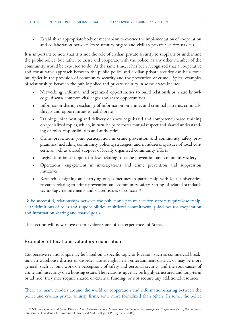• Establish an appropriate body or mechanism to oversee the implementation of cooperation and collaboration between State security organs and civilian private security services

It is important to note that it is not the role of civilian private security to supplant or undermine the public police, but rather to assist and cooperate with the police, as any other member of the community would be expected to do. At the same time, it has been recognized that a cooperative and consultative approach between the public police and civilian private security can be a force multiplier in the provision of community security and the prevention of crime. Typical examples of relationships between the public police and private security in some States include:

- Networking: informal and organized opportunities to build relationships, share knowledge, discuss common challenges and share opportunities
- Information-sharing: exchange of information on crimes and criminal patterns, criminals, threats and opportunities to collaborate
- Training: joint hosting and delivery of knowledge-based and competency-based training on specialized topics, which, in turn, helps to foster mutual respect and shared understanding of roles, responsibilities and authorities
- Crime prevention: joint participation in crime prevention and community safety programmes, including community policing strategies, and in addressing issues of local concern, as well as shared support of locally organized community efforts
- Legislation: joint support for laws relating to crime prevention and community safety
- Operations: engagement in investigations and crime prevention and suppression initiatives
- Research: designing and carrying out, sometimes in partnership with local universities, research relating to crime prevention and community safety, setting of related standards technology requirements and shared issues of concern<sup>32</sup>

To be successful, relationships between the public and private security sectors require leadership, clear definitions of roles and responsibilities, multilevel commitment, guidelines for cooperation and information-sharing and shared goals.

This section will now move on to explore some of the experiences of States.

### Examples of local and voluntary cooperation

Cooperative relationships may be based on a specific topic or location, such as commercial breakins in a warehouse district or disorder late at night in an entertainment district, or may be more general, such as joint work on perceptions of safety and personal security and the root causes of crime and insecurity on a housing estate. The relationships may be highly structured and long-term or ad hoc; they may require shared or external funding, or not require any additional resources.

There are many models around the world of cooperation and information-sharing between the police and civilian private security firms, some more formalized than others. In some, the police

<sup>&</sup>lt;sup>32</sup> Whitney Gunter and Jason Kidwell, *Law Enforcement and Private Security Liaison: Partnerships for Cooperation* (York, Pennsylvania, International Foundation for Protection Officers and York College of Pennsylvania, 2004).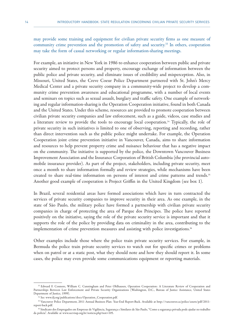may provide some training and equipment for civilian private security firms as one measure of community crime prevention and the promotion of safety and security.<sup>33</sup> In others, cooperation may take the form of casual networking or regular information-sharing meetings.

For example, an initiative in New York in 1986 to enhance cooperation between public and private security aimed to protect persons and property, encourage exchange of information between the public police and private security, and eliminate issues of credibility and misperception. Also, in Missouri, United States, the Creve Coeur Police Department partnered with St. John's Mercy Medical Center and a private security company in a community-wide project to develop a community crime prevention awareness and educational programme, with a number of local events and seminars on topics such as sexual assault, burglary and traffic safety. One example of networking and regular information-sharing is the Operation Cooperation initiative, found in both Canada and the United States. Under this scheme, resources are provided to promote cooperation between civilian private security companies and law enforcement, such as a guide, videos, case studies and a literature review to provide the tools to encourage local cooperation.<sup>34</sup> Typically, the role of private security in such initiatives is limited to one of observing, reporting and recording, rather than direct intervention such as the public police might undertake. For example, the Operation Cooperation joint crime prevention initiative in Vancouver, Canada, aims to share information and resources to help prevent property crime and nuisance behaviour that has a negative impact on the community. The initiative is supported by the police, the Downtown Vancouver Business Improvement Association and the Insurance Corporation of British Columbia (the provincial automobile insurance provider). As part of the project, stakeholders, including private security, meet once a month to share information formally and review strategies, while mechanisms have been created to share real-time information on persons of interest and crime patterns and trends.<sup>35</sup> Another good example of cooperation is Project Griffin in the United Kingdom (see box 1).

In Brazil, several residential areas have formed associations which have in turn contracted the services of private security companies to improve security in their area. As one example, in the state of São Paulo, the military police have formed a partnership with civilian private security companies in charge of protecting the area of Parque dos Principes. The police have reported positively on the initiative, saying the role of the private security service is important and that it supports the role of the police by providing data on criminality in the area, contributing to the implementation of crime prevention measures and assisting with police investigations.<sup>36</sup>

Other examples include those where the police train private security services. For example, in Bermuda the police train private security services to watch out for specific crimes or problems when on patrol or at a static post, what they should note and how they should report it. In some cases, the police may even provide some communications equipment or reporting materials.

<sup>33</sup> Edward F. Connors, William C. Cunningham and Peter Ohlhausen, Operation Cooperation: A Literature Review of Cooperation and Partnerships Between Law Enforcement and Private Security Organizations (Washington, D.C., Bureau of Justice Assistance, United States Department of Justice, 1999).

<sup>&</sup>lt;sup>34</sup> See www.ilj.org/publications/docs/Operation\_Cooperation.pdf.

<sup>35</sup> Vancouver Police Department, 2011 Annual Business Plan: Year-End Report-Back. Available at http://vancouver.ca/police/assets/pdf/2011-

<sup>&</sup>lt;sup>36</sup> Sindicato dos Empregados em Empresas de Vigilância, Segurança e Similares de São Paulo, "Como a segurança privada pode ajudar no trabalho da polícia". Available at www.seevissp.org.br/noticia.php?not=105.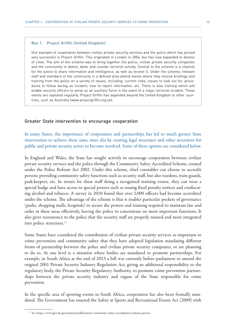#### **Box 1. Project Griffin (United Kingdom)**

One example of cooperation between civilian private security services and the police which has proved very successful is Project Griffin. This originated in London in 2004, but has now expanded to dozens of cities. The aim of the scheme was to bring together the police, civilian private security companies and the community to detect, deter and counter terrorist activity. Central to the scheme is a channel for the police to share information and intelligence, as well as receive it. Under the scheme, relevant staff and members of the community in a defined area attend events where they receive briefings and training from the police on a variety of issues, including: current risks, issues to look out for, procedures to follow during an incident, how to report information, etc. There is also training which will enable security officers to serve as an auxiliary force in the event of a major terrorist incident. These events are repeated regularly. Project Griffin has expanded beyond the United Kingdom to other countries, such as Australia (www.projectgriffin.org.uk).

#### Greater State intervention to encourage cooperation

In many States, the importance of cooperation and partnerships has led to much greater State intervention to achieve these aims, inter alia by creating legal structures and other incentives for public and private security actors to become involved. Some of these options are considered below.

In England and Wales, the State has sought actively to encourage cooperation between civilian private security services and the police through the Community Safety Accredited Scheme, created under the Police Reform Act 2002. Under this scheme, chief constables can choose to accredit persons providing community safety functions such as security staff, but also wardens, train guards, park-keepers, etc. In return for these staff doing a recognized training course, they can wear a special badge and have access to special powers such as issuing fixed penalty notices and confiscating alcohol and tobacco. A survey in 2010 found that over 2,000 officers had become accredited under the scheme. The advantage of the scheme is that it enables particular pockets of governance (parks, shopping malls, hospitals) to secure the powers and training required to maintain law and order in these areas effectively, leaving the police to concentrate on more important functions. It also gives reassurance to the police that the security staff are properly trained and more integrated into police structures.37

Some States have considered the contribution of civilian private security services so important to crime prevention and community safety that they have adopted legislation mandating different forms of partnership between the police and civilian private security companies, or are planning to do so. At one level is a situation where bodies are mandated to promote partnerships. For example, in South Africa at the end of 2013 a bill was currently before parliament to amend the original 2001 Private Security Industry Regulation Act, giving an additional responsibility to the regulatory body, the Private Security Regulatory Authority, to promote crime prevention partnerships between the private security industry and organs of the State responsible for crime prevention.

In the specific area of sporting events in South Africa, cooperation has also been formally mandated. The Government has enacted the Safety at Sports and Recreational Events Act (2009) with

<sup>37</sup> See https://www.gov.uk/government/publications/community-safety-accreditation-scheme-powers.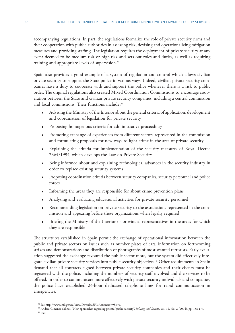accompanying regulations. In part, the regulations formalize the role of private security firms and their cooperation with public authorities in assessing risk, devising and operationalizing mitigation measures and providing staffing. The legislation requires the deployment of private security at any event deemed to be medium-risk or high-risk and sets out roles and duties, as well as requiring training and appropriate levels of supervision.<sup>38</sup>

Spain also provides a good example of a system of regulation and control which allows civilian private security to support the State police in various ways. Indeed, civilian private security companies have a duty to cooperate with and support the police whenever there is a risk to public order. The original regulations also created Mixed Coordination Commissions to encourage cooperation between the State and civilian private security companies, including a central commission and local commissions. Their functions include:39

- Advising the Ministry of the Interior about the general criteria of application, development and coordination of legislation for private security
- Proposing homogenous criteria for administrative proceedings
- Promoting exchange of experiences from different sectors represented in the commission and formulating proposals for new ways to fight crime in the area of private security
- Explaining the criteria for implementation of the security measures of Royal Decree 2364/1994, which develops the Law on Private Security
- Being informed about and explaining technological advances in the security industry in order to replace existing security systems
- Proposing coordination criteria between security companies, security personnel and police forces
- Informing the areas they are responsible for about crime prevention plans
- Analysing and evaluating educational activities for private security personnel
- Recommending legislation on private security to the associations represented in the commission and appearing before these organizations when legally required
- Briefing the Ministry of the Interior or provincial representatives in the areas for which they are responsible

The structures established in Spain permit the exchange of operational information between the public and private sectors on issues such as number plates of cars, information on forthcoming strikes and demonstrations and distribution of photographs of most-wanted terrorists. Early evaluation suggested the exchange favoured the public sector more, but the system did effectively integrate civilian private security services into public security objectives.<sup>40</sup> Other requirements in Spain demand that all contracts signed between private security companies and their clients must be registered with the police, including the numbers of security staff involved and the services to be offered. In order to communicate more effectively with private security individuals and companies, the police have established 24-hour dedicated telephone lines for rapid communication in emergencies.

 $\,^{40}$  Ibid.

<sup>38</sup> See http://www.info.gov.za/view/DownloadFileAction?id=98330.

<sup>&</sup>lt;sup>39</sup> Andrea Giménez-Salinas, "New approaches regarding private/public security", Policing and Society, vol. 14, No. 2 (2004), pp. 158-174.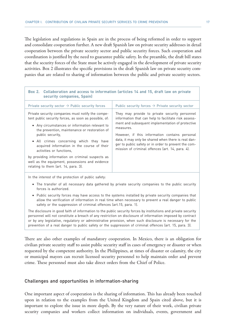The legislation and regulations in Spain are in the process of being reformed in order to support and consolidate cooperation further. A new draft Spanish law on private security addresses in detail cooperation between the private security sector and public security forces. Such cooperation and coordination is justified by the need to guarantee public safety. In the preamble, the draft bill states that the security forces of the State must be actively engaged in the development of private security activities. Box 2 illustrates the specific provisions in the draft Spanish law on private security companies that are related to sharing of information between the public and private security sectors.

| Box 2. Collaboration and access to information (articles 14 and 15, draft law on private<br>security companies, Spain)                                                                                                                                                                                                                                  |                                                                                                                                                                                                                                                                                                                                                                                              |  |  |  |
|---------------------------------------------------------------------------------------------------------------------------------------------------------------------------------------------------------------------------------------------------------------------------------------------------------------------------------------------------------|----------------------------------------------------------------------------------------------------------------------------------------------------------------------------------------------------------------------------------------------------------------------------------------------------------------------------------------------------------------------------------------------|--|--|--|
| Private security sector $\rightarrow$ Public security forces                                                                                                                                                                                                                                                                                            | Public security forces $\rightarrow$ Private security sector                                                                                                                                                                                                                                                                                                                                 |  |  |  |
| Private security companies must notify the compe-<br>tent public security forces, as soon as possible, of:<br>• Any circumstances or information relevant to<br>the prevention, maintenance or restoration of<br>public security.<br>• All crimes concerning which they have<br>acquired information in the course of their<br>activities or functions, | They may provide to private security personnel<br>information that can help to facilitate risk assess-<br>ment and subsequent implementation of protective<br>measures.<br>However, if this information contains personal<br>data, it may only be shared when there is real dan-<br>ger to public safety or in order to prevent the com-<br>mission of criminal offences (art. 14, para. 4). |  |  |  |
| by providing information on criminal suspects as<br>well as the equipment, possessions and evidence<br>relating to them (art. 14, para. 3).                                                                                                                                                                                                             |                                                                                                                                                                                                                                                                                                                                                                                              |  |  |  |

In the interest of the protection of public safety:

- The transfer of all necessary data gathered by private security companies to the public security forces is authorized.
- Public security forces may have access to the systems installed by private security companies that allow the verification of information in real time when necessary to prevent a real danger to public safety or the suppression of criminal offences (art.15, para. 1).

The disclosure in good faith of information to the public security forces by institutions and private security personnel will not constitute a breach of any restriction on disclosure of information imposed by contract or by any legislative, regulatory or administrative provision, when such disclosure is necessary for the prevention of a real danger to public safety or the suppression of criminal offences (art. 15, para. 3).

There are also other examples of mandatory cooperation. In Mexico, there is an obligation for civilian private security staff to assist public security staff in cases of emergency or disaster or when requested by the competent authority. In the Philippines, at times of disaster or calamity, the city or municipal mayors can recruit licensed security personnel to help maintain order and prevent crime. These personnel must also take direct orders from the Chief of Police.

### Challenges and opportunities in information-sharing

One important aspect of cooperation is the sharing of information. This has already been touched upon in relation to the examples from the United Kingdom and Spain cited above, but it is important to explore the issue in more depth. By the very nature of their work, civilian private security companies and workers collect information on individuals, events, government and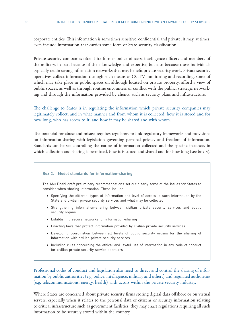corporate entities. This information is sometimes sensitive, confidential and private; it may, at times, even include information that carries some form of State security classification.

Private security companies often hire former police officers, intelligence officers and members of the military, in part because of their knowledge and expertise, but also because these individuals typically retain strong information networks that may benefit private security work. Private security operatives collect information through such means as CCTV monitoring and recording, some of which may take place in public spaces or, although located on private property, afford a view of public spaces, as well as through routine encounters or conflict with the public, strategic networking and through the information provided by clients, such as security plans and infrastructure.

The challenge to States is in regulating the information which private security companies may legitimately collect, and in what manner and from whom it is collected, how it is stored and for how long, who has access to it, and how it may be shared and with whom.

The potential for abuse and misuse requires regulators to link regulatory frameworks and provisions on information-sharing with legislation governing personal privacy and freedom of information. Standards can be set controlling the nature of information collected and the specific instances in which collection and sharing is permitted, how it is stored and shared and for how long (see box 3).

#### **Box 3. Model standards for information-sharing**

The Abu Dhabi draft preliminary recommendations set out clearly some of the issues for States to consider when sharing information. These include:

- Specifying the different types of information and level of access to such information by the State and civilian private security services and what may be collected
- Strengthening information-sharing between civilian private security services and public security organs
- Establishing secure networks for information-sharing
- Enacting laws that protect information provided by civilian private security services
- Developing coordination between all levels of public security organs for the sharing of information with civilian private security services
- Including rules concerning the ethical and lawful use of information in any code of conduct for civilian private security service operators

Professional codes of conduct and legislation also need to direct and control the sharing of information by public authorities (e.g. police, intelligence, military and others) and regulated authorities (e.g. telecommunications, energy, health) with actors within the private security industry.

Where States are concerned about private security firms storing digital data offshore or on virtual servers, especially when it relates to the personal data of citizens or security information relating to critical infrastructure such as government facilities, they may enact regulations requiring all such information to be securely stored within the country.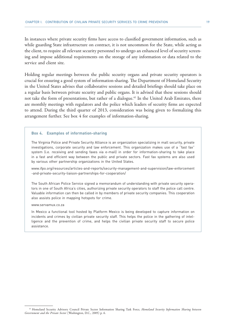In instances where private security firms have access to classified government information, such as while guarding State infrastructure on contract, it is not uncommon for the State, while acting as the client, to require all relevant security personnel to undergo an enhanced level of security screening and impose additional requirements on the storage of any information or data related to the service and client site.

Holding regular meetings between the public security organs and private security operators is crucial for ensuring a good system of information-sharing. The Department of Homeland Security in the United States advises that collaborative sessions and detailed briefings should take place on a regular basis between private security and public organs. It is advised that these sessions should not take the form of presentations, but rather of a dialogue.<sup>41</sup> In the United Arab Emirates, there are monthly meetings with regulators and the police which leaders of security firms are expected to attend. During the third quarter of 2013, consideration was being given to formalizing this arrangement further. See box 4 for examples of information-sharing.

#### **Box 4. Examples of information-sharing**

The Virginia Police and Private Security Alliance is an organization specializing in mall security, private investigations, corporate security and law enforcement. This organization makes use of a "fast fax" system (i.e. receiving and sending faxes via e-mail) in order for information-sharing to take place in a fast and efficient way between the public and private sectors. Fast fax systems are also used by various other partnership organizations in the United States.

www.ifpo.org/resources/articles-and-reports/security-management-and-supervision/law-enforcement -and-private-security-liaison-partnerships-for-cooperation/

The South African Police Service signed a memorandum of understanding with private security operators in one of South Africa's cities, authorizing private security operators to staff the police call centre. Valuable information can then be called in by members of private security companies. This cooperation also assists police in mapping hotspots for crime.

#### www.servamux.co.za

In Mexico a functional tool hosted by Platform Mexico is being developed to capture information on incidents and crimes by civilian private security staff. This helps the police in the gathering of intelligence and the prevention of crime, and helps the civilian private security staff to secure police assistance.

<sup>41</sup> Homeland Security Advisory Council Private Sector Information Sharing Task Force, *Homeland Security Information Sharing between Government and the Private Sector* (Washington, D.C., 2005) p. 6.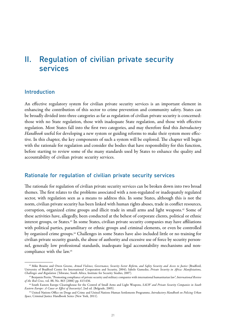# II. Regulation of civilian private security services

## Introduction

An effective regulatory system for civilian private security services is an important element in enhancing the contribution of this sector to crime prevention and community safety. States can be broadly divided into three categories as far as regulation of civilian private security is concerned: those with no State regulation, those with inadequate State regulation, and those with effective regulation. Most States fall into the first two categories, and may therefore find this *Introductory Handbook* useful for developing a new system or guiding reforms to make their system more effective. In this chapter, the key components of such a system will be explored. The chapter will begin with the rationale for regulation and consider the bodies that have responsibility for this function, before starting to review some of the many standards used by States to enhance the quality and accountability of civilian private security services.

# Rationale for regulation of civilian private security services

The rationale for regulation of civilian private security services can be broken down into two broad themes. The first relates to the problems associated with a non-regulated or inadequately regulated sector, with regulation seen as a means to address this. In some States, although this is not the norm, civilian private security has been linked with human rights abuses, trade in conflict resources, corruption, organized crime groups and illicit trade in small arms and light weapons.<sup>42</sup> Some of these activities have, allegedly, been conducted at the behest of corporate clients, political or ethnic interest groups, or States.<sup>43</sup> In some States, civilian private security companies may have affiliations with political parties, paramilitary or ethnic groups and criminal elements, or even be controlled by organized crime groups.44 Challenges in some States have also included little or no training for civilian private security guards, the abuse of authority and excessive use of force by security personnel, generally low professional standards, inadequate legal accountability mechanisms and noncompliance with the law.<sup>45</sup>

<sup>42</sup> Mike Bourne and Owen Greene, *Armed Violence, Governance, Security Sector Reform, and Safety Security and Access to Justice* (Bradford, University of Bradford Centre for International Cooperation and Security, 2004); Sabelo Gumedze, *Private Security in Africa: Manifestations, Challenges and Regulation* (Tshwane, South Africa, Institute for Security Studies, 2007).

<sup>43</sup> Benjamin Perrin, "Promoting compliance of private security and military companies with international humanitarian law", *International Review of the Red Cross*, vol. 88, No. 863 (2006) pp. 613-636.

<sup>44</sup> South Eastern Europe Clearinghouse for the Control of Small Arms and Light Weapons, *SALW and Private Security Companies in South Eastern Europe: A Cause or Effect of Insecurity?*, 2nd ed. (Belgrade, 2005).

<sup>45</sup> United Nations Office on Drugs and Crime and United Nations Human Settlements Programme, *Introductory Handbook on Policing Urban Space*, Criminal Justice Handbook Series (New York, 2011).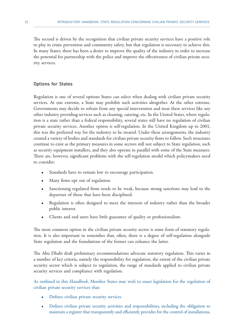The second is driven by the recognition that civilian private security services have a positive role to play in crime prevention and community safety, but that regulation is necessary to achieve this. In many States, there has been a desire to improve the quality of the industry in order to increase the potential for partnership with the police and improve the effectiveness of civilian private security services.

#### Options for States

Regulation is one of several options States can select when dealing with civilian private security services. At one extreme, a State may prohibit such activities altogether. At the other extreme, Governments may decide to refrain from any special intervention and treat these services like any other industry providing services such as cleaning, catering, etc. In the United States, where regulation is a state rather than a federal responsibility, several states still have no regulation of civilian private security services. Another option is self-regulation. In the United Kingdom up to 2001, this was the preferred way for the industry to be treated. Under these arrangements, the industry created a variety of bodies and standards for civilian private security firms to follow. Such structures continue to exist as the primary measures in some sectors still not subject to State regulation, such as security equipment installers, and they also operate in parallel with some of the State measures. There are, however, significant problems with the self-regulation model which policymakers need to consider:

- Standards have to remain low to encourage participation.
- Many firms opt out of regulation.
- Sanctioning regulated firms tends to be weak, because strong sanctions may lead to the departure of those that have been disciplined.
- Regulation is often designed to meet the interests of industry rather than the broader public interest.
- Clients and end users have little guarantee of quality or professionalism.

The most common option in the civilian private security sector is some form of statutory regulation. It is also important to remember that, often, there is a degree of self-regulation alongside State regulation and the foundations of the former can enhance the latter.

The Abu Dhabi draft preliminary recommendations advocate statutory regulation. This varies in a number of key criteria, namely the responsibility for regulation, the extent of the civilian private security sector which is subject to regulation, the range of standards applied to civilian private security services and compliance with regulation.

As outlined in this *Handbook*, Member States may wish to enact legislation for the regulation of civilian private security services that:

- Defines civilian private security services
- Defines civilian private security activities and responsibilities, including the obligation to maintain a register that transparently and efficiently provides for the control of installations,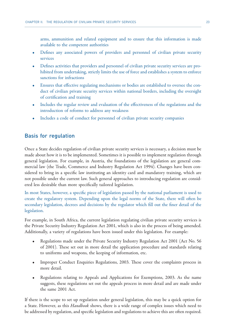arms, ammunition and related equipment and to ensure that this information is made available to the competent authorities

- Defines any associated powers of providers and personnel of civilian private security services
- Defines activities that providers and personnel of civilian private security services are prohibited from undertaking, strictly limits the use of force and establishes a system to enforce sanctions for infractions
- Ensures that effective regulating mechanisms or bodies are established to oversee the conduct of civilian private security services within national borders, including the oversight of certification and training
- Includes the regular review and evaluation of the effectiveness of the regulations and the introduction of reforms to address any weakness
- Includes a code of conduct for personnel of civilian private security companies

# Basis for regulation

Once a State decides regulation of civilian private security services is necessary, a decision must be made about how it is to be implemented. Sometimes it is possible to implement regulation through general legislation. For example, in Austria, the foundations of the legislation are general commercial law (the Trade, Commerce and Industry Regulation Act 1994). Changes have been considered to bring in a specific law instituting an identity card and mandatory training, which are not possible under the current law. Such general approaches to introducing regulation are considered less desirable than more specifically tailored legislation.

In most States, however, a specific piece of legislation passed by the national parliament is used to create the regulatory system. Depending upon the legal norms of the State, there will often be secondary legislation, decrees and decisions by the regulator which fill out the finer detail of the legislation.

For example, in South Africa, the current legislation regulating civilian private security services is the Private Security Industry Regulation Act 2001, which is also in the process of being amended. Additionally, a variety of regulations have been issued under this legislation. For example:

- Regulations made under the Private Security Industry Regulation Act 2001 (Act No. 56 of 2001). These set out in more detail the application procedure and standards relating to uniforms and weapons, the keeping of information, etc.
- Improper Conduct Enquiries Regulations, 2003. These cover the complaints process in more detail.
- Regulations relating to Appeals and Applications for Exemptions, 2003. As the name suggests, these regulations set out the appeals process in more detail and are made under the same 2001 Act.

If there is the scope to set up regulation under general legislation, this may be a quick option for a State. However, as this *Handbook* shows, there is a wide range of complex issues which need to be addressed by regulation, and specific legislation and regulations to achieve this are often required.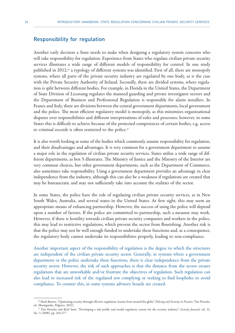### Responsibility for regulation

Another early decision a State needs to make when designing a regulatory system concerns who will take responsibility for regulation. Experience from States who regulate civilian private security services illustrates a wide range of different models of responsibility for control. In one study published in 2012,<sup>46</sup> a typology of different systems was identified. First of all, there are monopoly systems, where all parts of the private security industry are regulated by one body, as is the case with the Private Security Authority of Ireland. Secondly, there are divided systems, where regulation is split between different bodies. For example, in Florida in the United States, the Department of State Division of Licensing regulates the manned guarding and private investigator sectors and the Department of Business and Professional Regulation is responsible for alarm installers. In France and Italy, there are divisions between the central government departments, local government and the police. The most efficient regulatory model is monopoly, as this minimizes organizational disputes over responsibilities and different interpretations of rules and processes; however, in some States this is difficult to achieve because of the protected competences of certain bodies, e.g. access to criminal records is often restricted to the police.<sup>47</sup>

It is also worth looking at some of the bodies which commonly assume responsibility for regulation, and their disadvantages and advantages. It is very common for a government department to assume a major role in the regulation of civilian private security services. States utilize a wide range of different departments, as box 5 illustrates. The Ministry of Justice and the Ministry of the Interior are very common choices, but other government departments, such as the Department of Commerce, also sometimes take responsibility. Using a government department provides an advantage in clear independence from the industry, although this can also be a weakness if regulations are created that may be bureaucratic and may not sufficiently take into account the realities of the sector.

In some States, the police have the role of regulating civilian private security services, as in New South Wales, Australia, and several states in the United States. At first sight, this may seem an appropriate means of enhancing partnership. However, the success of using the police will depend upon a number of factors. If the police are committed to partnership, such a measure may work. However, if there is hostility towards civilian private security companies and workers in the police, this may lead to restrictive regulations, which prevent the sector from flourishing. Another risk is that the police may not be well enough funded to undertake these functions and, as a consequence, the regulatory body cannot undertake its responsibilities properly, leading to non-compliance.

Another important aspect of the responsibility of regulation is the degree to which the structures are independent of the civilian private security sector. Generally, in systems where a government department or the police undertake these functions, there is clear independence from the private security sector. However, the risk of such approaches is that the distance from the sector creates regulations that are unworkable and/or frustrate the objectives of regulation. Such regulation can also lead to increased risk of the regulated not complying or seeking to find loopholes to avoid compliance. To counter this, in some systems advisory boards are created.

<sup>46</sup> Mark Button, "Optimising security through effective regulation: lessons from around the globe", *Policing and Security in Practice*, Tim Prenzler,

<sup>47</sup> Tim Prenzler and Rick Sarre, "Developing a risk profile and model regulatory system for the security industry", *Security Journal*, vol. 21, No. 3 (2008), pp. 264-277.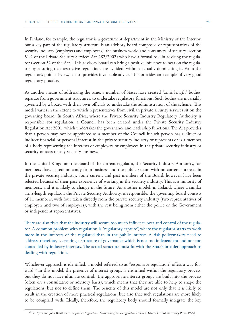In Finland, for example, the regulator is a government department in the Ministry of the Interior, but a key part of the regulatory structure is an advisory board composed of representatives of the security industry (employers and employees), the business world and consumers of security (section 51-2 of the Private Security Services Act 282/2002) who have a formal role in advising the regulator (section 52 of the Act). This advisory board can bring a positive influence to bear on the regulator by ensuring that restrictive regulations are avoided, without actually dominating it. From the regulator's point of view, it also provides invaluable advice. This provides an example of very good regulatory practice.

As another means of addressing the issue, a number of States have created "arm's length" bodies, separate from government structures, to undertake regulatory functions. Such bodies are invariably governed by a board with their own officials to undertake the administration of the scheme. This model varies in the extent to which representatives from civilian private security services sit on the governing board. In South Africa, where the Private Security Industry Regulatory Authority is responsible for regulation, a Council has been created under the Private Security Industry Regulation Act 2001, which undertakes the governance and leadership functions. The Act provides that a person may not be appointed as a member of the Council if such person has a direct or indirect financial or personal interest in the private security industry or represents or is a member of a body representing the interests of employers or employees in the private security industry or security officers or any security business.

In the United Kingdom, the Board of the current regulator, the Security Industry Authority, has members drawn predominantly from business and the public sector, with no current interests in the private security industry. Some current and past members of the Board, however, have been selected because of their past experience of working in the security industry. This is a minority of members, and it is likely to change in the future. As another model, in Ireland, where a similar arm's-length regulator, the Private Security Authority, is responsible, the governing board consists of 11 members, with four taken directly from the private security industry (two representatives of employers and two of employees), with the rest being from either the police or the Government or independent representatives.

There are also risks that the industry will secure too much influence over and control of the regulator. A common problem with regulation is "regulatory capture", where the regulator starts to work more in the interests of the regulated than in the public interest. A risk policymakers need to address, therefore, is creating a structure of governance which is not too independent and not too controlled by industry interests. The actual structure must fit with the State's broader approach to dealing with regulation.

Whichever approach is identified, a model referred to as "responsive regulation" offers a way forward.<sup>48</sup> In this model, the presence of interest groups is enshrined within the regulatory process, but they do not have ultimate control. The appropriate interest groups are built into the process (often on a consultative or advisory basis), which means that they are able to help to shape the regulations, but not to define them. The benefits of this model are not only that it is likely to result in the creation of more practical regulations, but also that such regulations are more likely to be complied with. Ideally, therefore, the regulatory body should formally integrate the key

<sup>48</sup> Ian Ayres and John Braithwaite, *Responsive Regulation: Transcending the Deregulation Debate* (Oxford, Oxford University Press, 1995).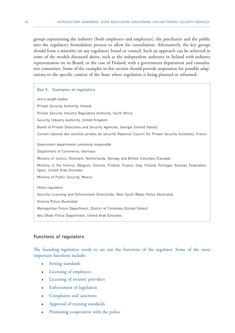groups representing the industry (both employers and employees), the purchasers and the public into the regulatory formulation process to allow for consultation. Alternatively, the key groups should form a minority on any regulatory board or council. Such an approach can be achieved in some of the models discussed above, such as the independent authority in Ireland with industry representation on its Board, or the case of Finland, with a government department and consultative committee. Some of the examples in this section should provide inspiration for possible adaptations to the specific context of the State where regulation is being planned or reformed.

#### **Box 5. Examples of regulators**

*Arm's-length bodies* Private Security Authority, Ireland Private Security Industry Regulatory Authority, South Africa Security Industry Authority, United Kingdom Board of Private Detectives and Security Agencies, Georgia (United States) Conseil national des activités privées de sécurité (National Council for Private Security Activities), France *Government departments commonly responsible*  Department of Commerce, Germany Ministry of Justice, Denmark, Netherlands, Norway and British Columbia (Canada) Ministry of the Interior, Belgium, Estonia, Finland, France, Italy, Poland, Portugal, Russian Federation, Spain, United Arab Emirates Ministry of Public Security, Mexico *Police regulators*  Security Licensing and Enforcement Directorate, New South Wales Police (Australia) Victoria Police (Australia) Metropolitan Police Department, District of Columbia (United States) Abu Dhabi Police Department, United Arab Emirates

#### Functions of regulators

The founding legislation needs to set out the functions of the regulator. Some of the most important functions include:

- Setting standards
- Licensing of employees
- Licensing of security providers
- Enforcement of legislation
- Complaints and sanctions
- Approval of training standards
- Promoting cooperation with the police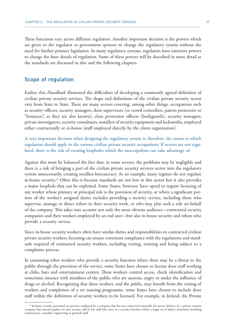These functions vary across different regulators. Another important decision is the powers which are given to the regulator or government sponsor to change the regulatory system without the need for further primary legislation. In many regulatory systems, regulators have extensive powers to change the finer details of regulation. Some of these powers will be described in more detail as the standards are discussed in this and the following chapters.

# Scope of regulation

Earlier, this *Handbook* illustrated the difficulties of developing a commonly agreed definition of civilian private security services. The shape and definitions of the civilian private security sector vary from State to State. There are many sectors covering, among other things, occupations such as security officers, security managers, door supervisors (or crowd controllers, patron protectors or "bouncers", as they are also known), close protection officers (bodyguards), security managers, private investigators, security consultants, installers of security equipment and locksmiths, employed either contractually or in-house (staff employed directly by the client organization).

A very important decision when designing the regulatory system is, therefore, the extent to which regulation should apply to the various civilian private security occupations. If sectors are not regulated, there is the risk of creating loopholes which the unscrupulous can take advantage of.

Against this must be balanced the fact that, in some sectors, the problems may be negligible and there is a risk of bringing a part of the civilian private security services sector into the regulatory system unnecessarily, creating needless bureaucracy. As an example, many regimes do not regulate in-house security.<sup>49</sup> Often this is because standards are not low in this sector but it also provides a major loophole that can be exploited. Some States, however, have opted to require licensing of any worker whose primary or principal role is the provision of security, or where a significant portion of the worker's assigned duties includes providing a security service, including those who supervise, manage or direct others in their security work, or who may play such a role on behalf of the company. This takes into account not only the most obvious audience—contracted security companies and their workers employed by an end user—but also in-house security and others who provide a security service.

Since in-house security workers often have similar duties and responsibilities to contracted civilian private security workers, licensing can ensure consistent compliance with the regulations and standards required of contracted security workers, including vetting, training and being subject to a complaints process.

In examining other workers who provide a security function where there may be a threat to the public through the provision of the service, some States have chosen to license door staff working at clubs, bars and entertainment centres. These workers control access, check identification and sometimes interact with members of the public who are anxious, angry or under the influence of drugs or alcohol. Recognizing that these workers, and the public, may benefit from the vetting of workers and completion of a set training programme, some States have chosen to include door staff within the definition of security workers to be licensed. For example, in Ireland, the Private

<sup>&</sup>lt;sup>49</sup> In-house security personnel are persons employed by a company that has not contracted externally for service delivery by a private security company, but instead employs its own security staff or has staff who serve in a security function within a larger set of duties, sometimes including maintenance, custodial, engineering or grounds staff.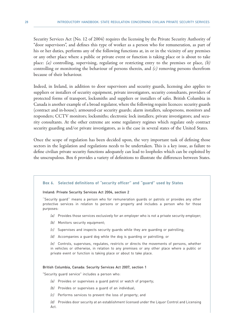Security Services Act (No. 12 of 2004) requires the licensing by the Private Security Authority of "door supervisors", and defines this type of worker as a person who for remuneration, as part of his or her duties, performs any of the following functions at, in or in the vicinity of any premises or any other place where a public or private event or function is taking place or is about to take place: *(a)* controlling, supervising, regulating or restricting entry to the premises or place, *(b)* controlling or monitoring the behaviour of persons therein, and *(c)* removing persons therefrom because of their behaviour.

Indeed, in Ireland, in addition to door supervisors and security guards, licensing also applies to suppliers or installers of security equipment, private investigators, security consultants, providers of protected forms of transport, locksmiths and suppliers or installers of safes. British Columbia in Canada is another example of a broad regulator, where the following require licences: security guards (contract and in-house); armoured-car security guards; alarm installers, salespersons, monitors and responders; CCTV monitors; locksmiths; electronic lock installers; private investigators; and security consultants. At the other extreme are some regulatory regimes which regulate only contract security guarding and/or private investigators, as is the case in several states of the United States.

Once the scope of regulation has been decided upon, the very important task of defining those sectors in the legislation and regulations needs to be undertaken. This is a key issue, as failure to define civilian private security functions adequately can lead to loopholes which can be exploited by the unscrupulous. Box 6 provides a variety of definitions to illustrate the differences between States.

### **Box 6. Selected definitions of "security officer" and "guard" used by States**

### Ireland: Private Security Services Act 2004, section 2

''Security guard'' means a person who for remuneration guards or patrols or provides any other protective services in relation to persons or property and includes a person who for those purposes:

- *(a)* Provides those services exclusively for an employer who is not a private security employer;
- *(b)* Monitors security equipment;
- *(c)* Supervises and inspects security guards while they are guarding or patrolling;
- *(d)* Accompanies a guard dog while the dog is guarding or patrolling; or

*(e)* Controls, supervises, regulates, restricts or directs the movements of persons, whether in vehicles or otherwise, in relation to any premises or any other place where a public or private event or function is taking place or about to take place.

#### British Columbia, Canada: Security Services Act 2007, section 1

"Security guard service" includes a person who:

- *(a)* Provides or supervises a guard patrol or watch of property;
- *(b)* Provides or supervises a guard of an individual;
- *(c)* Performs services to prevent the loss of property; and

*(d)* Provides door security at an establishment licensed under the Liquor Control and Licensing Act.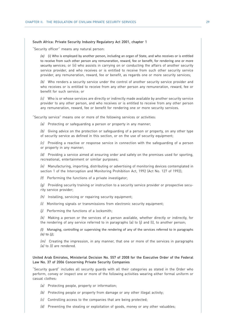#### South Africa: Private Security Industry Regulatory Act 2001, chapter 1

"Security officer" means any natural person:

*(a)* (i) Who is employed by another person, including an organ of State, and who receives or is entitled to receive from such other person any remuneration, reward, fee or benefit, for rendering one or more security services; or (ii) who assists in carrying on or conducting the affairs of another security service provider, and who receives or is entitled to receive from such other security service provider, any remuneration, reward, fee or benefit, as regards one or more security services;

*(b)* Who renders a security service under the control of another security service provider and who receives or is entitled to receive from any other person any remuneration, reward, fee or benefit for such service; or

*(c)* Who is or whose services are directly or indirectly made available by another security service provider to any other person, and who receives or is entitled to receive from any other person any remuneration, reward, fee or benefit for rendering one or more security services.

"Security service" means one or more of the following services or activities:

*(a)* Protecting or safeguarding a person or property in any manner;

*(b)* Giving advice on the protection or safeguarding of a person or property, on any other type of security service as defined in this section, or on the use of security equipment;

*(c)* Providing a reactive or response service in connection with the safeguarding of a person or property in any manner;

*(d)* Providing a service aimed at ensuring order and safety on the premises used for sporting, recreational, entertainment or similar purposes;

*(e)* Manufacturing, importing, distributing or advertising of monitoring devices contemplated in section 1 of the Interception and Monitoring Prohibition Act, 1992 (Act No. 127 of 1992);

*(f)* Performing the functions of a private investigator;

*(g)* Providing security training or instruction to a security service provider or prospective security service provider;

*(h)* Installing, servicing or repairing security equipment;

*(i)* Monitoring signals or transmissions from electronic security equipment;

*(j)* Performing the functions of a locksmith;

*(k)* Making a person or the services of a person available, whether directly or indirectly, for the rendering of any service referred to in paragraphs (a) to (j) and (l), to another person;

*(l)* Managing, controlling or supervising the rendering of any of the services referred to in paragraphs *(a)* to *(j)*;

*(m)* Creating the impression, in any manner, that one or more of the services in paragraphs *(a)* to *(l)* are rendered.

### United Arab Emirates, Ministerial Decision No. 557 of 2008 for the Executive Order of the Federal Law No. 37 of 2006 Concerning Private Security Companies

"Security guard" includes all security guards with all their categories as stated in the Order who perform, convey or inspect one or more of the following activities wearing either formal uniform or casual clothes:

- *(a)* Protecting people, property or information;
- *(b)* Protecting people or property from damage or any other illegal activity;
- *(c)* Controlling access to the companies that are being protected;
- *(d)* Preventing the stealing or exploitation of goods, money or any other valuables;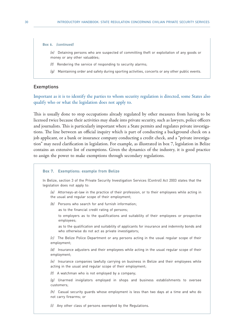#### **Box 6.** *(continued)*

- *(e)* Detaining persons who are suspected of committing theft or exploitation of any goods or money or any other valuables;
- *(f)* Rendering the service of responding to security alarms;
- *(g)* Maintaining order and safety during sporting activities, concerts or any other public events.

### Exemptions

Important as it is to identify the parties to whom security regulation is directed, some States also qualify who or what the legislation does not apply to.

This is usually done to stop occupations already regulated by other measures from having to be licensed twice because their activities may shade into private security, such as lawyers, police officers and journalists. This is particularly important where a State permits and regulates private investigations. The line between an official inquiry which is part of conducting a background check on a job applicant, or a bank or insurance company conducting a credit check, and a "private investigation" may need clarification in legislation. For example, as illustrated in box 7, legislation in Belize contains an extensive list of exemptions. Given the dynamics of the industry, it is good practice to assign the power to make exemptions through secondary regulations.

### **Box 7. Exemptions: example from Belize**

In Belize, section 3 of the Private Security Investigation Services (Control) Act 2003 states that the legislation does not apply to:

*(a)* Attorneys-at-law in the practice of their profession, or to their employees while acting in the usual and regular scope of their employment;

*(b)* Persons who search for and furnish information;

as to the financial credit rating of persons;

to employers as to the qualifications and suitability of their employees or prospective employees;

as to the qualification and suitability of applicants for insurance and indemnity bonds and who otherwise do not act as private investigators;

*(c)* The Belize Police Department or any persons acting in the usual regular scope of their employment;

*(d)* Insurance adjusters and their employees while acting in the usual regular scope of their employment;

*(e)* Insurance companies lawfully carrying on business in Belize and their employees while acting in the usual and regular scope of their employment;

*(f)* A watchman who is not employed by a company;

*(g)* Unarmed invigilators employed in shops and business establishments to oversee customers;

*(h)* Casual security guards whose employment is less than two days at a time and who do not carry firearms; or

*(i)* Any other class of persons exempted by the Regulations.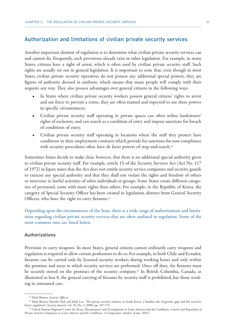# Authorization and limitations of civilian private security services

Another important element of regulation is to determine what civilian private security services can and cannot do. Frequently, such provisions already exist in other legislation. For example, in many States, citizens have a right of arrest, which is often used by civilian private security staff. Such rights are usually set out in general legislation. It is important to note that, even though in most States civilian private security operatives do not possess any additional special powers, they are figures of authority dressed in uniform, which means that many people will comply with their requests any way. They also possess advantages over general citizens in the following ways:

- In States where civilian private security workers possess general citizens' rights to arrest and use force to prevent a crime, they are often trained and expected to use these powers in specific circumstances.
- Civilian private security staff operating in private spaces can often utilize landowners' rights of exclusion, and can search as a condition of entry and impose sanctions for breach of conditions of entry.
- Civilian private security staff operating in locations where the staff they protect have conditions in their employment contracts which provide for sanctions for non-compliance with security procedures often have de facto powers of stop-and-search.<sup>50</sup>

Sometimes States decide to make clear, however, that there is no additional special authority given to civilian private security staff. For example, article 15 of the Security Services Act (Act No. 117 of 1972) in Japan states that the Act does not entitle security service companies and security guards to exercise any special authority and that they shall not violate the rights and freedom of others or intervene in lawful activities of other individuals or groups. Some States create different categories of personnel, some with more rights than others. For example, in the Republic of Korea, the category of Special Security Officer has been created in legislation, distinct from General Security Officers, who have the right to carry firearms.<sup>51</sup>

Depending upon the circumstances of the State, there is a wide range of authorizations and limitations regarding civilian private security services that are often outlined in regulation. Some of the most common ones are listed below.

## Authorizations

Provision to carry weapons: In most States, general citizens cannot ordinarily carry weapons and regulation is required to allow certain professions to do so. For example, in both Chile and Ecuador, firearms can be carried only by licensed security workers during working hours and only within the premises and areas in which security services are performed. Once off duty, the firearms must be securely stored on the premises of the security company.<sup>52</sup> In British Columbia, Canada, as illustrated in box 8, the general carrying of firearms by security staff is prohibited, bar those working in armoured cars.

<sup>&</sup>lt;sup>50</sup> Mark Button, *Security Officers*.<br><sup>51</sup> Mark Button, Hyenho Park and Julak Lee, "The private security industry in South Korea: a familiar tale of growth, gaps and the need for<br>better regulation", *Security Journal*, vo

<sup>&</sup>lt;sup>52</sup> United Nations Regional Centre for Peace, Disarmament and Development in Latin America and the Caribbean, *Control and Regulation of Private Security Companies in Latin America and the Caribbean: A Comparative Analysis* (Lima, 2011).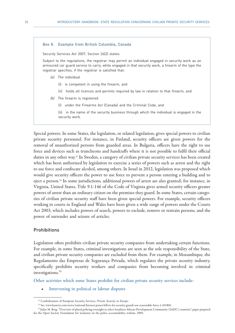#### **Box 8. Example from British Columbia, Canada**

Security Services Act 2007, Section 26(2) states:

Subject to the regulations, the registrar may permit an individual engaged in security work as an armoured car guard service to carry, while engaged in that security work, a firearm of the type the registrar specifies, if the registrar is satisfied that:

- *(a)* The individual
	- (i) is competent in using the firearm, and
	- (ii) holds all licences and permits required by law in relation to that firearm, and
- *(b)* The firearm is registered
	- (i) under the Firearms Act (Canada) and the Criminal Code, and
	- (ii) in the name of the security business through which the individual is engaged in the security work.

Special powers: In some States, the legislation, or related legislation, gives special powers to civilian private security personnel. For instance, in Finland, security officers are given powers for the removal of unauthorized persons from guarded areas. In Bulgaria, officers have the right to use force and devices such as truncheons and handcuffs where it is not possible to fulfil their official duties in any other way.<sup>53</sup> In Sweden, a category of civilian private security services has been created which has been authorized by legislation to exercise a series of powers such as arrest and the right to use force and confiscate alcohol, among others. In Israel in 2012, legislation was proposed which would give security officers the power to use force to prevent a person entering a building and to eject a person.54 In some jurisdictions, additional powers of arrest are also granted; for instance, in Virginia, United States, Title 9.1-146 of the Code of Virginia gives armed security officers greater powers of arrest than an ordinary citizen on the premises they guard. In some States, certain categories of civilian private security staff have been given special powers. For example, security officers working in courts in England and Wales have been given a wide range of powers under the Courts Act 2003, which includes powers of search, powers to exclude, remove or restrain persons, and the power of surrender and seizure of articles.

### **Prohibitions**

Legislation often prohibits civilian private security companies from undertaking certain functions. For example, in some States, criminal investigations are seen as the sole responsibility of the State, and civilian private security companies are excluded from them. For example, in Mozambique, the Regulamento das Empresas de Segurança Privada, which regulates the private security industry, specifically prohibits security workers and companies from becoming involved in criminal investigations.<sup>55</sup>

Other activities which some States prohibit for civilian private security services include:

• Intervening in political or labour disputes

<sup>53</sup> Confederation of European Security Services, *Private Security in Europe*. 54 See www.haaretz.com/news/national/knesset-passes-bill-to-let-security-guards-use-reasonable-force-1.451801.

<sup>55</sup> Juliet M. Berg, "Overview of plural policing oversight in select Southern African Development Community (SADC) countries", paper prepared for the Open Society Foundation for inclusion on the police accountability website, 2005.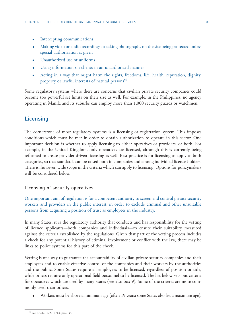- Intercepting communications
- Making video or audio recordings or taking photographs on the site being protected unless special authorization is given
- Unauthorized use of uniforms
- Using information on clients in an unauthorized manner
- Acting in a way that might harm the rights, freedoms, life, health, reputation, dignity, property or lawful interests of natural persons<sup>56</sup>

Some regulatory systems where there are concerns that civilian private security companies could become too powerful set limits on their size as well. For example, in the Philippines, no agency operating in Manila and its suburbs can employ more than 1,000 security guards or watchmen.

# **Licensing**

The cornerstone of most regulatory systems is a licensing or registration system. This imposes conditions which must be met in order to obtain authorization to operate in this sector. One important decision is whether to apply licensing to either operatives or providers, or both. For example, in the United Kingdom, only operatives are licensed, although this is currently being reformed to create provider-driven licensing as well. Best practice is for licensing to apply to both categories, so that standards can be raised both in companies and among individual licence holders. There is, however, wide scope in the criteria which can apply to licensing. Options for policymakers will be considered below.

# Licensing of security operatives

One important aim of regulation is for a competent authority to screen and control private security workers and providers in the public interest, in order to exclude criminal and other unsuitable persons from acquiring a position of trust as employees in the industry.

In many States, it is the regulatory authority that conducts and has responsibility for the vetting of licence applicants—both companies and individuals—to ensure their suitability measured against the criteria established by the regulations. Given that part of the vetting process includes a check for any potential history of criminal involvement or conflict with the law, there may be links to police systems for this part of the check.

Vetting is one way to guarantee the accountability of civilian private security companies and their employees and to enable effective control of the companies and their workers by the authorities and the public. Some States require all employees to be licensed, regardless of position or title, while others require only operational field personnel to be licensed. The list below sets out criteria for operatives which are used by many States (see also box 9). Some of the criteria are more commonly used than others.

• Workers must be above a minimum age (often 19 years; some States also list a maximum age).

<sup>56</sup> See E/CN.15/2011/14, para. 35.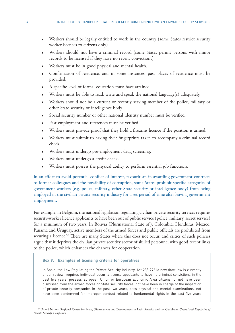- Workers should be legally entitled to work in the country (some States restrict security worker licences to citizens only).
- Workers should not have a criminal record (some States permit persons with minor records to be licensed if they have no recent convictions).
- Workers must be in good physical and mental health.
- Confirmation of residence, and in some instances, past places of residence must be provided.
- A specific level of formal education must have attained.
- Workers must be able to read, write and speak the national language(s) adequately.
- Workers should not be a current or recently serving member of the police, military or other State security or intelligence body.
- Social security number or other national identity number must be verified.
- Past employment and references must be verified.
- Workers must provide proof that they hold a firearms licence if the position is armed.
- Workers must submit to having their fingerprints taken to accompany a criminal record check.
- Workers must undergo pre-employment drug screening.
- Workers must undergo a credit check.
- Workers must possess the physical ability to perform essential job functions.

In an effort to avoid potential conflict of interest, favouritism in awarding government contracts to former colleagues and the possibility of corruption, some States prohibit specific categories of government workers (e.g. police, military, other State security or intelligence body) from being employed in the civilian private security industry for a set period of time after leaving government employment.

For example, in Belgium, the national legislation regulating civilian private security services requires security-worker licence applicants to have been out of public service (police, military, secret service) for a minimum of two years. In Bolivia (Plurinational State of ), Colombia, Honduras, Mexico, Panama and Uruguay, active members of the armed forces and public officials are prohibited from securing a licence.<sup>57</sup> There are many States where this does not occur, and critics of such policies argue that it deprives the civilian private security sector of skilled personnel with good recent links to the police, which enhances the chances for cooperation.

# **Box 9. Examples of licensing criteria for operatives**

In Spain, the Law Regulating the Private Security Industry, Act 23/1992 (a new draft law is currently under review) requires individual security licence applicants to have no criminal convictions in the past five years, possess European Union or European Economic Area citizenship, not have been dismissed from the armed forces or State security forces, not have been in charge of the inspection of private security companies in the past two years, pass physical and mental examinations, not have been condemned for improper conduct related to fundamental rights in the past five years

<sup>57</sup> United Nations Regional Centre for Peace, Disarmament and Development in Latin America and the Caribbean, *Control and Regulation of Private Security Companies.*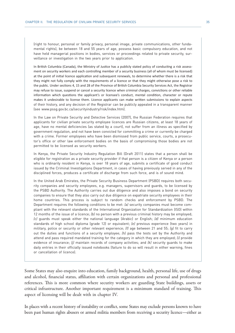(right to honour, personal or family privacy, personal image, private communications, other fundamental rights), be between 18 and 55 years of age, possess basic compulsory education, and not have held managerial positions in bodies, services or proceedings related to private security, surveillance or investigation in the two years prior to application.

In British Columbia (Canada), the Ministry of Justice has a publicly stated policy of conducting a risk assessment on security workers and each controlling member of a security business (all of whom must be licensed) at the point of initial licence application and subsequent renewals, to determine whether there is a risk that they might not fully comply with the requirements of a licence or that they might otherwise pose a risk to the public. Under sections 4, 15 and 28 of the Province of British Columbia Security Services Act, the Registrar may refuse to issue, suspend or cancel a security licence when criminal charges, convictions or other reliable information which questions the applicant's or licensee's conduct, mental condition, character or repute makes it undesirable to license them. Licence applicants can make written submissions to explain aspects of their history, and any decision of the Registrar can be publicly appealed in a transparent manner (see www.pssg.gov.bc.ca/securityindustry/risk/index.htm).

In the Law on Private Security and Detective Services (2007), the Russian Federation requires that applicants for civilian private security employee licences are Russian citizens, at least 18 years of age, have no mental deficiencies (as stated by a court), not suffer from an illness as specified by government regulation, and not have been convicted for committing a crime or currently be charged with a crime. Former employees who have been dismissed from public service, courts, a prosecutor's office or other law enforcement bodies on the basis of compromising those bodies are not permitted to be licensed as security workers.

In Kenya, the Private Security Industry Regulation Bill (Draft 2011) states that a person shall be eligible for registration as a private security provider if that person is a citizen of Kenya or a person who is ordinarily resident in Kenya, is over 18 years of age, submits a certificate of good conduct issued by the Criminal Investigations Department, in cases of having previously served in any of the disciplined forces, produces a certificate of discharge from such force, and is of sound mind.

In the United Arab Emirates, the Private Security Business Department (PSBD) requires both security companies and security employees, e.g. managers, supervisors and guards, to be licensed by the PSBD Authority. The Authority carries out due diligence and also imposes a bond on security companies to ensure that they also carry out due diligence on expatriate security employees in their home countries. This process is subject to random checks and enforcement by PSBD. The Department requires the following conditions to be met: *(a)* security companies must become compliant with the relevant standards of the International Organization for Standardization (ISO) within 12 months of the issue of a licence; *(b)* no person with a previous criminal history may be employed; *(c)* guards must speak either the national language (Arabic) or English; *(d)* minimum education standards of high school diploma (grade 12) or equivalent; *(e)* previous experience (two years) in military, police or security or other relevant experience; *(f)* age between 21 and 55; *(g)* fit to carry out the duties and functions of a security employee; *(h)* pass the tests set by the Authority and attend and pass required mandated training for the category in which they are employed; *(i)* provide evidence of insurance; *(j)* maintain records of company activities; and *(k)* security guards to make daily entries in their officially issued notebooks (failure to do so will result in either warning, fines or cancellation of licence).

Some States may also enquire into education, family background, health, personal life, use of drugs and alcohol, financial status, affiliation with certain organizations and personal and professional references. This is more common where security workers are guarding State buildings, assets or critical infrastructure. Another important requirement is a minimum standard of training. This aspect of licensing will be dealt with in chapter IV.

In places with a recent history of instability or conflict, some States may exclude persons known to have been past human rights abusers or armed militia members from receiving a security licence—either as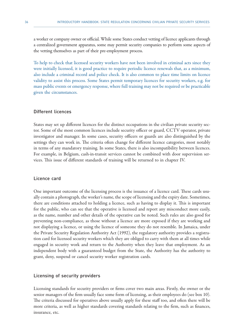a worker or company owner or official. While some States conduct vetting of licence applicants through a centralized government apparatus, some may permit security companies to perform some aspects of the vetting themselves as part of their pre-employment process.

To help to check that licensed security workers have not been involved in criminal acts since they were initially licensed, it is good practice to require periodic licence renewals that, as a minimum, also include a criminal record and police check. It is also common to place time limits on licence validity to assist this process. Some States permit temporary licences for security workers, e.g. for mass public events or emergency response, where full training may not be required or be practicable given the circumstances.

## Different licences

States may set up different licences for the distinct occupations in the civilian private security sector. Some of the most common licences include security officer or guard, CCTV operator, private investigator and manager. In some cases, security officers or guards are also distinguished by the settings they can work in. The criteria often change for different licence categories, most notably in terms of any mandatory training. In some States, there is also incompatibility between licences. For example, in Belgium, cash-in-transit services cannot be combined with door supervision services. This issue of different standards of training will be returned to in chapter IV.

### Licence card

One important outcome of the licensing process is the issuance of a licence card. These cards usually contain a photograph, the worker's name, the scope of licensing and the expiry date. Sometimes, there are conditions attached to holding a licence, such as having to display it. This is important for the public, who can see that the operative is licensed and report any misconduct more easily, as the name, number and other details of the operative can be noted. Such rules are also good for preventing non-compliance, as those without a licence are more exposed if they are working and not displaying a licence, or using the licence of someone they do not resemble. In Jamaica, under the Private Security Regulation Authority Act (1992), the regulatory authority provides a registration card for licensed security workers which they are obliged to carry with them at all times while engaged in security work and return to the Authority when they leave that employment. As an independent body with a guaranteed budget from the State, the Authority has the authority to grant, deny, suspend or cancel security worker registration cards.

### Licensing of security providers

Licensing standards for security providers or firms cover two main areas. Firstly, the owner or the senior managers of the firm usually face some form of licensing, as their employees do (see box 10). The criteria discussed for operatives above usually apply for these staff too, and often there will be more criteria, as well as higher standards covering standards relating to the firm, such as finances, insurance, etc.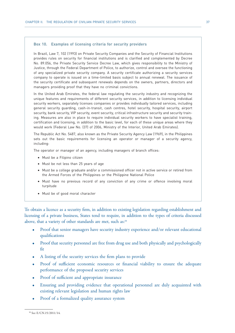#### **Box 10. Examples of licensing criteria for security providers**

In Brazil, Law 7, 102 (1993) on Private Security Companies and the Security of Financial Institutions provides rules on security for financial institutions and is clarified and complemented by Decree No. 89.056, the Private Security Service Decree Law, which gives responsibility to the Ministry of Justice, through the Federal Department of Police, to authorize, control and oversee the functioning of any specialized private security company. A security certificate authorizing a security services company to operate is issued on a time-limited basis subject to annual renewal. The issuance of the security certificate and subsequent renewals depends on the owners, partners, directors and managers providing proof that they have no criminal convictions.

In the United Arab Emirates, the federal law regulating the security industry and recognizing the unique features and requirements of different security services, in addition to licensing individual security workers, separately licenses companies or provides individually tailored services, including general security guarding, cash-in-transit, cash centres, hotel security, hospital security, airport security, bank security, VIP security, event security, critical infrastructure security and security training. Measures are also in place to require individual security workers to have specialist training, certification and licensing, in addition to the basic level, for each of these unique areas where they would work (Federal Law No. (37) of 2006, Ministry of the Interior, United Arab Emirates).

The Republic Act No. 5487, also known as the Private Security Agency Law (1969), in the Philippines sets out the basic requirements for licensing an operator or manager of a security agency, including:

The operator or manager of an agency, including managers of branch offices:

- Must be a Filipino citizen
- Must be not less than 25 years of age
- Must be a college graduate and/or a commissioned officer not in active service or retired from the Armed Forces of the Philippines or the Philippine National Police
- Must have no previous record of any conviction of any crime or offence involving moral turpitude
- Must be of good moral character

To obtain a licence as a security firm, in addition to existing legislation regarding establishment and licensing of a private business, States tend to require, in addition to the types of criteria discussed above, that a variety of other standards are met, such as:<sup>58</sup>

- Proof that senior managers have security industry experience and/or relevant educational qualifications
- Proof that security personnel are free from drug use and both physically and psychologically fit
- A listing of the security services the firm plans to provide
- Proof of sufficient economic resources or financial viability to ensure the adequate performance of the proposed security services
- Proof of sufficient and appropriate insurance
- Ensuring and providing evidence that operational personnel are duly acquainted with existing relevant legislation and human rights law
- Proof of a formalized quality assurance system

<sup>58</sup> See E/CN.15/2011/14.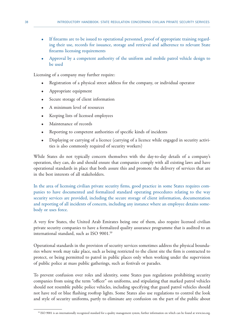- If firearms are to be issued to operational personnel, proof of appropriate training regarding their use, records for issuance, storage and retrieval and adherence to relevant State firearms licensing requirements
- Approval by a competent authority of the uniform and mobile patrol vehicle design to be used

Licensing of a company may further require:

- Registration of a physical street address for the company, or individual operator
- Appropriate equipment
- Secure storage of client information
- A minimum level of resources
- Keeping lists of licensed employees
- Maintenance of records
- Reporting to competent authorities of specific kinds of incidents
- Displaying or carrying of a licence (carrying of a licence while engaged in security activities is also commonly required of security workers)

While States do not typically concern themselves with the day-to-day details of a company's operation, they can, do and should ensure that companies comply with all existing laws and have operational standards in place that both assure this and promote the delivery of services that are in the best interests of all stakeholders.

In the area of licensing civilian private security firms, good practice in some States requires companies to have documented and formalized standard operating procedures relating to the way security services are provided, including the secure storage of client information, documentation and reporting of all incidents of concern, including any instance where an employee detains somebody or uses force.

A very few States, the United Arab Emirates being one of them, also require licensed civilian private security companies to have a formalized quality assurance programme that is audited to an international standard, such as ISO 9001.59

Operational standards in the provision of security services sometimes address the physical boundaries where work may take place, such as being restricted to the client site the firm is contracted to protect, or being permitted to patrol in public places only when working under the supervision of public police at mass public gatherings, such as festivals or parades.

To prevent confusion over roles and identity, some States pass regulations prohibiting security companies from using the term "officer" on uniforms, and stipulating that marked patrol vehicles should not resemble public police vehicles, including specifying that guard patrol vehicles should not have red or blue flashing rooftop lights. Some States also use regulations to control the look and style of security uniforms, partly to eliminate any confusion on the part of the public about

<sup>59</sup> ISO 9001 is an internationally recognized standard for a quality management system, further information on which can be found at www.iso.org.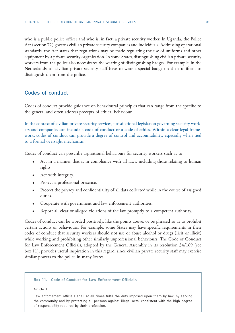who is a public police officer and who is, in fact, a private security worker. In Uganda, the Police Act (section 72) governs civilian private security companies and individuals. Addressing operational standards, the Act states that regulations may be made regulating the use of uniforms and other equipment by a private security organization. In some States, distinguishing civilian private security workers from the police also necessitates the wearing of distinguishing badges. For example, in the Netherlands, all civilian private security staff have to wear a special badge on their uniform to distinguish them from the police.

# Codes of conduct

Codes of conduct provide guidance on behavioural principles that can range from the specific to the general and often address precepts of ethical behaviour.

In the context of civilian private security services, jurisdictional legislation governing security workers and companies can include a code of conduct or a code of ethics. Within a clear legal framework, codes of conduct can provide a degree of control and accountability, especially when tied to a formal oversight mechanism.

Codes of conduct can prescribe aspirational behaviours for security workers such as to:

- Act in a manner that is in compliance with all laws, including those relating to human rights.
- Act with integrity.
- Project a professional presence.
- Protect the privacy and confidentiality of all data collected while in the course of assigned duties.
- Cooperate with government and law enforcement authorities.
- Report all clear or alleged violations of the law promptly to a competent authority.

Codes of conduct can be worded positively, like the points above, or be phrased so as to prohibit certain actions or behaviours. For example, some States may have specific requirements in their codes of conduct that security workers should not use or abuse alcohol or drugs (licit or illicit) while working and prohibiting other similarly unprofessional behaviours. The Code of Conduct for Law Enforcement Officials, adopted by the General Assembly in its resolution 34/169 (see box 11), provides useful inspiration in this regard, since civilian private security staff may exercise similar powers to the police in many States.

### **Box 11. Code of Conduct for Law Enforcement Officials**

Article 1

Law enforcement officials shall at all times fulfil the duty imposed upon them by law, by serving the community and by protecting all persons against illegal acts, consistent with the high degree of responsibility required by their profession.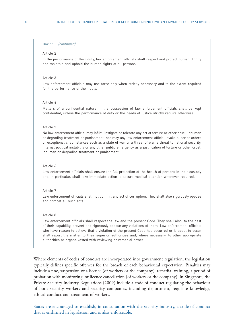#### **Box 11.** *(continued)*

#### Article 2

In the performance of their duty, law enforcement officials shall respect and protect human dignity and maintain and uphold the human rights of all persons.

#### Article 3

Law enforcement officials may use force only when strictly necessary and to the extent required for the performance of their duty.

### Article 4

Matters of a confidential nature in the possession of law enforcement officials shall be kept confidential, unless the performance of duty or the needs of justice strictly require otherwise.

#### Article 5

No law enforcement official may inflict, instigate or tolerate any act of torture or other cruel, inhuman or degrading treatment or punishment, nor may any law enforcement official invoke superior orders or exceptional circumstances such as a state of war or a threat of war, a threat to national security, internal political instability or any other public emergency as a justification of torture or other cruel, inhuman or degrading treatment or punishment.

### Article 6

Law enforcement officials shall ensure the full protection of the health of persons in their custody and, in particular, shall take immediate action to secure medical attention whenever required.

#### Article 7

Law enforcement officials shall not commit any act of corruption. They shall also rigorously oppose and combat all such acts.

#### Article 8

Law enforcement officials shall respect the law and the present Code. They shall also, to the best of their capability, prevent and rigorously oppose any violations of them. Law enforcement officials who have reason to believe that a violation of the present Code has occurred or is about to occur shall report the matter to their superior authorities and, where necessary, to other appropriate authorities or organs vested with reviewing or remedial power.

Where elements of codes of conduct are incorporated into government regulation, the legislation typically defines specific offences for the breach of each behavioural expectation. Penalties may include a fine, suspension of a licence (of workers or the company), remedial training, a period of probation with monitoring, or licence cancellation (of workers or the company). In Singapore, the Private Security Industry Regulations (2009) include a code of conduct regulating the behaviour of both security workers and security companies, including deportment, requisite knowledge, ethical conduct and treatment of workers.

States are encouraged to establish, in consultation with the security industry, a code of conduct that is enshrined in legislation and is also enforceable.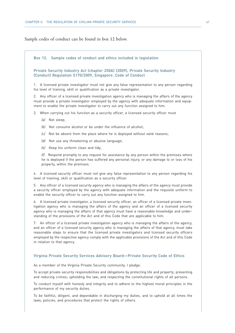Sample codes of conduct can be found in box 12 below.

#### **Box 12. Sample codes of conduct and ethics included in legislation**

### **Private Security Industry Act (chapter 250A) (2009), Private Security Industry (Conduct) Regulation S170/2009, Singapore. Code of Conduct**

1. A licensed private investigator must not give any false representation to any person regarding his level of training, skill or qualification as a private investigator.

2. Any officer of a licensed private investigation agency who is managing the affairs of the agency must provide a private investigator employed by the agency with adequate information and equipment to enable the private investigator to carry out any function assigned to him.

3. When carrying out his function as a security officer, a licensed security officer must

- *(a)* Not sleep;
- *(b)* Not consume alcohol or be under the influence of alcohol;
- *(c)* Not be absent from the place where he is deployed without valid reasons;
- *(d)* Not use any threatening or abusive language;
- *(e)* Keep his uniform clean and tidy;

*(f)* Respond promptly to any request for assistance by any person within the premises where he is deployed if the person has suffered any personal injury, or any damage to or loss of his property, within the premises.

4. A licensed security officer must not give any false representation to any person regarding his level of training, skill or qualification as a security officer.

5. Any officer of a licensed security agency who is managing the affairs of the agency must provide a security officer employed by the agency with adequate information and the requisite uniform to enable the security officer to carry out any function assigned to him.

6. A licensed private investigator, a licensed security officer, an officer of a licensed private investigation agency who is managing the affairs of the agency and an officer of a licensed security agency who is managing the affairs of that agency must have a reasonable knowledge and understanding of the provisions of the Act and of this Code that are applicable to him.

7. An officer of a licensed private investigation agency who is managing the affairs of the agency, and an officer of a licensed security agency who is managing the affairs of that agency, must take reasonable steps to ensure that the licensed private investigators and licensed security officers employed by the respective agency comply with the applicable provisions of the Act and of this Code in relation to that agency.

### **Virginia Private Security Services Advisory Board—Private Security Code of Ethics**

As a member of the Virginia Private Security community, I pledge:

To accept private security responsibilities and obligations by protecting life and property; preventing and reducing crimes; upholding the law; and respecting the constitutional rights of all persons.

To conduct myself with honesty and integrity and to adhere to the highest moral principles in the performance of my security duties.

To be faithful, diligent, and dependable in discharging my duties, and to uphold at all times the laws, policies, and procedures that protect the rights of others.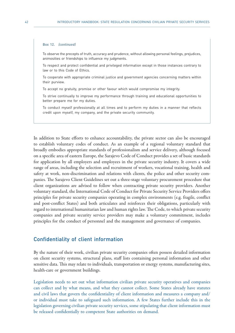#### **Box 12.** *(continued)*

To observe the precepts of truth, accuracy and prudence, without allowing personal feelings, prejudices, animosities or friendships to influence my judgments.

To respect and protect confidential and privileged information except in those instances contrary to law or to this Code of Ethics.

To cooperate with appropriate criminal justice and government agencies concerning matters within their purview.

To accept no gratuity, promise or other favour which would compromise my integrity.

To strive continually to improve my performance through training and educational opportunities to better prepare me for my duties.

To conduct myself professionally at all times and to perform my duties in a manner that reflects credit upon myself, my company, and the private security community.

In addition to State efforts to enhance accountability, the private sector can also be encouraged to establish voluntary codes of conduct. As an example of a regional voluntary standard that broadly embodies appropriate standards of professionalism and service delivery, although focused on a specific area of eastern Europe, the Sarajevo Code of Conduct provides a set of basic standards for application by all employers and employees in the private security industry. It covers a wide range of areas, including the selection and recruitment of workers, vocational training, health and safety at work, non-discrimination and relations with clients, the police and other security companies. The Sarajevo Client Guidelines set out a three-stage voluntary procurement procedure that client organizations are advised to follow when contracting private security providers. Another voluntary standard, the International Code of Conduct for Private Security Service Providers offers principles for private security companies operating in complex environments (e.g. fragile, conflict and post-conflict States) and both articulates and reinforces their obligations, particularly with regard to international humanitarian law and human rights law. The Code, to which private security companies and private security service providers may make a voluntary commitment, includes principles for the conduct of personnel and the management and governance of companies.

# Confidentiality of client information

By the nature of their work, civilian private security companies often possess detailed information on client security systems, structural plans, staff lists containing personal information and other sensitive data. This may relate to individuals, transportation or energy systems, manufacturing sites, health-care or government buildings.

Legislation needs to set out what information civilian private security operatives and companies can collect and by what means, and what they cannot collect. Some States already have statutes and civil laws that govern the confidentiality of client information and measures a company and/ or individual must take to safeguard such information. A few States further include this in the legislation governing civilian private security services, some stipulating that client information must be released confidentially to competent State authorities on demand.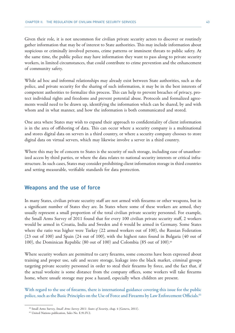Given their role, it is not uncommon for civilian private security actors to discover or routinely gather information that may be of interest to State authorities. This may include information about suspicious or criminally involved persons, crime patterns or imminent threats to public safety. At the same time, the public police may have information they want to pass along to private security workers, in limited circumstances, that could contribute to crime prevention and the enhancement of community safety.

While ad hoc and informal relationships may already exist between State authorities, such as the police, and private security for the sharing of such information, it may be in the best interests of competent authorities to formalize this process. This can help to prevent breaches of privacy, protect individual rights and freedoms and prevent potential abuse. Protocols and formalized agreements would need to be drawn up, identifying the information which can be shared, by and with whom and in what manner, and how the information is both communicated and stored.

One area where States may wish to expand their approach to confidentiality of client information is in the area of offshoring of data. This can occur where a security company is a multinational and stores digital data on servers in a third country, or where a security company chooses to store digital data on virtual servers, which may likewise involve a server in a third country.

Where this may be of concern to States is the security of such storage, including ease of unauthorized access by third parties, or where the data relates to national security interests or critical infrastructure. In such cases, States may consider prohibiting client information storage in third countries and setting measurable, verifiable standards for data protection.

# Weapons and the use of force

In many States, civilian private security staff are not armed with firearms or other weapons, but in a significant number of States they are. In States where some of these workers are armed, they usually represent a small proportion of the total civilian private security personnel. For example, the Small Arms Survey of 2011 found that for every 100 civilian private security staff, 2 workers would be armed in Croatia, India and Sweden and 6 would be armed in Germany. Some States where the ratio was higher were Turkey (22 armed workers out of 100), the Russian Federation (23 out of 100) and Spain (24 out of 100), with the highest rates found in Bulgaria (40 out of 100), the Dominican Republic (80 out of 100) and Colombia (85 out of 100).<sup>60</sup>

Where security workers are permitted to carry firearms, some concerns have been expressed about training and proper use, safe and secure storage, leakage into the black market, criminal groups targeting private security personnel in order to steal their firearms by force, and the fact that, if the actual worksite is some distance from the company offices, some workers will take firearms home, where unsafe storage may pose a hazard, especially when children are present.

With regard to the use of firearms, there is international guidance covering this issue for the public police, such as the Basic Principles on the Use of Force and Firearms by Law Enforcement Officials.<sup>61</sup>

<sup>60</sup> Small Arms Survey, *Small Arms Survey 2011: States of Security*, chap. 4 (Geneva, 2011). 61 United Nations publication, Sales No. E.91.IV.2.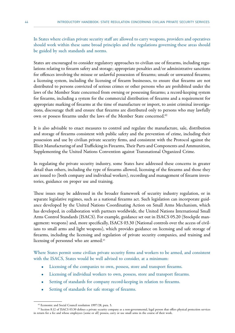In States where civilian private security staff are allowed to carry weapons, providers and operatives should work within these same broad principles and the regulations governing these areas should be guided by such standards and norms.

States are encouraged to consider regulatory approaches to civilian use of firearms, including regulations relating to firearm safety and storage; appropriate penalties and/or administrative sanctions for offences involving the misuse or unlawful possession of firearms; unsafe or unwanted firearms; a licensing system, including the licensing of firearm businesses, to ensure that firearms are not distributed to persons convicted of serious crimes or other persons who are prohibited under the laws of the Member State concerned from owning or possessing firearms; a record-keeping system for firearms, including a system for the commercial distribution of firearms and a requirement for appropriate marking of firearms at the time of manufacture or import, to assist criminal investigations, discourage theft and ensure that firearms are distributed only to persons who may lawfully own or possess firearms under the laws of the Member State concerned.<sup>62</sup>

It is also advisable to enact measures to control and regulate the manufacture, sale, distribution and storage of firearms consistent with public safety and the prevention of crime, including their possession and use by civilian private security firms, and consistent with the Protocol against the Illicit Manufacturing of and Trafficking in Firearms, Their Parts and Components and Ammunition, Supplementing the United Nations Convention against Transnational Organized Crime.

In regulating the private security industry, some States have addressed these concerns in greater detail than others, including the type of firearms allowed, licensing of the firearms and those they are issued to (both company and individual workers), recording and management of firearm inventories, guidance on proper use and training.

These issues may be addressed in the broader framework of security industry regulation, or in separate legislative regimes, such as a national firearms act. Such legislation can incorporate guidance developed by the United Nations Coordinating Action on Small Arms Mechanism, which has developed, in collaboration with partners worldwide, the United Nations International Small Arms Control Standards (ISACS). For example, guidance set out in ISACS 05.20 (Stockpile management: weapons) and, more specifically, ISACS 03.30 (National controls over the access of civilians to small arms and light weapons), which provides guidance on licensing and safe storage of firearms, including the licensing and regulation of private security companies, and training and licensing of personnel who are armed.<sup>63</sup>

Where States permit some civilian private security firms and workers to be armed, and consistent with the ISACS, States would be well advised to consider, at a minimum:

- Licensing of the companies to own, possess, store and transport firearms.
- Licensing of individual workers to own, possess, store and transport firearms.
- Setting of standards for company record-keeping in relation to firearms.
- Setting of standards for safe storage of firearms.

<sup>62</sup> Economic and Social Council resolution 1997/28, para. 5.

<sup>63</sup> Section 8.12 of ISACS 03.30 defines a private security company as a non-governmental, legal person that offers physical protection services in return for a fee and whose employees (some or all) possess, carry or use small arms in the course of their work.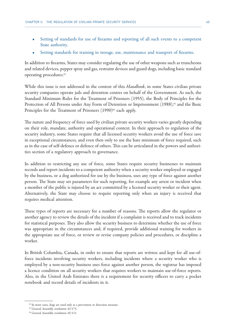- Setting of standards for use of firearms and reporting of all such events to a competent State authority.
- Setting standards for training in storage, use, maintenance and transport of firearms.

In addition to firearms, States may consider regulating the use of other weapons such as truncheons and related devices, pepper spray and gas, restraint devices and guard dogs, including basic standard operating procedures.<sup>64</sup>

While this issue is not addressed in the context of this *Handbook*, in some States civilian private security companies operate jails and detention centres on behalf of the Government. As such, the Standard Minimum Rules for the Treatment of Prisoners (1955), the Body of Principles for the Protection of All Persons under Any Form of Detention or Imprisonment (1988),<sup>65</sup> and the Basic Principles for the Treatment of Prisoners (1990)<sup>66</sup> each apply.

The nature and frequency of force used by civilian private security workers varies greatly depending on their role, mandate, authority and operational context. In their approach to regulation of the security industry, some States require that all licensed security workers avoid the use of force save in exceptional circumstances, and even then only to use the bare minimum of force required, such as in the case of self-defence or defence of others. This can be articulated in the powers and authorities section of a regulatory approach to governance.

In addition to restricting any use of force, some States require security businesses to maintain records and report incidents to a competent authority when a security worker employed or engaged by the business, or a dog authorized for use by the business, uses any type of force against another person. The State may set parameters for such reporting, for example any arrest or incident when a member of the public is injured by an act committed by a licensed security worker or their agent. Alternatively, the State may choose to require reporting only when an injury is received that requires medical attention.

These types of reports are necessary for a number of reasons. The reports allow the regulator or another agency to review the details of the incident if a complaint is received and to track incidents for statistical purposes. They also allow the security business to determine whether the use of force was appropriate in the circumstances and, if required, provide additional training for workers in the appropriate use of force, or review or revise company policies and procedures, or discipline a worker.

In British Columbia, Canada, in order to ensure that reports are written and kept for all use-offorce incidents involving security workers, including incidents where a security worker who is employed by a non-security business uses force against another person, the registrar has imposed a licence condition on all security workers that requires workers to maintain use-of-force reports. Also, in the United Arab Emirates there is a requirement for security officers to carry a pocket notebook and record details of incidents in it.

<sup>&</sup>lt;sup>64</sup> In most cases, dogs are used only as a prevention or detection measure.

<sup>&</sup>lt;sup>65</sup> General Assembly resolution 43/173.

<sup>&</sup>lt;sup>66</sup> General Assembly resolution 45/111.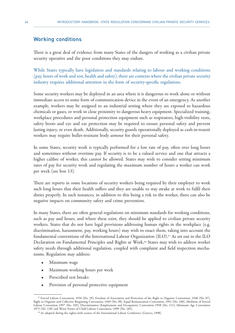# Working conditions

There is a great deal of evidence from many States of the dangers of working as a civilian private security operative and the poor conditions they may endure.

While States typically have legislation and standards relating to labour and working conditions (pay, hours of work and rest, health and safety), there are contexts where the civilian private security industry requires additional attention in the form of security-specific regulations.

Some security workers may be deployed in an area where it is dangerous to work alone or without immediate access to some form of communication device in the event of an emergency. As another example, workers may be assigned to an industrial setting where they are exposed to hazardous chemicals or gases, or work in close proximity to dangerous heavy equipment. Specialized training, workplace procedures and personal protection equipment such as respirators, high-visibility vests, safety boots and eye and ear protection may be required to ensure personal safety and prevent lasting injury, or even death. Additionally, security guards operationally deployed as cash-in-transit workers may require bullet-resistant body armour for their personal safety.

In some States, security work is typically performed for a low rate of pay, often over long hours and sometimes without overtime pay. If security is to be a valued service and one that attracts a higher calibre of worker, this cannot be allowed. States may wish to consider setting minimum rates of pay for security work and regulating the maximum number of hours a worker can work per week (see box 13).

There are reports in some locations of security workers being required by their employer to work such long hours that their health suffers and they are unable to stay awake at work to fulfil their duties properly. In such instances, in addition to this being a risk to the worker, there can also be negative impacts on community safety and crime prevention.

In many States, there are often general regulations on minimum standards for working conditions, such as pay and hours, and where these exist, they should be applied to civilian private security workers. States that do not have legal provisions addressing human rights in the workplace (e.g. discrimination, harassment, pay, working hours) may wish to enact them, taking into account the fundamental conventions of the International Labour Organization (ILO).<sup>67</sup> As set out in the ILO Declaration on Fundamental Principles and Rights at Work,<sup>68</sup> States may wish to address worker safety needs through additional regulation, coupled with complaint and field inspection mechanisms. Regulation may address:

- Minimum wage
- Maximum working hours per week
- Prescribed rest breaks
- Provision of personal protective equipment

<sup>67</sup> Forced Labour Convention, 1930 (No. 29), Freedom of Association and Protection of the Right to Organise Convention, 1948 (No. 87), Right to Organise and Collective Bargaining Convention, 1949 (No. 98), Equal Remuneration Convention, 1951 (No. 100), Abolition of Forced Labour Convention 1957 (No. 105), Discrimination (Employment and Occupation) Convention 1958 (No. 111), Minimum Age Convention 1973 (No. 138) and Worst Forms of Child Labour Convention, 1999 (No. 182).

<sup>&</sup>lt;sup>68</sup> As adopted during the eighty-sixth session of the International Labour Conference (Geneva, 1998).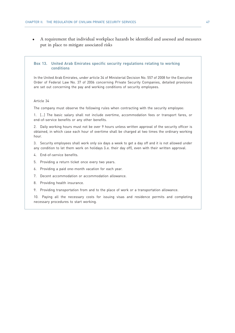• A requirement that individual workplace hazards be identified and assessed and measures put in place to mitigate associated risks

### **Box 13. United Arab Emirates specific security regulations relating to working conditions**

In the United Arab Emirates, under article 34 of Ministerial Decision No. 557 of 2008 for the Executive Order of Federal Law No. 37 of 2006 concerning Private Security Companies, detailed provisions are set out concerning the pay and working conditions of security employees.

#### Article 34

The company must observe the following rules when contracting with the security employee:

1. […] The basic salary shall not include overtime, accommodation fees or transport fares, or end-of-service benefits or any other benefits.

2. Daily working hours must not be over 9 hours unless written approval of the security officer is obtained, in which case each hour of overtime shall be charged at two times the ordinary working hour.

3. Security employees shall work only six days a week to get a day off and it is not allowed under any condition to let them work on holidays (i.e. their day off), even with their written approval.

- 4. End-of-service benefits.
- 5. Providing a return ticket once every two years.
- 6. Providing a paid one-month vacation for each year.
- 7. Decent accommodation or accommodation allowance.
- 8. Providing health insurance.
- 9. Providing transportation from and to the place of work or a transportation allowance.

10. Paying all the necessary costs for issuing visas and residence permits and completing necessary procedures to start working.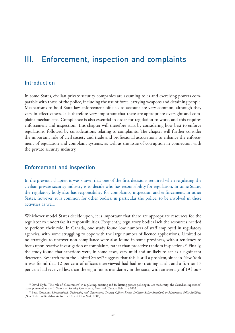# III. Enforcement, inspection and complaints

# Introduction

In some States, civilian private security companies are assuming roles and exercising powers comparable with those of the police, including the use of force, carrying weapons and detaining people. Mechanisms to hold State law enforcement officials to account are very common, although they vary in effectiveness. It is therefore very important that there are appropriate oversight and complaint mechanisms. Compliance is also essential in order for regulation to work, and this requires enforcement and inspection. This chapter will therefore start by considering how best to enforce regulations, followed by considerations relating to complaints. The chapter will further consider the important role of civil society and trade and professional associations to enhance the enforcement of regulation and complaint systems, as well as the issue of corruption in connection with the private security industry.

# Enforcement and inspection

In the previous chapter, it was shown that one of the first decisions required when regulating the civilian private security industry is to decide who has responsibility for regulation. In some States, the regulatory body also has responsibility for complaints, inspection and enforcement. In other States, however, it is common for other bodies, in particular the police, to be involved in these activities as well.

Whichever model States decide upon, it is important that there are appropriate resources for the regulator to undertake its responsibilities. Frequently, regulatory bodies lack the resources needed to perform their role. In Canada, one study found low numbers of staff employed in regulatory agencies, with some struggling to cope with the large number of licence applications. Limited or no strategies to uncover non-compliance were also found in some provinces, with a tendency to focus upon reactive investigation of complaints, rather than proactive random inspections.<sup>69</sup> Finally, the study found that sanctions were, in some cases, very mild and unlikely to act as a significant deterrent. Research from the United States<sup>70</sup> suggests that this is still a problem, since in New York it was found that 12 per cent of officers interviewed had had no training at all, and a further 17 per cent had received less than the eight hours mandatory in the state, with an average of 19 hours

<sup>69</sup> David Hyde, "The role of 'Government' in regulating, auditing and facilitating private policing in late modernity: the Canadian experience",

<sup>&</sup>lt;sup>70</sup> Betsy Gotbaum, Undertrained, Underpaid, and Unprepared: Security Officers Report Deficient Safety Standards in Manhattan Office Buildings (New York, Public Advocate for the City of New York, 2005).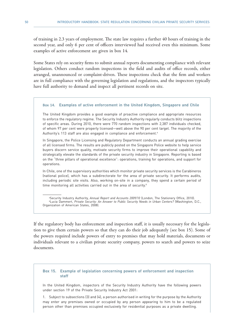of training in 2.3 years of employment. The state law requires a further 40 hours of training in the second year, and only 6 per cent of officers interviewed had received even this minimum. Some examples of active enforcement are given in box 14.

Some States rely on security firms to submit annual reports documenting compliance with relevant legislation. Others conduct random inspections in the field and audits of office records, either arranged, unannounced or complaint-driven. These inspections check that the firm and workers are in full compliance with the governing legislation and regulations, and the inspectors typically have full authority to demand and inspect all pertinent records on site.

#### **Box 14. Examples of active enforcement in the United Kingdom, Singapore and Chile**

The United Kingdom provides a good example of proactive compliance and appropriate resources to enforce the regulatory regime. The Security Industry Authority regularly conducts blitz inspections of specific areas. During 2010, there were 770 random inspections with 2,387 individuals checked, of whom 97 per cent were properly licensed—well above the 90 per cent target. The majority of the Authority's 113 staff are also engaged in compliance and enforcement.*<sup>a</sup>*

In Singapore, the Police Licensing and Regulatory Department conducts an annual grading exercise of all licensed firms. The results are publicly posted on the Singapore Police website to help service buyers discern service quality, motivate security firms to improve their operational capability and strategically elevate the standards of the private security industry in Singapore. Reporting is based on the "three pillars of operational excellence": operations, training for operations, and support for operations.

In Chile, one of the supervisory authorities which monitor private security services is the Carabineros (national police), which has a subdirectorate for the area of private security. It performs audits, including periodic site visits. Also, working on-site in a company, they spend a certain period of time monitoring all activities carried out in the area of security.*<sup>b</sup>*

*a* Security Industry Authority, *Annual Report and Accounts 2009/10* (London, The Stationery Office, 2010). *b* Lucia Dammert, *Private Security: An Answer to Public Security Needs in Urban Centers?* (Washington, D.C., Organization of American States, 2008).

If the regulatory body has enforcement and inspection staff, it is usually necessary for the legislation to give them certain powers so that they can do their job adequately (see box 15). Some of the powers required include powers of entry to premises that may hold materials, documents or individuals relevant to a civilian private security company, powers to search and powers to seize documents.

### **Box 15. Example of legislation concerning powers of enforcement and inspection staff**

In the United Kingdom, inspectors of the Security Industry Authority have the following powers under section 19 of the Private Security Industry Act 2001:

1. Subject to subsections (3) and (4), a person authorised in writing for the purpose by the Authority may enter any premises owned or occupied by any person appearing to him to be a regulated person other than premises occupied exclusively for residential purposes as a private dwelling.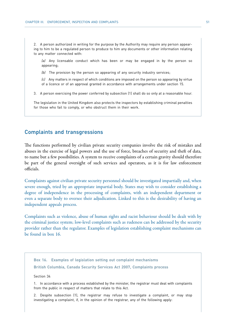2. A person authorized in writing for the purpose by the Authority may require any person appearing to him to be a regulated person to produce to him any documents or other information relating to any matter connected with:

*(a)* Any licensable conduct which has been or may be engaged in by the person so appearing;

*(b)* The provision by the person so appearing of any security industry services;

- *(c)* Any matters in respect of which conditions are imposed on the person so appearing by virtue
- of a licence or of an approval granted in accordance with arrangements under section 15.

3. A person exercising the power conferred by subsection (1) shall do so only at a reasonable hour.

The legislation in the United Kingdom also protects the inspectors by establishing criminal penalties for those who fail to comply, or who obstruct them in their work.

# Complaints and transgressions

The functions performed by civilian private security companies involve the risk of mistakes and abuses in the exercise of legal powers and the use of force, breaches of security and theft of data, to name but a few possibilities. A system to receive complaints of a certain gravity should therefore be part of the general oversight of such services and operators, as it is for law enforcement officials.

Complaints against civilian private security personnel should be investigated impartially and, when severe enough, tried by an appropriate impartial body. States may wish to consider establishing a degree of independence in the processing of complaints, with an independent department or even a separate body to oversee their adjudication. Linked to this is the desirability of having an independent appeals process.

Complaints such as violence, abuse of human rights and racist behaviour should be dealt with by the criminal justice system; low-level complaints such as rudeness can be addressed by the security provider rather than the regulator. Examples of legislation establishing complaint mechanisms can be found in box 16.

**Box 16. Examples of legislation setting out complaint mechanisms British Columbia, Canada Security Services Act 2007, Complaints process**

Section 34

1. In accordance with a process established by the minister, the registrar must deal with complaints from the public in respect of matters that relate to this Act.

2. Despite subsection (1), the registrar may refuse to investigate a complaint, or may stop investigating a complaint, if, in the opinion of the registrar, any of the following apply: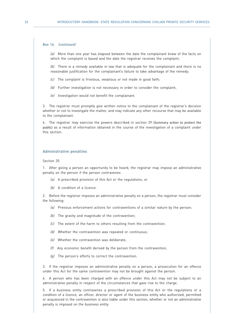#### **Box 16.** *(continued)*

*(a)* More than one year has elapsed between the date the complainant knew of the facts on which the complaint is based and the date the registrar receives the complaint;

*(b)* There is a remedy available in law that is adequate for the complainant and there is no reasonable justification for the complainant's failure to take advantage of the remedy;

- *(c)* The complaint is frivolous, vexatious or not made in good faith;
- *(d)* Further investigation is not necessary in order to consider the complaint;
- *(e)* Investigation would not benefit the complainant.

3. The registrar must promptly give written notice to the complainant of the registrar's decision whether or not to investigate the matter, and may indicate any other recourse that may be available to the complainant.

4. The registrar may exercise the powers described in section 29 (Summary action to protect the public) as a result of information obtained in the course of the investigation of a complaint under this section.

#### **Administrative penalties**

#### Section 35

1. After giving a person an opportunity to be heard, the registrar may impose an administrative penalty on the person if the person contravenes:

- *(a)* A prescribed provision of this Act or the regulations, or
- *(b)* A condition of a licence.

2. Before the registrar imposes an administrative penalty on a person, the registrar must consider the following:

- *(a)* Previous enforcement actions for contraventions of a similar nature by the person;
- *(b)* The gravity and magnitude of the contravention;
- *(c)* The extent of the harm to others resulting from the contravention;
- *(d)* Whether the contravention was repeated or continuous;
- *(e)* Whether the contravention was deliberate;
- *(f)* Any economic benefit derived by the person from the contravention;
- *(g)* The person's efforts to correct the contravention.

3. If the registrar imposes an administrative penalty on a person, a prosecution for an offence under this Act for the same contravention may not be brought against the person.

4. A person who has been charged with an offence under this Act may not be subject to an administrative penalty in respect of the circumstances that gave rise to the charge.

5. If a business entity contravenes a prescribed provision of this Act or the regulations or a condition of a licence, an officer, director or agent of the business entity who authorized, permitted or acquiesced in the contravention is also liable under this section, whether or not an administrative penalty is imposed on the business entity.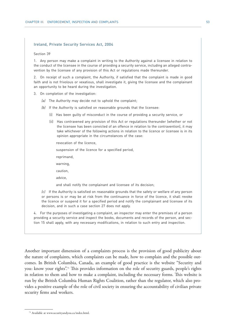#### **Ireland, Private Security Services Act, 2004**

#### Section 39

1. Any person may make a complaint in writing to the Authority against a licensee in relation to the conduct of the licensee in the course of providing a security service, including an alleged contravention by the licensee of any provision of this Act or regulations made thereunder.

2. On receipt of such a complaint, the Authority, if satisfied that the complaint is made in good faith and is not frivolous or vexatious, shall investigate it, giving the licensee and the complainant an opportunity to be heard during the investigation.

- 3. On completion of the investigation:
	- *(a)* The Authority may decide not to uphold the complaint;
	- *(b)* If the Authority is satisfied on reasonable grounds that the licensee:
		- (i) Has been guilty of misconduct in the course of providing a security service, or
		- (ii) Has contravened any provision of this Act or regulations thereunder (whether or not the licensee has been convicted of an offence in relation to the contravention), it may take whichever of the following actions in relation to the licence or licensee is in its opinion appropriate in the circumstances of the case:
			- revocation of the licence,
			- suspension of the licence for a specified period,
			- reprimand,
			- warning,

caution,

advice,

and shall notify the complainant and licensee of its decision;

*(c)* If the Authority is satisfied on reasonable grounds that the safety or welfare of any person or persons is or may be at risk from the continuance in force of the licence, it shall revoke the licence or suspend it for a specified period and notify the complainant and licensee of its decision, and in such a case section 27 does not apply.

4. For the purposes of investigating a complaint, an inspector may enter the premises of a person providing a security service and inspect the books, documents and records of the person, and section 15 shall apply, with any necessary modifications, in relation to such entry and inspection.

Another important dimension of a complaints process is the provision of good publicity about the nature of complaints, which complaints can be made, how to complain and the possible outcomes. In British Columbia, Canada, an example of good practice is the website "Security and you: know your rights".<sup>71</sup> This provides information on the role of security guards, people's rights in relation to them and how to make a complaint, including the necessary forms. This website is run by the British Columbia Human Rights Coalition, rather than the regulator, which also provides a positive example of the role of civil society in ensuring the accountability of civilian private security firms and workers.

<sup>71</sup> Available at www.securityandyou.ca/index.html.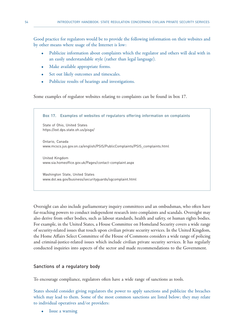Good practice for regulators would be to provide the following information on their websites and by other means where usage of the Internet is low:

- Publicize information about complaints which the regulator and others will deal with in an easily understandable style (rather than legal language).
- Make available appropriate forms.
- Set out likely outcomes and timescales.
- Publicize results of hearings and investigations.

Some examples of regulator websites relating to complaints can be found in box 17.

**Box 17. Examples of websites of regulators offering information on complaints** State of Ohio, United States https://ext.dps.state.oh.us/pisgx/ Ontario, Canada www.mcscs.jus.gov.on.ca/english/PSIS/PublicComplaints/PSIS\_complaints.html United Kingdom www.sia.homeoffice.gov.uk/Pages/contact-complaint.aspx Washington State, United States www.dol.wa.gov/business/securityguards/sgcomplaint.html

Oversight can also include parliamentary inquiry committees and an ombudsman, who often have far-reaching powers to conduct independent research into complaints and scandals. Oversight may also derive from other bodies, such as labour standards, health and safety, or human rights bodies. For example, in the United States, a House Committee on Homeland Security covers a wide range of security-related issues that touch upon civilian private security services. In the United Kingdom, the Home Affairs Select Committee of the House of Commons considers a wide range of policing and criminal-justice-related issues which include civilian private security services. It has regularly conducted inquiries into aspects of the sector and made recommendations to the Government.

# Sanctions of a regulatory body

To encourage compliance, regulators often have a wide range of sanctions as tools.

States should consider giving regulators the power to apply sanctions and publicize the breaches which may lead to them. Some of the most common sanctions are listed below; they may relate to individual operatives and/or providers:

Issue a warning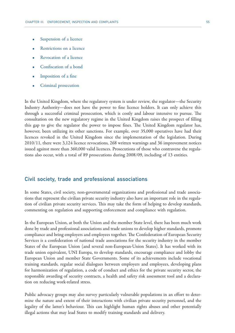- Suspension of a licence
- Restrictions on a licence
- Revocation of a licence
- Confiscation of a bond
- Imposition of a fine
- Criminal prosecution

In the United Kingdom, where the regulatory system is under review, the regulator—the Security Industry Authority—does not have the power to fine licence holders. It can only achieve this through a successful criminal prosecution, which is costly and labour intensive to pursue. The consultation on the new regulatory regime in the United Kingdom raises the prospect of filling this gap to give the regulator the power to impose fines. The United Kingdom regulator has, however, been utilizing its other sanctions. For example, over 35,000 operatives have had their licences revoked in the United Kingdom since the implementation of the legislation. During 2010/11, there were 3,124 licence revocations, 268 written warnings and 36 improvement notices issued against more than 360,000 valid licences. Prosecutions of those who contravene the regulations also occur, with a total of 89 prosecutions during 2008/09, including of 13 entities.

# Civil society, trade and professional associations

In some States, civil society, non-governmental organizations and professional and trade associations that represent the civilian private security industry also have an important role in the regulation of civilian private security services. This may take the form of helping to develop standards, commenting on regulation and supporting enforcement and compliance with regulation.

In the European Union, at both the Union and the member State level, there has been much work done by trade and professional associations and trade unions to develop higher standards, promote compliance and bring employers and employees together. The Confederation of European Security Services is a confederation of national trade associations for the security industry in the member States of the European Union (and several non-European-Union States). It has worked with its trade union equivalent, UNI Europa, to develop standards, encourage compliance and lobby the European Union and member State Governments. Some of its achievements include vocational training standards, regular social dialogues between employers and employees, developing plans for harmonization of regulation, a code of conduct and ethics for the private security sector, the responsible awarding of security contracts, a health and safety risk assessment tool and a declaration on reducing work-related stress.

Public advocacy groups may also survey particularly vulnerable populations in an effort to determine the nature and extent of their interactions with civilian private security personnel, and the legality of the latter's behaviour. This can highlight human rights abuses and other potentially illegal actions that may lead States to modify training standards and delivery.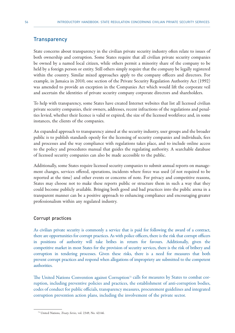# **Transparency**

State concerns about transparency in the civilian private security industry often relate to issues of both ownership and corruption. Some States require that all civilian private security companies be owned by a named local citizen, while others permit a minority share of the company to be held by a foreign person or entity. Still others simply require that the company be legally registered within the country. Similar mixed approaches apply to the company officers and directors. For example, in Jamaica in 2010, one section of the Private Security Regulation Authority Act (1992) was amended to provide an exception in the Companies Act which would lift the corporate veil and ascertain the identities of private security company corporate directors and shareholders.

To help with transparency, some States have created Internet websites that list all licensed civilian private security companies, their owners, addresses, recent infractions of the regulations and penalties levied, whether their licence is valid or expired, the size of the licensed workforce and, in some instances, the clients of the companies.

An expanded approach to transparency aimed at the security industry, user groups and the broader public is to publish standards openly for the licensing of security companies and individuals, fees and processes and the way compliance with regulations takes place, and to include online access to the policy and procedures manual that guides the regulating authority. A searchable database of licensed security companies can also be made accessible to the public.

Additionally, some States require licensed security companies to submit annual reports on management changes, services offered, operations, incidents where force was used (if not required to be reported at the time) and other events or concerns of note. For privacy and competitive reasons, States may choose not to make these reports public or structure them in such a way that they could become publicly available. Bringing both good and bad practices into the public arena in a transparent manner can be a positive approach to enhancing compliance and encouraging greater professionalism within any regulated industry.

# Corrupt practices

As civilian private security is commonly a service that is paid for following the award of a contract, there are opportunities for corrupt practices. As with police officers, there is the risk that corrupt officers in positions of authority will take bribes in return for favours. Additionally, given the competitive market in most States for the provision of security services, there is the risk of bribery and corruption in tendering processes. Given these risks, there is a need for measures that both prevent corrupt practices and respond when allegations of impropriety are submitted to the competent authorities.

The United Nations Convention against Corruption<sup>72</sup> calls for measures by States to combat corruption, including preventive policies and practices, the establishment of anti-corruption bodies, codes of conduct for public officials, transparency measures, procurement guidelines and integrated corruption prevention action plans, including the involvement of the private sector.

<sup>72</sup> United Nations, *Treaty Series,* vol. 2349, No. 42146.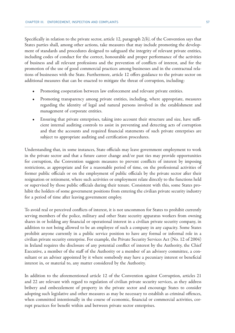Specifically in relation to the private sector, article 12, paragraph 2*(b)*, of the Convention says that States parties shall, among other actions, take measures that may include promoting the development of standards and procedures designed to safeguard the integrity of relevant private entities, including codes of conduct for the correct, honourable and proper performance of the activities of business and all relevant professions and the prevention of conflicts of interest, and for the promotion of the use of good commercial practices among businesses and in the contractual relations of businesses with the State. Furthermore, article 12 offers guidance to the private sector on additional measures that can be enacted to mitigate the threat of corruption, including:

- Promoting cooperation between law enforcement and relevant private entities.
- Promoting transparency among private entities, including, where appropriate, measures regarding the identity of legal and natural persons involved in the establishment and management of corporate entities.
- Ensuring that private enterprises, taking into account their structure and size, have sufficient internal auditing controls to assist in preventing and detecting acts of corruption and that the accounts and required financial statements of such private enterprises are subject to appropriate auditing and certification procedures.

Understanding that, in some instances, State officials may leave government employment to work in the private sector and that a future career change and/or past ties may provide opportunities for corruption, the Convention suggests measures to prevent conflicts of interest by imposing restrictions, as appropriate and for a reasonable period of time, on the professional activities of former public officials or on the employment of public officials by the private sector after their resignation or retirement, where such activities or employment relate directly to the functions held or supervised by those public officials during their tenure. Consistent with this, some States prohibit the holders of some government positions from entering the civilian private security industry for a period of time after leaving government employ.

To avoid real or perceived conflicts of interest, it is not uncommon for States to prohibit currently serving members of the police, military and other State security apparatus workers from owning shares in or holding any financial or operational interest in a civilian private security company, in addition to not being allowed to be an employee of such a company in any capacity. Some States prohibit anyone currently in a public service position to have any formal or informal role in a civilian private security enterprise. For example, the Private Security Services Act (No. 12 of 2004) in Ireland requires the disclosure of any potential conflict of interest by the Authority, the Chief Executive, a member of the staff of the Authority or a member of an advisory committee, a consultant or an adviser appointed by it where somebody may have a pecuniary interest or beneficial interest in, or material to, any matter considered by the Authority.

In addition to the aforementioned article 12 of the Convention against Corruption, articles 21 and 22 are relevant with regard to regulation of civilian private security services, as they address bribery and embezzlement of property in the private sector and encourage States to consider adopting such legislative and other measures as may be necessary to establish as criminal offences, when committed intentionally in the course of economic, financial or commercial activities, corrupt practices for benefit within and between private sector enterprises.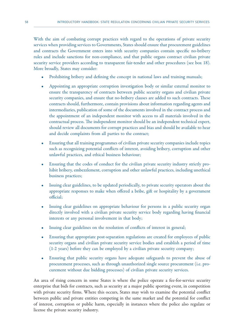With the aim of combating corrupt practices with regard to the operations of private security services when providing services to Governments, States should ensure that procurement guidelines and contracts the Government enters into with security companies contain specific no-bribery rules and include sanctions for non-compliance, and that public organs contract civilian private security service providers according to transparent fair-tender and other procedures (see box 18). More broadly, States may consider:

- Prohibiting bribery and defining the concept in national laws and training manuals;
- Appointing an appropriate corruption investigation body or similar external monitor to ensure the transparency of contracts between public security organs and civilian private security companies, and ensure that no-bribery clauses are added to such contracts. These contracts should, furthermore, contain provisions about information regarding agents and intermediaries, publication of some of the documents involved in the contract process and the appointment of an independent monitor with access to all materials involved in the contractual process. The independent monitor should be an independent technical expert, should review all documents for corrupt practices and bias and should be available to hear and decide complaints from all parties to the contract;
- Ensuring that all training programmes of civilian private security companies include topics such as recognizing potential conflicts of interest, avoiding bribery, corruption and other unlawful practices, and ethical business behaviour;
- Ensuring that the codes of conduct for the civilian private security industry strictly prohibit bribery, embezzlement, corruption and other unlawful practices, including unethical business practices;
- Issuing clear guidelines, to be updated periodically, to private security operators about the appropriate responses to make when offered a bribe, gift or hospitality by a government official;
- Issuing clear guidelines on appropriate behaviour for persons in a public security organ directly involved with a civilian private security service body regarding having financial interests or any personal involvement in that body;
- Issuing clear guidelines on the resolution of conflicts of interest in general;
- Ensuring that appropriate post-separation regulations are created for employees of public security organs and civilian private security service bodies and establish a period of time (1-2 years) before they can be employed by a civilian private security company;
- Ensuring that public security organs have adequate safeguards to prevent the abuse of procurement processes, such as through unauthorized single source procurement (i.e. procurement without due bidding processes) of civilian private security services.

An area of rising concern in some States is where the police operate a fee-for-service security enterprise that bids for contracts, such as security at a major public sporting event, in competition with private security firms. Where this occurs, States may wish to examine the potential conflict between public and private entities competing in the same market and the potential for conflict of interest, corruption or public harm, especially in instances where the police also regulate or license the private security industry.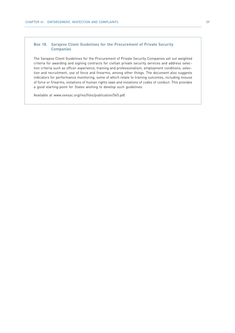### **Box 18. Sarajevo Client Guidelines for the Procurement of Private Security Companies**

The Sarajevo Client Guidelines for the Procurement of Private Security Companies set out weighted criteria for awarding and signing contracts for civilian private security services and address selection criteria such as officer experience, training and professionalism, employment conditions, selection and recruitment, use of force and firearms, among other things. The document also suggests indicators for performance monitoring, some of which relate to training outcomes, including misuse of force or firearms, violations of human rights laws and violations of codes of conduct. This provides a good starting-point for States wishing to develop such guidelines.

Available at www.seesac.org/res/files/publication/545.pdf.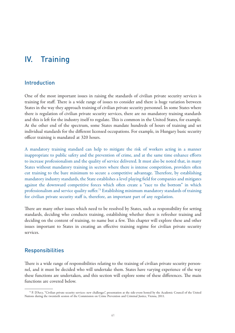# IV. Training

# Introduction

One of the most important issues in raising the standards of civilian private security services is training for staff. There is a wide range of issues to consider and there is huge variation between States in the way they approach training of civilian private security personnel. In some States where there is regulation of civilian private security services, there are no mandatory training standards and this is left for the industry itself to regulate. This is common in the United States, for example. At the other end of the spectrum, some States mandate hundreds of hours of training and set individual standards for the different licensed occupations. For example, in Hungary basic security officer training is mandated at 320 hours.

A mandatory training standard can help to mitigate the risk of workers acting in a manner inappropriate to public safety and the prevention of crime, and at the same time enhance efforts to increase professionalism and the quality of service delivered. It must also be noted that, in many States without mandatory training in sectors where there is intense competition, providers often cut training to the bare minimum to secure a competitive advantage. Therefore, by establishing mandatory industry standards, the State establishes a level playing field for companies and mitigates against the downward competitive forces which often create a "race to the bottom" in which professionalism and service quality suffer.73 Establishing minimum mandatory standards of training for civilian private security staff is, therefore, an important part of any regulation.

There are many other issues which need to be resolved by States, such as responsibility for setting standards, deciding who conducts training, establishing whether there is refresher training and deciding on the content of training, to name but a few. This chapter will explore these and other issues important to States in creating an effective training regime for civilian private security services.

# **Responsibilities**

There is a wide range of responsibilities relating to the training of civilian private security personnel, and it must be decided who will undertake them. States have varying experience of the way these functions are undertaken, and this section will explore some of these differences. The main functions are covered below.

<sup>73</sup> P. D'Arcy, "Civilian private security services: new challenges", presentation at the side-event hosted by the Academic Council of the United Nations during the twentieth session of the Commission on Crime Prevention and Criminal Justice, Vienna, 2011.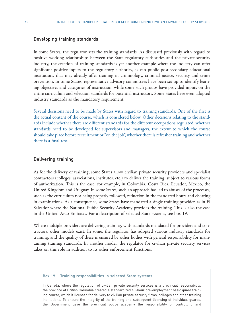# Developing training standards

In some States, the regulator sets the training standards. As discussed previously with regard to positive working relationships between the State regulatory authorities and the private security industry, the creation of training standards is yet another example where the industry can offer significant positive inputs to the regulatory authority, as can public post-secondary educational institutions that may already offer training in criminology, criminal justice, security and crime prevention. In some States, representative advisory committees have been set up to identify learning objectives and categories of instruction, while some such groups have provided inputs on the entire curriculum and selection standards for potential instructors. Some States have even adopted industry standards as the mandatory requirement.

Several decisions need to be made by States with regard to training standards. One of the first is the actual content of the course, which is considered below. Other decisions relating to the standards include whether there are different standards for the different occupations regulated, whether standards need to be developed for supervisors and managers, the extent to which the course should take place before recruitment or "on the job", whether there is refresher training and whether there is a final test.

### Delivering training

As for the delivery of training, some States allow civilian private security providers and specialist contractors (colleges, associations, institutes, etc.) to deliver the training, subject to various forms of authorization. This is the case, for example, in Colombia, Costa Rica, Ecuador, Mexico, the United Kingdom and Uruguay. In some States, such an approach has led to abuses of the processes, such as the curriculum not being properly followed, reduction in the mandated hours and cheating in examinations. As a consequence, some States have mandated a single training provider, as in El Salvador where the National Public Security Academy provides the training. This is also the case in the United Arab Emirates. For a description of selected State systems, see box 19.

Where multiple providers are delivering training, with standards mandated for providers and contractors, other models exist. In some, the regulator has adopted various industry standards for training, and the quality of these is ensured by other bodies with general responsibility for maintaining training standards. In another model, the regulator for civilian private security services takes on this role in addition to its other enforcement functions.

#### **Box 19. Training responsibilities in selected State systems**

In Canada, where the regulation of civilian private security services is a provincial responsibility, the province of British Columbia created a standardized 40-hour pre-employment basic guard training course, which it licensed for delivery to civilian private security firms, colleges and other training institutions. To ensure the integrity of the training and subsequent licensing of individual guards, the Government gave the provincial police academy the responsibility of controlling and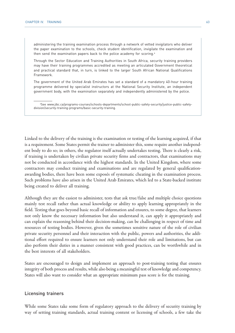administering the training examination process through a network of vetted invigilators who deliver the paper examination to the schools, check student identification, invigilate the examination and then send the examination papers back to the police academy for scoring.<sup>a</sup>

Through the Sector Education and Training Authorities in South Africa, security training providers may have their training programmes accredited as meeting an articulated Government theoretical and practical standard that, in turn, is linked to the larger South African National Qualifications Framework.

The government of the United Arab Emirates has set a standard of a mandatory 40-hour training programme delivered by specialist instructors at the National Security Institute, an independent government body, with the examination separately and independently administered by the police.

*a* See www.jibc.ca/programs-courses/schools-departments/school-public-safety-security/justice-public-safetydivision/security-training-programs/basic-security-training.

Linked to the delivery of the training is the examination or testing of the learning acquired, if that is a requirement. Some States permit the trainer to administer this, some require another independent body to do so; in others, the regulator itself actually undertakes testing. There is clearly a risk, if training is undertaken by civilian private security firms and contractors, that examinations may not be conducted in accordance with the highest standards. In the United Kingdom, where some contractors may conduct training and examinations and are regulated by general qualificationawarding bodies, there have been some exposés of systematic cheating in the examination process. Such problems have also arisen in the United Arab Emirates, which led to a State-backed institute being created to deliver all training.

Although they are the easiest to administer, tests that ask true/false and multiple choice questions mainly test recall rather than actual knowledge or ability to apply learning appropriately in the field. Testing that goes beyond basic recall of information and ensures, to some degree, that learners not only know the necessary information but also understand it, can apply it appropriately and can explain the reasoning behind their decision-making, can be challenging in respect of time and resources of testing bodies. However, given the sometimes sensitive nature of the role of civilian private security personnel and their interaction with the public, powers and authorities, the additional effort required to ensure learners not only understand their role and limitations, but can also perform their duties in a manner consistent with good practices, can be worthwhile and in the best interests of all stakeholders.

States are encouraged to design and implement an approach to post-training testing that ensures integrity of both process and results, while also being a meaningful test of knowledge and competency. States will also want to consider what an appropriate minimum pass score is for the training.

## Licensing trainers

While some States take some form of regulatory approach to the delivery of security training by way of setting training standards, actual training content or licensing of schools, a few take the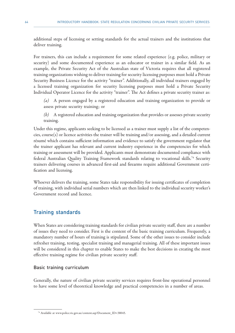additional steps of licensing or setting standards for the actual trainers and the institutions that deliver training.

For trainers, this can include a requirement for some related experience (e.g. police, military or security) and some documented experience as an educator or trainer in a similar field. As an example, the Private Security Act of the Australian state of Victoria requires that all registered training organizations wishing to deliver training for security licensing purposes must hold a Private Security Business Licence for the activity "trainer". Additionally, all individual trainers engaged by a licensed training organization for security licensing purposes must hold a Private Security Individual Operator Licence for the activity "trainer". The Act defines a private security trainer as:

*(a)* A person engaged by a registered education and training organization to provide or assess private security training; or

*(b)* A registered education and training organization that provides or assesses private security training.

Under this regime, applicants seeking to be licensed as a trainer must supply a list of the competencies, course(s) or licence activities the trainer will be training and/or assessing, and a detailed current résumé which contains sufficient information and evidence to satisfy the government regulator that the trainer applicant has relevant and current industry experience in the competencies for which training or assessment will be provided. Applicants must demonstrate documented compliance with federal Australian Quality Training Framework standards relating to vocational skills.<sup>74</sup> Security trainers delivering courses in advanced first-aid and firearms require additional Government certification and licensing.

Whoever delivers the training, some States take responsibility for issuing certificates of completion of training, with individual serial numbers which are then linked to the individual security worker's Government record and licence.

# Training standards

When States are considering training standards for civilian private security staff, there are a number of issues they need to consider. First is the content of the basic training curriculum. Frequently, a mandatory number of hours of training is stipulated. Some of the other issues to consider include refresher training, testing, specialist training and managerial training. All of these important issues will be considered in this chapter to enable States to make the best decisions in creating the most effective training regime for civilian private security staff.

## Basic training curriculum

Generally, the nature of civilian private security services requires front-line operational personnel to have some level of theoretical knowledge and practical competencies in a number of areas.

<sup>74</sup> Available at www.police.vic.gov.au/content.asp?Document\_ID=38045.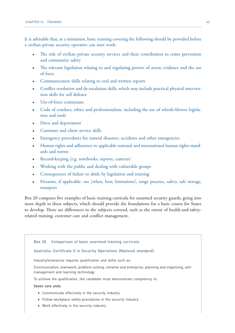It is advisable that, at a minimum, basic training covering the following should be provided before a civilian private security operative can start work:

- The role of civilian private security services and their contribution to crime prevention and community safety
- The relevant legislation relating to and regulating powers of arrest, evidence and the use of force
- Communication skills relating to oral and written reports
- Conflict resolution and de-escalation skills, which may include practical physical intervention skills for self defence
- Use-of-force continuum
- Code of conduct, ethics and professionalism, including the use of whistle-blower legislation and tools
- Dress and deportment
- Customer and client service skills
- Emergency procedures for natural disasters, accidents and other emergencies.
- Human rights and adherence to applicable national and international human rights standards and norms
- Record-keeping (e.g. notebooks, reports, cameras)
- Working with the public and dealing with vulnerable groups
- Consequences of failure to abide by legislation and training
- Firearms, if applicable: use (when, how, limitations), range practice, safety, safe storage, transport

Box 20 compares five examples of basic training curricula for unarmed security guards, going into more depth in these subjects, which should provide the foundations for a basic course for States to develop. There are differences in the subjects covered, such as the extent of health-and-safetyrelated training, customer care and conflict management.

### **Box 20. Comparison of basic unarmed training curricula**

### **Australia: Certificate II in Security Operations (National standard)**

Industry/enterprise requires qualification and skills such as:

Communication, teamwork, problem-solving, initiative and enterprise, planning and organizing, selfmanagement and learning technology

To achieve the qualification, the candidate must demonstrate competency in:

### Seven core units

- Communicate effectively in the security industry
- Follow workplace safety procedures in the security industry
- Work effectively in the security industry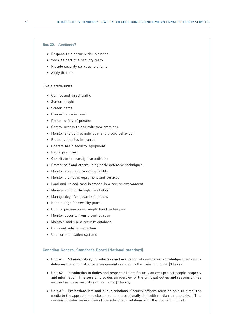### **Box 20.** *(continued)*

- Respond to a security risk situation
- Work as part of a security team
- Provide security services to clients
- Apply first aid

#### Five elective units

- Control and direct traffic
- Screen people
- Screen items
- Give evidence in court
- Protect safety of persons
- Control access to and exit from premises
- Monitor and control individual and crowd behaviour
- Protect valuables in transit
- Operate basic security equipment
- Patrol premises
- Contribute to investigative activities
- Protect self and others using basic defensive techniques
- Monitor electronic reporting facility
- Monitor biometric equipment and services
- Load and unload cash in transit in a secure environment
- Manage conflict through negotiation
- Manage dogs for security functions
- Handle dogs for security patrol
- Control persons using empty hand techniques
- Monitor security from a control room
- Maintain and use a security database
- Carry out vehicle inspection
- Use communication systems

### **Canadian General Standards Board (National standard)**

- Unit A1. Administration, introduction and evaluation of candidates' knowledge: Brief candidates on the administrative arrangements related to the training course (3 hours).
- Unit A2. Introduction to duties and responsibilities: Security officers protect people, property and information. This session provides an overview of the principal duties and responsibilities involved in these security requirements (2 hours).
- Unit A3. Professionalism and public relations: Security officers must be able to direct the media to the appropriate spokesperson and occasionally deal with media representatives. This session provides an overview of the role of and relations with the media (3 hours).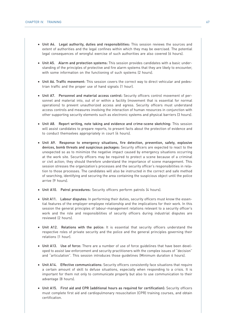- Unit A4. Legal authority, duties and responsibilities: This session reviews the sources and extent of authorities and the legal confines within which they may be exercised. The potential legal consequences of wrongful exercise of such authorities are also covered (6 hours).
- Unit A5. Alarm and protection systems: This session provides candidates with a basic understanding of the principles of protective and fire alarm systems that they are likely to encounter, with some information on the functioning of such systems (2 hours).
- Unit A6. Traffic movement: This session covers the correct way to direct vehicular and pedestrian traffic and the proper use of hand signals (1 hour).
- Unit A7. Personnel and material access control: Security officers control movement of personnel and material into, out of or within a facility (movement that is essential for normal operations) to prevent unauthorized access and egress. Security officers must understand access controls and measures involving the interaction of human resources in conjunction with other supporting security elements such as electronic systems and physical barriers (3 hours).
- Unit A8. Report writing, note taking and evidence and crime-scene sketching: This session will assist candidates to prepare reports, to present facts about the protection of evidence and to conduct themselves appropriately in court (4 hours).
- Unit A9. Response to emergency situations, fire detection, prevention, safety, explosive devices, bomb threats and suspicious packages: Security officers are expected to react to the unexpected so as to minimize the negative impact caused by emergency situations occurring at the work site. Security officers may be required to protect a scene because of a criminal or civil action; they should therefore understand the importance of scene management. This session stresses the organization's processes and the security officer's responsibilities in relation to those processes. The candidates will also be instructed in the correct and safe method of searching, identifying and securing the area containing the suspicious object until the police arrive (9 hours).
- Unit A10. Patrol procedures: Security officers perform patrols (4 hours).
- Unit A11. Labour disputes: In performing their duties, security officers must know the essential features of the employer-employee relationship and the implications for their work. In this session the general principles of labour-management relations relevant to a security officer's work and the role and responsibilities of security officers during industrial disputes are reviewed (2 hours).
- Unit A12. Relations with the police: It is essential that security officers understand the respective roles of private security and the police and the general principles governing their relations (1 hour).
- Unit A13. Use of force: There are a number of use of force guidelines that have been developed to assist law enforcement and security practitioners with the complex issues of "decision" and "articulation". This session introduces those guidelines (Minimum duration 6 hours).
- Unit A14. Effective communications: Security officers consistently face situations that require a certain amount of skill to defuse situations, especially when responding to a crisis. It is important for them not only to communicate properly but also to use communication to their advantage (8 hours).
- Unit A15. First aid and CPR (additional hours as required for certification): Security officers must complete first aid and cardiopulmonary resuscitation (CPR) training courses, and obtain certification.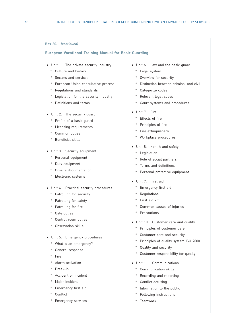### **Box 20.** *(continued)*

#### **European Vocational Training Manual for Basic Guarding**

- Unit 1. The private security industry
	- ° Culture and history
	- ° Sectors and services
	- ° European Union consultative process
	- ° Regulations and standards
	- Legislation for the security industry
	- ° Definitions and terms
- Unit 2. The security guard
	- ° Profile of a basic guard
	- ° Licensing requirements
	- ° Common duties
	- ° Beneficial skills
- Unit 3. Security equipment
	- ° Personal equipment
	- ° Duty equipment
	- ° On-site documentation
	- ° Electronic systems
- Unit 4. Practical security procedures
	- ° Patrolling for security
	- ° Patrolling for safety
	- ° Patrolling for fire
	- ° Gate duties
	- ° Control room duties
	- ° Observation skills
- Unit 5. Emergency procedures
	- ° What is an emergency?
	- ° General response
	- ° Fire
	- ° Alarm activation
	- ° Break-in
	- ° Accident or incident
	- ° Major incident
	- ° Emergency first aid
	- ° Conflict
	- Emergency services
- Unit 6. Law and the basic guard
	- ° Legal system
	- ° Overview for security
	- ° Distinction between criminal and civil
	- ° Categorize codes
	- ° Relevant legal codes
	- ° Court systems and procedures
- Unit 7. Fire
	- ° Effects of fire
	- ° Principles of fire
	- ° Fire extinguishers
	- ° Workplace procedures
- Unit 8. Health and safety
	- ° Legislation
	- ° Role of social partners
	- ° Terms and definitions
	- ° Personal protective equipment
- Unit 9. First aid
	- ° Emergency first aid
	- ° Regulations
	- ° First aid kit
	- ° Common causes of injuries
	- ° Precautions
- Unit 10. Customer care and quality
	- ° Principles of customer care
	- ° Customer care and security
	- ° Principles of quality system ISO 9000
	- ° Quality and security
	- ° Customer responsibility for quality
- Unit 11. Communications
	- ° Communication skills
	- ° Recording and reporting
	- ° Conflict defusing
	- ° Information to the public
	- ° Following instructions
	- ° Teamwork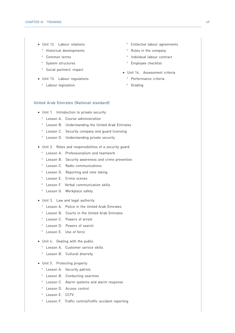- Unit 12. Labour relations
	- ° Historical developments
	- ° Common terms
	- ° System structures
	- ° Social partners' impact
- Unit 13. Labour regulations
	- ° Labour legislation
- ° Collective labour agreements
- ° Rules in the company
- ° Individual labour contract
- ° Employee checklist
- Unit 14. Assessment criteria
	- ° Performance criteria
	- ° Grading

### **United Arab Emirates (National standard)**

- Unit 1. Introduction to private security
	- ° Lesson A. Course administration
	- ° Lesson B. Understanding the United Arab Emirates
	- ° Lesson C. Security company and guard licensing
	- ° Lesson D. Understanding private security
- Unit 2. Roles and responsibilities of a security guard
	- ° Lesson A. Professionalism and teamwork
	- ° Lesson B. Security awareness and crime prevention
	- ° Lesson C. Radio communications
	- ° Lesson D. Reporting and note taking
	- ° Lesson E. Crime scenes
	- ° Lesson F. Verbal communication skills
	- ° Lesson G. Workplace safety
- Unit 3. Law and legal authority
	- ° Lesson A. Police in the United Arab Emirates
	- ° Lesson B. Courts in the United Arab Emirates
	- ° Lesson C. Powers of arrest
	- ° Lesson D. Powers of search
	- ° Lesson E. Use of force
- Unit 4. Dealing with the public
	- ° Lesson A. Customer service skills
	- ° Lesson B. Cultural diversity
- Unit 5. Protecting property
	- ° Lesson A. Security patrols
	- ° Lesson B. Conducting searches
	- ° Lesson C. Alarm systems and alarm response
	- ° Lesson D. Access control
	- ° Lesson E. CCTV
	- ° Lesson F. Traffic control/traffic accident reporting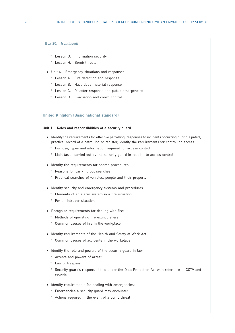### **Box 20.** *(continued)*

- ° Lesson G. Information security
- ° Lesson H. Bomb threats
- Unit 6. Emergency situations and responses
	- ° Lesson A. Fire detection and response
	- ° Lesson B. Hazardous material response
	- ° Lesson C. Disaster response and public emergencies
	- ° Lesson D. Evacuation and crowd control

### **United Kingdom (Basic national standard)**

### Unit 1. Roles and responsibilities of a security guard

- Identify the requirements for effective patrolling, responses to incidents occurring during a patrol, practical record of a patrol log or register, identify the requirements for controlling access:
	- ° Purpose, types and information required for access control
	- ° Main tasks carried out by the security guard in relation to access control
- Identify the requirements for search procedures:
	- ° Reasons for carrying out searches
	- ° Practical searches of vehicles, people and their property
- Identify security and emergency systems and procedures:
	- ° Elements of an alarm system in a fire situation
	- ° For an intruder situation
- Recognize requirements for dealing with fire:
	- ° Methods of operating fire extinguishers
	- ° Common causes of fire in the workplace
- Identify requirements of the Health and Safety at Work Act:
	- ° Common causes of accidents in the workplace
- Identify the role and powers of the security guard in law:
	- ° Arrests and powers of arrest
	- ° Law of trespass
	- ° Security guard's responsibilities under the Data Protection Act with reference to CCTV and records
- Identify requirements for dealing with emergencies:
	- ° Emergencies a security guard may encounter
	- ° Actions required in the event of a bomb threat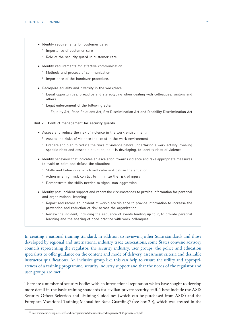- Identify requirements for customer care:
	- ° Importance of customer care
	- ° Role of the security guard in customer care.
- Identify requirements for effective communication:
	- ° Methods and process of communication
	- ° Importance of the handover procedure.
- Recognize equality and diversity in the workplace:
	- ° Equal opportunities, prejudice and stereotyping when dealing with colleagues, visitors and others
	- ° Legal enforcement of the following acts:
		- − Equality Act, Race Relations Act, Sex Discrimination Act and Disability Discrimination Act

### Unit 2. Conflict management for security guards

- Assess and reduce the risk of violence in the work environment:
	- ° Assess the risks of violence that exist in the work environment
	- ° Prepare and plan to reduce the risks of violence before undertaking a work activity involving specific risks and assess a situation, as it is developing, to identify risks of violence
- Identify behaviour that indicates an escalation towards violence and take appropriate measures to avoid or calm and defuse the situation:
	- ° Skills and behaviours which will calm and defuse the situation
	- ° Action in a high risk conflict to minimize the risk of injury
	- ° Demonstrate the skills needed to signal non-aggression
- Identify post incident support and report the circumstances to provide information for personal and organizational learning:
	- ° Report and record an incident of workplace violence to provide information to increase the prevention and reduction of risk across the organization
	- ° Review the incident, including the sequence of events leading up to it, to provide personal learning and the sharing of good practice with work colleagues

In creating a national training standard, in addition to reviewing other State standards and those developed by regional and international industry trade associations, some States convene advisory councils representing the regulator, the security industry, user groups, the police and education specialists to offer guidance on the content and mode of delivery, assessment criteria and desirable instructor qualifications. An inclusive group like this can help to ensure the utility and appropriateness of a training programme, security industry support and that the needs of the regulator and user groups are met.

There are a number of security bodies with an international reputation which have sought to develop more detail in the basic training standards for civilian private security staff. These include the ASIS Security Officer Selection and Training Guidelines (which can be purchased from ASIS) and the European Vocational Training Manual for Basic Guarding<sup>75</sup> (see box 20), which was created in the

<sup>75</sup> See www.eesc.europa.eu/self-and-coregulation/documents/codes/private/138-private-act.pdf.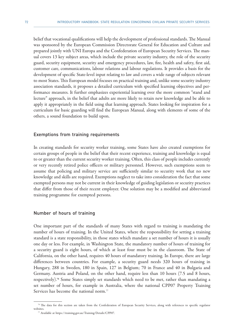belief that vocational qualifications will help the development of professional standards. The Manual was sponsored by the European Commission Directorate General for Education and Culture and prepared jointly with UNI Europa and the Confederation of European Security Services. The manual covers 13 key subject areas, which include the private security industry, the role of the security guard, security equipment, security and emergency procedures, law, fire, health and safety, first aid, customer care, communications, labour relations and labour regulations. It provides a basis for the development of specific State-level input relating to law and covers a wide range of subjects relevant to most States. This European model focuses on practical training and, unlike some security industry association standards, it proposes a detailed curriculum with specified learning objectives and performance measures. It further emphasizes experiential learning over the more common "stand and lecture" approach, in the belief that adults are more likely to retain new knowledge and be able to apply it appropriately in the field using that learning approach. States looking for inspiration for a curriculum for basic guarding will find the European Manual, along with elements of some of the others, a sound foundation to build upon.

### Exemptions from training requirements

In creating standards for security worker training, some States have also created exemptions for certain groups of people in the belief that their recent experience, training and knowledge is equal to or greater than the current security worker training. Often, this class of people includes currently or very recently retired police officers or military personnel. However, such exemptions seem to assume that policing and military service are sufficiently similar to security work that no new knowledge and skills are required. Exemptions neglect to take into consideration the fact that some exempted persons may not be current in their knowledge of guiding legislation or security practices that differ from those of their recent employer. One solution may be a modified and abbreviated training programme for exempted persons.

### Number of hours of training

One important part of the standards of many States with regard to training is mandating the number of hours of training. In the United States, where the responsibility for setting a training standard is a state responsibility, in those states which mandate a set number of hours it is usually one day or less. For example, in Washington State, the mandatory number of hours of training for a security guard is eight hours, of which at least four must be in the classroom. The State of California, on the other hand, requires 40 hours of mandatory training. In Europe, there are large differences between countries. For example, a security guard needs 320 hours of training in Hungary, 288 in Sweden, 180 in Spain, 127 in Belgium; 70 in France and 40 in Bulgaria and Germany. Austria and Poland, on the other hand, require less than 10 hours (7.5 and 8 hours, respectively).76 Some States simply set standards which need to be met, rather than mandating a set number of hours, for example in Australia, where the national CPP07 Property Training Services has become the national norm.<sup>77</sup>

<sup>76</sup> The data for this section are taken from the Confederation of European Security Services, along with references to specific regulator websites. 77 Available at https://training.gov.au/Training/Details/CPP07.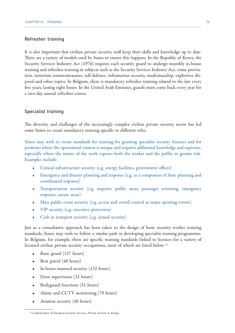## Refresher training

It is also important that civilian private security staff keep their skills and knowledge up to date. There are a variety of models used by States to ensure this happens. In the Republic of Korea, the Security Services Industry Act (1976) requires each security guard to undergo monthly in-house training and refresher training in subjects such as the Security Services Industry Act, crime prevention, terrorism countermeasures, self-defence, information security, marksmanship, explosives disposal and other topics. In Belgium, there is mandatory refresher training related to the law every five years, lasting eight hours. In the United Arab Emirates, guards must come back every year for a two-day annual refresher course.

## Specialist training

The diversity and challenges of the increasingly complex civilian private security sector has led some States to create mandatory training specific to different roles.

States may wish to create standards for training for granting specialist security licences and for positions where the operational context is unique and requires additional knowledge and expertise, especially where the nature of the work exposes both the worker and the public to greater risk. Examples include:

- Critical infrastructure security (e.g. energy facilities, government offices)
- Emergency and disaster planning and response (e.g. as a component of State planning and coordinated response)
- Transportation security (e.g. airports: public areas, passenger screening, emergency response, secure areas)
- Mass public event security (e.g. access and crowd control at major sporting events).
- VIP security (e.g. executive protection)
- Cash in transport security (e.g. armed security)

Just as a consultative approach has been taken to the design of basic security worker training standards, States may wish to follow a similar path in developing specialist training programmes. In Belgium, for example, there are specific training standards linked to licences for a variety of licensed civilian private security occupations, most of which are listed below:78

- Basic guard (127 hours)
- Beat patrol (40 hours)
- In-house manned security (132 hours)
- Door supervision (32 hours)
- Bodyguard functions (51 hours)
- Alarm and CCTV monitoring (70 hours)
- Aviation security (40 hours)

<sup>78</sup> Confederation of European Security Services, *Private Security in Europe*.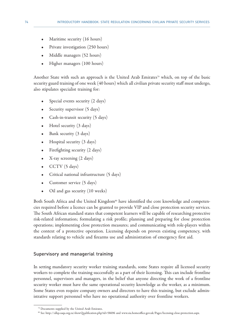- Maritime security (16 hours)
- Private investigation (250 hours)
- Middle managers (52 hours)
- Higher managers (100 hours)

Another State with such an approach is the United Arab Emirates<sup>79</sup> which, on top of the basic security guard training of one week (40 hours) which all civilian private security staff must undergo, also stipulates specialist training for:

- Special events security (2 days)
- Security supervisor (5 days)
- Cash-in-transit security (5 days)
- Hotel security (3 days)
- Bank security (3 days)
- Hospital security (3 days)
- Firefighting security (2 days)
- X-ray screening (2 days)
- CCTV (5 days)
- Critical national infrastructure (5 days)
- Customer service (5 days)
- Oil and gas security (10 weeks)

Both South Africa and the United Kingdom<sup>80</sup> have identified the core knowledge and competencies required before a licence can be granted to provide VIP and close protection security services. The South African standard states that competent learners will be capable of researching protective risk-related information; formulating a risk profile; planning and preparing for close protection operations; implementing close protection measures; and communicating with role-players within the context of a protective operation. Licensing depends on proven existing competency, with standards relating to vehicle and firearms use and administration of emergency first aid.

## Supervisory and managerial training

In setting mandatory security worker training standards, some States require all licensed security workers to complete the training successfully as a part of their licensing. This can include frontline personnel, supervisors and managers, in the belief that anyone directing the work of a frontline security worker must have the same operational security knowledge as the worker, as a minimum. Some States even require company owners and directors to have this training, but exclude administrative support personnel who have no operational authority over frontline workers.

<sup>79</sup> Documents supplied by the United Arab Emirates.

<sup>80</sup> See http://allqs.saqa.org.za/showQualification.php?id=58696 and www.sia.homeoffice.gov.uk/Pages/licensing-close-protection.aspx.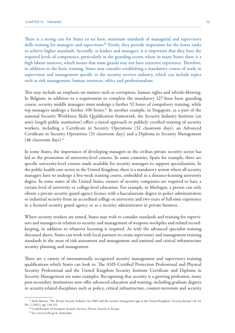There is a strong case for States to set basic minimum standards of managerial and supervisory skills training for managers and supervisors.<sup>81</sup> Firstly, they provide inspiration for the lower ranks to achieve higher standards. Secondly, as leaders and managers, it is important that they have the required levels of competence, particularly in the guarding sector, where in many States there is a high labour turnover, which means that some guards may not have extensive experience. Therefore, in addition to the basic training, States may consider establishing a mandatory course of study in supervision and management specific to the security services industry, which can include topics such as risk management, human resources, ethics and professionalism.

This may include an emphasis on matters such as corruption, human rights and whistle-blowing. In Belgium, in addition to a requirement to complete the mandatory 127-hour basic guarding course, security middle managers must undergo a further 52 hours of compulsory training, while top managers undergo a further 100 hours.<sup>82</sup> In another example, in Singapore, as a part of the national Security Workforce Skills Qualification framework, the Security Industry Institute (an arm's length public institution) offers a tiered approach to publicly certified training of security workers, including a Certificate in Security Operations (32 classroom days), an Advanced Certificate in Security Operations (31 classroom days) and a Diploma in Security Management  $(46$  classroom days).<sup>83</sup>

In some States, the importance of developing managers in the civilian private security sector has led to the promotion of university-level courses. In some countries, Spain for example, there are specific university-level courses made available for security managers to support specialization. In the public health-care sector in the United Kingdom, there is a mandatory system where all security managers have to undergo a five-week training course, embedded in a distance-learning university degree. In some states of the United States, owners of security companies are required to have a certain level of university or college-level education. For example, in Michigan, a person can only obtain a private security guard agency licence with a baccalaureate degree in police administration or industrial security from an accredited college or university and two years of full-time experience in a licensed security guard agency or as a security administrator in private business.

Where security workers are armed, States may wish to consider standards and training for supervisors and managers in relation to security and management of weapons stockpiles and related recordkeeping, in addition to whatever licensing is required. As with the advanced specialist training discussed above, States can work with local partners to create supervisory and management training standards in the areas of risk assessment and management and national and critical infrastructure security planning and management.

There are a variety of internationally recognized security management and supervisory training qualifications which States can look to. The ASIS Certified Protection Professional and Physical Security Professional and the United Kingdom Security Institute Certificate and Diploma in Security Management are some examples. Recognizing that security is a growing profession, many post-secondary institutions now offer advanced education and training, including graduate degrees in security-related disciplines such as policy, critical infrastructure, counter-terrorism and security

<sup>&</sup>lt;sup>81</sup> Mark Button, "The Private Security Industry Act 2001 and the security management gap in the United Kingdom", *Security Journal*, vol. 24, No. 2 (2011), pp. 118-132.

<sup>&</sup>lt;sup>82</sup> Confederation of European Security Services, *Private Security in Europe*. 83 See www.sii.edu.sg/sii\_home.htm.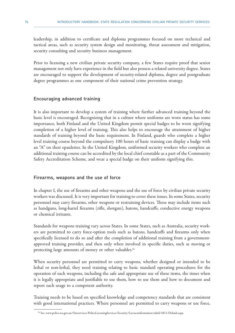leadership, in addition to certificate and diploma programmes focused on more technical and tactical areas, such as security system design and monitoring, threat assessment and mitigation, security consulting and security business management.

Prior to licensing a new civilian private security company, a few States require proof that senior management not only have experience in the field but also possess a related university degree. States are encouraged to support the development of security-related diploma, degree and postgraduate degree programmes as one component of their national crime prevention strategy.

## Encouraging advanced training

It is also important to develop a system of training where further advanced training beyond the basic level is encouraged. Recognizing that in a culture where uniforms are worn status has some importance, both Finland and the United Kingdom permit special badges to be worn signifying completion of a higher level of training. This also helps to encourage the attainment of higher standards of training beyond the basic requirement. In Finland, guards who complete a higher level training course beyond the compulsory 100 hours of basic training can display a badge with an "A" on their epaulettes. In the United Kingdom, uniformed security workers who complete an additional training course can be accredited by the local chief constable as a part of the Community Safety Accreditation Scheme, and wear a special badge on their uniform signifying this.

## Firearms, weapons and the use of force

In chapter I, the use of firearms and other weapons and the use of force by civilian private security workers was discussed. It is very important for training to cover these issues. In some States, security personnel may carry firearms, other weapons or restraining devices. These may include items such as handguns, long-barrel firearms (rifle, shotgun), batons, handcuffs, conductive energy weapons or chemical irritants.

Standards for weapons training vary across States. In some States, such as Australia, security workers are permitted to carry force-option tools such as batons, handcuffs and firearms only when specifically licensed to do so and after the completion of additional training from a governmentapproved training provider, and then only when involved in specific duties, such as moving or protecting large amounts of money or other valuables.<sup>84</sup>

When security personnel are permitted to carry weapons, whether designed or intended to be lethal or non-lethal, they need training relating to basic standard operating procedures for the operation of such weapons, including the safe and appropriate use of these items, the times when it is legally appropriate and justifiable to use them, how to use them and how to document and report such usage to a competent authority.

Training needs to be based on specified knowledge and competency standards that are consistent with good international practices. Where personnel are permitted to carry weapons or use force,

<sup>84</sup> See www.police.wa.gov.au/Ourservices/PoliceLicensingServices/Security/Licenceinformation/tabid/1811/Default.aspx.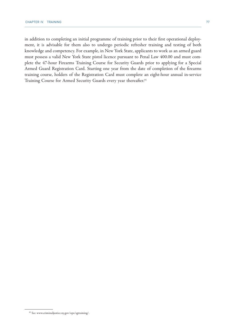in addition to completing an initial programme of training prior to their first operational deployment, it is advisable for them also to undergo periodic refresher training and testing of both knowledge and competency. For example, in New York State, applicants to work as an armed guard must possess a valid New York State pistol licence pursuant to Penal Law 400.00 and must complete the 47-hour Firearms Training Course for Security Guards prior to applying for a Special Armed Guard Registration Card. Starting one year from the date of completion of the firearms training course, holders of the Registration Card must complete an eight-hour annual in-service Training Course for Armed Security Guards every year thereafter.85

<sup>85</sup> See www.criminaljustice.ny.gov/ops/sgtraining/.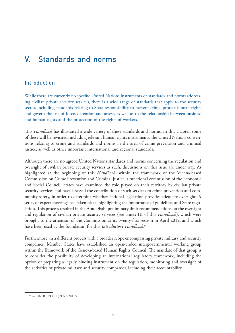# V. Standards and norms

# Introduction

While there are currently no specific United Nations instruments or standards and norms addressing civilian private security services, there is a wide range of standards that apply to the security sector, including standards relating to State responsibility to prevent crime, protect human rights and govern the use of force, detention and arrest, as well as to the relationship between business and human rights and the protection of the rights of workers.

This *Handbook* has illustrated a wide variety of these standards and norms. In this chapter, some of these will be revisited, including relevant human rights instruments, the United Nations conventions relating to crime and standards and norms in the area of crime prevention and criminal justice, as well as other important international and regional standards.

Although there are no agreed United Nations standards and norms concerning the regulation and oversight of civilian private security services as such, discussions on this issue are under way. As highlighted at the beginning of this *Handbook*, within the framework of the Vienna-based Commission on Crime Prevention and Criminal Justice, a functional commission of the Economic and Social Council, States have examined the role played on their territory by civilian private security services and have assessed the contribution of such services to crime prevention and community safety, in order to determine whether national legislation provides adequate oversight. A series of expert meetings has taken place, highlighting the importance of guidelines and State regulation. This process resulted in the Abu Dhabi preliminary draft recommendations on the oversight and regulation of civilian private security services (see annex III of this *Handbook*), which were brought to the attention of the Commission at its twenty-first session in April 2012, and which have been used as the foundation for this *Introductory Handbook*. 86

Furthermore, in a different process with a broader scope encompassing private military and security companies, Member States have established an open-ended intergovernmental working group within the framework of the Geneva-based Human Rights Council. The mandate of that group is to consider the possibility of developing an international regulatory framework, including the option of preparing a legally binding instrument on the regulation, monitoring and oversight of the activities of private military and security companies, including their accountability.

<sup>86</sup> See UNODC/CCPCJ/EG.5/2011/2.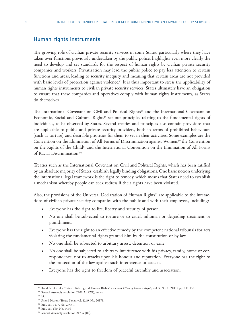# Human rights instruments

The growing role of civilian private security services in some States, particularly where they have taken over functions previously undertaken by the public police, highlights even more clearly the need to develop and set standards for the respect of human rights by civilian private security companies and workers. Privatization may lead the public police to pay less attention to certain functions and areas, leading to security inequity and meaning that certain areas are not provided with basic levels of protection against violence.<sup>87</sup> It is thus important to stress the applicability of human rights instruments to civilian private security services. States ultimately have an obligation to ensure that these companies and operatives comply with human rights instruments, as States do themselves.

The International Covenant on Civil and Political Rights<sup>88</sup> and the International Covenant on Economic, Social and Cultural Rights<sup>89</sup> set out principles relating to the fundamental rights of individuals, to be observed by States. Several treaties and principles also contain provisions that are applicable to public and private security providers, both in terms of prohibited behaviours (such as torture) and desirable priorities for them to set in their activities. Some examples are the Convention on the Elimination of All Forms of Discrimination against Women,<sup>90</sup> the Convention on the Rights of the Child<sup>91</sup> and the International Convention on the Elimination of All Forms of Racial Discrimination.<sup>92</sup>

Treaties such as the International Covenant on Civil and Political Rights, which has been ratified by an absolute majority of States, establish legally binding obligations. One basic notion underlying the international legal framework is the right to remedy, which means that States need to establish a mechanism whereby people can seek redress if their rights have been violated.

Also, the provisions of the Universal Declaration of Human Rights<sup>93</sup> are applicable to the interactions of civilian private security companies with the public and with their employees, including:

- Everyone has the right to life, liberty and security of person.
- No one shall be subjected to torture or to cruel, inhuman or degrading treatment or punishment.
- Everyone has the right to an effective remedy by the competent national tribunals for acts violating the fundamental rights granted him by the constitution or by law.
- No one shall be subjected to arbitrary arrest, detention or exile.
- No one shall be subjected to arbitrary interference with his privacy, family, home or correspondence, nor to attacks upon his honour and reputation. Everyone has the right to the protection of the law against such interference or attacks.
- Everyone has the right to freedom of peaceful assembly and association.

<sup>&</sup>lt;sup>87</sup> David A. Sklansky, "Private Policing and Human Rights," *Law and Ethics of Human Rights,* vol. 5, No. 1 (2011), pp. 111-136.<br><sup>88</sup> General Assembly resolution 2200 A (XXI), annex.

<sup>89</sup> Ibid.

<sup>90</sup> United Nations Treaty Series, vol. 1249, No. 20378.

<sup>91</sup> Ibid., vol. 1577, No. 27531.

<sup>92</sup> Ibid., vol. 660, No. 9464.

<sup>93</sup> General Assembly resolution 217 A (III).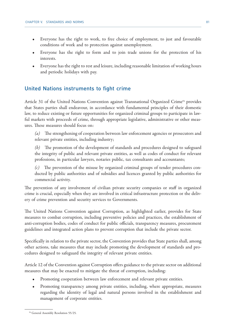- Everyone has the right to work, to free choice of employment, to just and favourable conditions of work and to protection against unemployment.
- Everyone has the right to form and to join trade unions for the protection of his interests.
- Everyone has the right to rest and leisure, including reasonable limitation of working hours and periodic holidays with pay.

# United Nations instruments to fight crime

Article 31 of the United Nations Convention against Transnational Organized Crime<sup>94</sup> provides that States parties shall endeavour, in accordance with fundamental principles of their domestic law, to reduce existing or future opportunities for organized criminal groups to participate in lawful markets with proceeds of crime, through appropriate legislative, administrative or other measures. These measures should focus on:

*(a)* The strengthening of cooperation between law enforcement agencies or prosecutors and relevant private entities, including industry;

*(b)* The promotion of the development of standards and procedures designed to safeguard the integrity of public and relevant private entities, as well as codes of conduct for relevant professions, in particular lawyers, notaries public, tax consultants and accountants;

*(c)* The prevention of the misuse by organized criminal groups of tender procedures conducted by public authorities and of subsidies and licences granted by public authorities for commercial activity.

The prevention of any involvement of civilian private security companies or staff in organized crime is crucial, especially when they are involved in critical infrastructure protection or the delivery of crime prevention and security services to Governments.

The United Nations Convention against Corruption, as highlighted earlier, provides for State measures to combat corruption, including preventive policies and practices, the establishment of anti-corruption bodies, codes of conduct for public officials, transparency measures, procurement guidelines and integrated action plans to prevent corruption that include the private sector.

Specifically in relation to the private sector, the Convention provides that State parties shall, among other actions, take measures that may include promoting the development of standards and procedures designed to safeguard the integrity of relevant private entities.

Article 12 of the Convention against Corruption offers guidance to the private sector on additional measures that may be enacted to mitigate the threat of corruption, including:

- Promoting cooperation between law enforcement and relevant private entities.
- Promoting transparency among private entities, including, where appropriate, measures regarding the identity of legal and natural persons involved in the establishment and management of corporate entities.

<sup>&</sup>lt;sup>94</sup> General Assembly Resolution 55/25.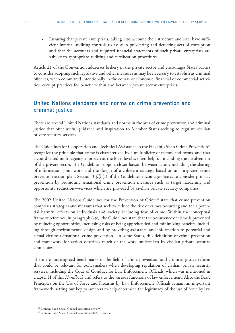Ensuring that private enterprises, taking into account their structure and size, have sufficient internal auditing controls to assist in preventing and detecting acts of corruption and that the accounts and required financial statements of such private enterprises are subject to appropriate auditing and certification procedures.

Article 21 of the Convention addresses bribery in the private sector and encourages States parties to consider adopting such legislative and other measures as may be necessary to establish as criminal offences, when committed intentionally in the course of economic, financial or commercial activities, corrupt practices for benefit within and between private sector enterprises.

# United Nations standards and norms on crime prevention and criminal justice

There are several United Nations standards and norms in the area of crime prevention and criminal justice that offer useful guidance and inspiration to Member States seeking to regulate civilian private security services.

The Guidelines for Cooperation and Technical Assistance in the Field of Urban Crime Prevention<sup>95</sup> recognize the principle that crime is characterized by a multiplicity of factors and forms, and that a coordinated multi-agency approach at the local level is often helpful, including the involvement of the private sector. The Guidelines support closer liaison between actors, including the sharing of information, joint work and the design of a coherent strategy based on an integrated crime prevention action plan. Section 3 *(d)* (i) of the Guidelines encourages States to consider primary prevention by promoting situational crime prevention measures such as target hardening and opportunity reduction—services which are provided by civilian private security companies.

The 2002 United Nations Guidelines for the Prevention of Crime<sup>96</sup> state that crime prevention comprises strategies and measures that seek to reduce the risk of crimes occurring and their potential harmful effects on individuals and society, including fear of crime. Within the conceptual frame of reference, in paragraph 6 *(c)*, the Guidelines state that the occurrence of crime is prevented by reducing opportunities, increasing risks of being apprehended and minimizing benefits, including through environmental design and by providing assistance and information to potential and actual victims (situational crime prevention). In some States, this definition of crime prevention and framework for action describes much of the work undertaken by civilian private security companies.

There are more agreed benchmarks in the field of crime prevention and criminal justice reform that could be relevant for policymakers when developing regulation of civilian private security services, including the Code of Conduct for Law Enforcement Officials, which was mentioned in chapter II of this *Handbook* and refers to the various functions of law enforcement. Also, the Basic Principles on the Use of Force and Firearms by Law Enforcement Officials remain an important framework, setting out key parameters to help determine the legitimacy of the use of force by law

<sup>95</sup> Economic and Social Council resolution 1995/9.

<sup>96</sup> Economic and Social Council resolution 2002/13, annex.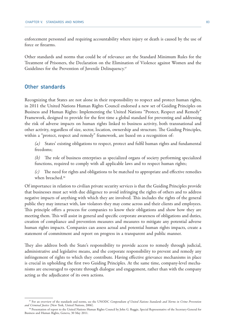enforcement personnel and requiring accountability where injury or death is caused by the use of force or firearms.

Other standards and norms that could be of relevance are the Standard Minimum Rules for the Treatment of Prisoners, the Declaration on the Elimination of Violence against Women and the Guidelines for the Prevention of Juvenile Delinquency.<sup>97</sup>

# Other standards

Recognizing that States are not alone in their responsibility to respect and protect human rights, in 2011 the United Nations Human Rights Council endorsed a new set of Guiding Principles on Business and Human Rights: Implementing the United Nations "Protect, Respect and Remedy" Framework, designed to provide for the first time a global standard for preventing and addressing the risk of adverse impacts on human rights linked to business activity, both transnational and other activity, regardless of size, sector, location, ownership and structure. The Guiding Principles, within a "protect, respect and remedy" framework, are based on a recognition of:

*(a)* States' existing obligations to respect, protect and fulfil human rights and fundamental freedoms;

*(b)* The role of business enterprises as specialized organs of society performing specialized functions, required to comply with all applicable laws and to respect human rights;

*(c)* The need for rights and obligations to be matched to appropriate and effective remedies when breached.98

Of importance in relation to civilian private security services is that the Guiding Principles provide that businesses must act with due diligence to avoid infringing the rights of others and to address negative impacts of anything with which they are involved. This includes the rights of the general public they may interact with, law violators they may come across and their clients and employees. This principle offers a process for companies to know their obligations and show how they are meeting them. This will assist in general and specific corporate awareness of obligations and duties, creation of compliance and prevention measures and measures to mitigate any potential adverse human rights impacts. Companies can assess actual and potential human rights impacts, create a statement of commitment and report on progress in a transparent and public manner.

They also address both the State's responsibility to provide access to remedy through judicial, administrative and legislative means, and the corporate responsibility to prevent and remedy any infringement of rights to which they contribute. Having effective grievance mechanisms in place is crucial in upholding the first two Guiding Principles. At the same time, company-level mechanisms are encouraged to operate through dialogue and engagement, rather than with the company acting as the adjudicator of its own actions.

<sup>97</sup> For an overview of the standards and norms, see the UNODC *Compendium of United Nations Standards and Norms in Crime Prevention and Criminal Justice* (New York, United Nations, 2006).

<sup>98</sup> Presentation of report to the United Nations Human Rights Council by John G. Ruggie, Special Representative of the Secretary-General for Business and Human Rights, Geneva, 30 May 2011.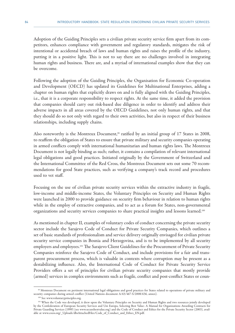Adoption of the Guiding Principles sets a civilian private security service firm apart from its competitors, enhances compliance with government and regulatory standards, mitigates the risk of intentional or accidental breach of laws and human rights and raises the profile of the industry, putting it in a positive light. This is not to say there are no challenges involved in integrating human rights and business. There are, and a myriad of international examples show that they can be overcome.

Following the adoption of the Guiding Principles, the Organisation for Economic Co-operation and Development (OECD) has updated its Guidelines for Multinational Enterprises, adding a chapter on human rights that explicitly draws on and is fully aligned with the Guiding Principles, i.e., that it is a corporate responsibility to respect rights. At the same time, it added the provision that companies should carry out risk-based due diligence in order to identify and address their adverse impacts in all areas covered by the OECD Guidelines, not only human rights, and that they should do so not only with regard to their own activities, but also in respect of their business relationships, including supply chains.

Also noteworthy is the Montreux Document,<sup>99</sup> ratified by an initial group of 17 States in 2008, to reaffirm the obligation of States to ensure that private military and security companies operating in armed conflicts comply with international humanitarian and human rights laws. The Montreux Document is not legally binding as such; rather, it contains a compilation of relevant international legal obligations and good practices. Initiated originally by the Government of Switzerland and the International Committee of the Red Cross, the Montreux Document sets out some 70 recommendations for good State practices, such as verifying a company's track record and procedures used to vet staff.

Focusing on the use of civilian private security services within the extractive industry in fragile, low-income and middle-income States, the Voluntary Principles on Security and Human Rights were launched in 2000 to provide guidance on security firm behaviour in relation to human rights while in the employ of extractive companies, and to act as a forum for States, non-governmental organizations and security services companies to share practical insights and lessons learned.<sup>100</sup>

As mentioned in chapter II, examples of voluntary codes of conduct concerning the private security sector include the Sarajevo Code of Conduct for Private Security Companies, which outlines a set of basic standards of professionalism and service delivery originally envisaged for civilian private security service companies in Bosnia and Herzegovina, and is to be implemented by all security employers and employees.101 The Sarajevo Client Guidelines for the Procurement of Private Security Companies reinforce the Sarajevo Code of Conduct, and include provisions for a fair and transparent procurement process, which is valuable in contexts where corruption may be present as a destabilizing influence. Also, the International Code of Conduct for Private Security Service Providers offers a set of principles for civilian private security companies that mostly provide (armed) services in complex environments such as fragile, conflict and post-conflict States or coun-

<sup>99</sup> Montreux Document on pertinent international legal obligations and good practices for States related to operations of private military and security companies during armed conflict (United Nations document A/63/467-S/2008/636, annex).

<sup>&</sup>lt;sup>100</sup> See www.voluntaryprinciples.org.

<sup>101</sup> When the Code was developed, it drew upon the Voluntary Principles on Security and Human Rights and two resources jointly developed by the Confederation of European Security Services and Uni Europa, Selecting Best Value: A Manual for Organizations Awarding Contracts for Private Guarding Services (1999) (see www.securebestvalue.org) and the Code of Conduct and Ethics for the Private Security Sector (2003), available at www.coess.org/\_Uploads/dbsAttachedFiles/Code\_of\_Conduct\_and\_Ethics\_EN.pdf.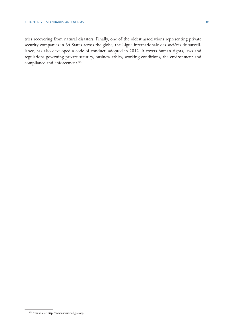tries recovering from natural disasters. Finally, one of the oldest associations representing private security companies in 34 States across the globe, the Ligue internationale des sociétés de surveillance, has also developed a code of conduct, adopted in 2012. It covers human rights, laws and regulations governing private security, business ethics, working conditions, the environment and compliance and enforcement.<sup>102</sup>

<sup>102</sup> Available at http://www.security-ligue.org.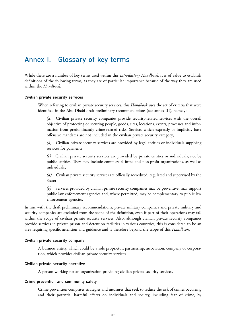# Annex I. Glossary of key terms

While there are a number of key terms used within this *Introductory Handbook*, it is of value to establish definitions of the following terms, as they are of particular importance because of the way they are used within the *Handbook*.

### Civilian private security services

When referring to civilian private security services, this *Handbook* uses the set of criteria that were identified in the Abu Dhabi draft preliminary recommendations (see annex III), namely:

*(a)* Civilian private security companies provide security-related services with the overall objective of protecting or securing people, goods, sites, locations, events, processes and information from predominantly crime-related risks. Services which expressly or implicitly have offensive mandates are not included in the civilian private security category;

*(b)* Civilian private security services are provided by legal entities or individuals supplying services for payment;

*(c)* Civilian private security services are provided by private entities or individuals, not by public entities. They may include commercial firms and non-profit organizations, as well as individuals;

*(d)* Civilian private security services are officially accredited, regulated and supervised by the State;

*(e)* Services provided by civilian private security companies may be preventive, may support public law enforcement agencies and, where permitted, may be complementary to public law enforcement agencies.

In line with the draft preliminary recommendations, private military companies and private military and security companies are excluded from the scope of the definition, even if part of their operations may fall within the scope of civilian private security services. Also, although civilian private security companies provide services in private prison and detention facilities in various countries, this is considered to be an area requiring specific attention and guidance and is therefore beyond the scope of this *Handbook*.

### Civilian private security company

A business entity, which could be a sole proprietor, partnership, association, company or corporation, which provides civilian private security services.

### Civilian private security operative

A person working for an organization providing civilian private security services.

### Crime prevention and community safety

Crime prevention comprises strategies and measures that seek to reduce the risk of crimes occurring and their potential harmful effects on individuals and society, including fear of crime, by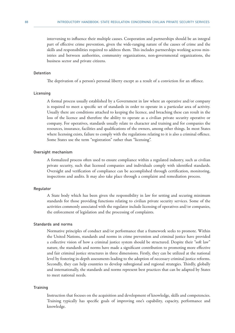intervening to influence their multiple causes. Cooperation and partnerships should be an integral part of effective crime prevention, given the wide-ranging nature of the causes of crime and the skills and responsibilities required to address them. This includes partnerships working across ministries and between authorities, community organizations, non-governmental organizations, the business sector and private citizens.

### Detention

The deprivation of a person's personal liberty except as a result of a conviction for an offence.

### Licensing

A formal process usually established by a Government in law where an operative and/or company is required to meet a specific set of standards in order to operate in a particular area of activity. Usually there are conditions attached to keeping the licence, and breaching these can result in the loss of the licence and therefore the ability to operate as a civilian private security operative or company. For operatives, standards usually relate to character and training and for companies the resources, insurance, facilities and qualifications of the owners, among other things. In most States where licensing exists, failure to comply with the regulations relating to it is also a criminal offence. Some States use the term "registration" rather than "licensing".

#### Oversight mechanism

A formalized process often used to ensure compliance within a regulated industry, such as civilian private security, such that licensed companies and individuals comply with identified standards. Oversight and verification of compliance can be accomplished through certification, monitoring, inspections and audits. It may also take place through a complaint and remediation process.

#### Regulator

A State body which has been given the responsibility in law for setting and securing minimum standards for those providing functions relating to civilian private security services. Some of the activities commonly associated with the regulator include licensing of operatives and/or companies, the enforcement of legislation and the processing of complaints.

### Standards and norms

Normative principles of conduct and/or performance that a framework seeks to promote. Within the United Nations, standards and norms in crime prevention and criminal justice have provided a collective vision of how a criminal justice system should be structured. Despite their "soft law" nature, the standards and norms have made a significant contribution to promoting more effective and fair criminal justice structures in three dimensions. Firstly, they can be utilized at the national level by fostering in-depth assessments leading to the adoption of necessary criminal justice reforms. Secondly, they can help countries to develop subregional and regional strategies. Thirdly, globally and internationally, the standards and norms represent best practices that can be adapted by States to meet national needs.

### **Training**

Instruction that focuses on the acquisition and development of knowledge, skills and competencies. Training typically has specific goals of improving one's capability, capacity, performance and knowledge.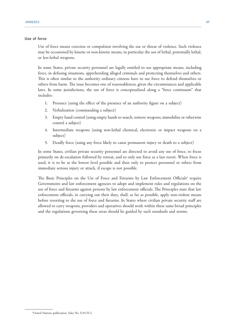### Use of force

Use of force means coercion or compulsion involving the use or threat of violence. Such violence may be occasioned by kinetic or non-kinetic means, in particular the use of lethal, potentially lethal, or less-lethal weapons.

In some States, private security personnel are legally entitled to use appropriate means, including force, in defusing situations, apprehending alleged criminals and protecting themselves and others. This is often similar to the authority ordinary citizens have to use force to defend themselves or others from harm. The issue becomes one of reasonableness, given the circumstances and applicable laws. In some jurisdictions, the use of force is conceptualized along a "force continuum" that includes:

- 1. Presence (using the effect of the presence of an authority figure on a subject)
- 2. Verbalization (commanding a subject)
- 3. Empty hand control (using empty hands to search, remove weapons, immobilize or otherwise control a subject)
- 4. Intermediate weapons (using non-lethal chemical, electronic or impact weapons on a subject)
- 5. Deadly force (using any force likely to cause permanent injury or death to a subject)

In some States, civilian private security personnel are directed to avoid any use of force, to focus primarily on de-escalation followed by retreat, and to only use force as a last resort. When force is used, it is to be at the lowest level possible and then only to protect personnel or others from immediate serious injury or attack, if escape is not possible.

The Basic Principles on the Use of Force and Firearms by Law Enforcement Officials<sup>a</sup> require Governments and law enforcement agencies to adopt and implement rules and regulations on the use of force and firearms against persons by law enforcement officials. The Principles state that law enforcement officials, in carrying out their duty, shall, as far as possible, apply non-violent means before resorting to the use of force and firearms. In States where civilian private security staff are allowed to carry weapons, providers and operatives should work within these same broad principles and the regulations governing these areas should be guided by such standards and norms.

<sup>&</sup>lt;?>*a* United Nations publication, Sales No. E.91.IV.2.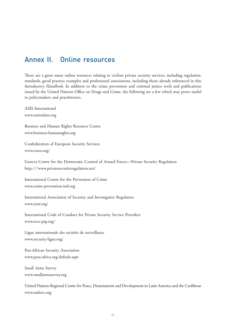# Annex II. Online resources

There are a great many online resources relating to civilian private security services, including regulation, standards, good practice examples and professional associations, including those already referenced in this *Introductory Handbook*. In addition to the crime prevention and criminal justice tools and publications issued by the United Nations Office on Drugs and Crime, the following are a few which may prove useful to policymakers and practitioners.

ASIS International www.asisonline.org

Business and Human Rights Resource Centre www.business-humanrights.org

Confederation of European Security Services www.coess.org/

Geneva Centre for the Democratic Control of Armed Forces—Private Security Regulation http:///www.privatesecurityregulation.net/

International Centre for the Prevention of Crime www.crime-prevention-intl.org

International Association of Security and Investigative Regulators www.iasir.org/

International Code of Conduct for Private Security Service Providers www.icoc-psp.org/

Ligue internationale des sociétés de surveillance www.security-ligue.org/

Pan-African Security Association www.pasa-africa.org/default.aspx

Small Arms Survey www.smallarmssurvey.org

United Nations Regional Centre for Peace, Disarmament and Development in Latin America and the Caribbean www.unlirec.org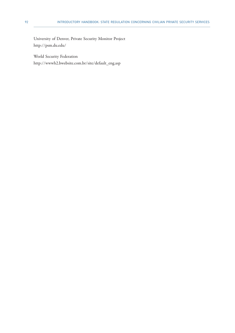University of Denver, Private Security Monitor Project http://psm.du.edu/

World Security Federation http://wwwh2.bwebsite.com.br/site/default\_eng.asp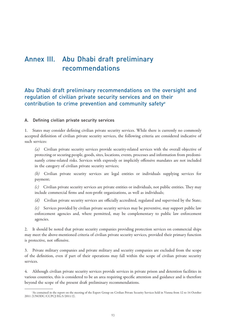# Annex III. Abu Dhabi draft preliminary recommendations

# Abu Dhabi draft preliminary recommendations on the oversight and regulation of civilian private security services and on their contribution to crime prevention and community safety<sup>a</sup>

## A. Defining civilian private security services

1. States may consider defining civilian private security services. While there is currently no commonly accepted definition of civilian private security services, the following criteria are considered indicative of such services:

*(a)* Civilian private security services provide security-related services with the overall objective of protecting or securing people, goods, sites, locations, events, processes and information from predominantly crime-related risks. Services with expressly or implicitly offensive mandates are not included in the category of civilian private security services;

*(b)* Civilian private security services are legal entities or individuals supplying services for payment;

*(c)* Civilian private security services are private entities or individuals, not public entities. They may include commercial firms and non-profit organizations, as well as individuals;

*(d)* Civilian private security services are officially accredited, regulated and supervised by the State;

*(e)* Services provided by civilian private security services may be preventive, may support public law enforcement agencies and, where permitted, may be complementary to public law enforcement agencies.

2. It should be noted that private security companies providing protection services on commercial ships may meet the above-mentioned criteria of civilian private security services, provided their primary function is protective, not offensive.

3. Private military companies and private military and security companies are excluded from the scope of the definition, even if part of their operations may fall within the scope of civilian private security services.

4. Although civilian private security services provide services in private prison and detention facilities in various countries, this is considered to be an area requiring specific attention and guidance and is therefore beyond the scope of the present draft preliminary recommendations.

<sup>&</sup>lt;sup>4</sup>As contained in the report on the meeting of the Expert Group on Civilian Private Security Services held in Vienna from 12 to 14 October 2011 (UNODC/CCPCJ/EG.5/2011/2).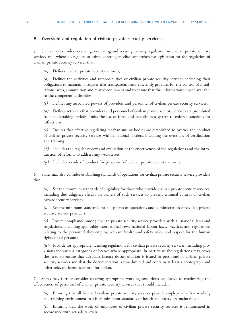### B. Oversight and regulation of civilian private security services

5. States may consider reviewing, evaluating and revising existing regulation on civilian private security services and, where no regulation exists, enacting specific comprehensive legislation for the regulation of civilian private security services that:

*(a)* Defines civilian private security services;

*(b)* Defines the activities and responsibilities of civilian private security services, including their obligations to maintain a register that transparently and efficiently provides for the control of installations, arms, ammunition and related equipment and to ensure that this information is made available to the competent authorities;

*(c)* Defines any associated powers of providers and personnel of civilian private security services;

*(d)* Defines activities that providers and personnel of civilian private security services are prohibited from undertaking, strictly limits the use of force and establishes a system to enforce sanctions for infractions;

*(e)* Ensures that effective regulating mechanisms or bodies are established to oversee the conduct of civilian private security services within national borders, including the oversight of certification and training;

*(f)* Includes the regular review and evaluation of the effectiveness of the regulations and the introduction of reforms to address any weaknesses;

*(g)* Includes a code of conduct for personnel of civilian private security services.

6. States may also consider establishing standards of operations for civilian private security service providers that:

*(a)* Set the minimum standards of eligibility for those who provide civilian private security services, including due diligence checks on owners of such services to prevent criminal control of civilian private security services;

*(b)* Set the minimum standards for all spheres of operations and administration of civilian private security service providers;

*(c)* Ensure compliance among civilian private security service providers with all national laws and regulations, including applicable international laws, national labour laws, practices and regulations relating to the personnel they employ, relevant health and safety rules, and respect for the human rights of all persons;

*(d)* Provide for appropriate licensing regulations for civilian private security services, including provisions for various categories of licence where appropriate. In particular, the regulations may cover the need to ensure that adequate licence documentation is issued to personnel of civilian private security services and that the documentation is time-limited and contains at least a photograph and other relevant identification information.

7. States may further consider ensuring appropriate working conditions conducive to maximizing the effectiveness of personnel of civilian private security services that should include:

*(a)* Ensuring that all licensed civilian private security services provide employees with a working and training environment in which minimum standards of health and safety are maintained;

*(b)* Ensuring that the work of employees of civilian private security services is remunerated in accordance with set salary levels.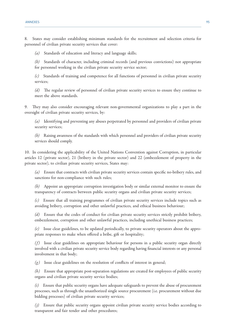8. States may consider establishing minimum standards for the recruitment and selection criteria for personnel of civilian private security services that cover:

*(a)* Standards of education and literacy and language skills;

*(b)* Standards of character, including criminal records (and previous convictions) not appropriate for personnel working in the civilian private security service sector;

*(c)* Standards of training and competence for all functions of personnel in civilian private security services;

*(d)* The regular review of personnel of civilian private security services to ensure they continue to meet the above standards.

9. They may also consider encouraging relevant non-governmental organizations to play a part in the oversight of civilian private security services, by:

*(a)* Identifying and preventing any abuses perpetrated by personnel and providers of civilian private security services;

*(b)* Raising awareness of the standards with which personnel and providers of civilian private security services should comply.

10. In considering the applicability of the United Nations Convention against Corruption, in particular articles 12 (private sector), 21 (bribery in the private sector) and 22 (embezzlement of property in the private sector), to civilian private security services, States may:

*(a)* Ensure that contracts with civilian private security services contain specific no-bribery rules, and sanctions for non-compliance with such rules;

*(b)* Appoint an appropriate corruption investigation body or similar external monitor to ensure the transparency of contracts between public security organs and civilian private security services;

*(c)* Ensure that all training programmes of civilian private security services include topics such as avoiding bribery, corruption and other unlawful practices, and ethical business behaviour;

*(d)* Ensure that the codes of conduct for civilian private security services strictly prohibit bribery, embezzlement, corruption and other unlawful practices, including unethical business practices;

*(e)* Issue clear guidelines, to be updated periodically, to private security operators about the appropriate responses to make when offered a bribe, gift or hospitality;

*( f)* Issue clear guidelines on appropriate behaviour for persons in a public security organ directly involved with a civilian private security service body regarding having financial interests or any personal involvement in that body;

*(g)* Issue clear guidelines on the resolution of conflicts of interest in general;

*(h)* Ensure that appropriate post-separation regulations are created for employees of public security organs and civilian private security service bodies;

*(i)* Ensure that public security organs have adequate safeguards to prevent the abuse of procurement processes, such as through the unauthorized single source procurement (i.e. procurement without due bidding processes) of civilian private security services;

*(j)* Ensure that public security organs appoint civilian private security service bodies according to transparent and fair tender and other procedures;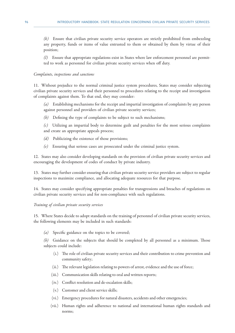*(k)* Ensure that civilian private security service operators are strictly prohibited from embezzling any property, funds or items of value entrusted to them or obtained by them by virtue of their position;

*(l)* Ensure that appropriate regulations exist in States where law enforcement personnel are permitted to work as personnel for civilian private security services when off duty.

### *Complaints, inspections and sanctions*

11. Without prejudice to the normal criminal justice system procedures, States may consider subjecting civilian private security services and their personnel to procedures relating to the receipt and investigation of complaints against them. To that end, they may consider:

*(a)* Establishing mechanisms for the receipt and impartial investigation of complaints by any person against personnel and providers of civilian private security services;

*(b)* Defining the type of complaints to be subject to such mechanisms;

*(c)* Utilizing an impartial body to determine guilt and penalties for the most serious complaints and create an appropriate appeals process;

- *(d)* Publicizing the existence of those provisions;
- *(e)* Ensuring that serious cases are prosecuted under the criminal justice system.

12. States may also consider developing standards on the provision of civilian private security services and encouraging the development of codes of conduct by private industry.

13. States may further consider ensuring that civilian private security service providers are subject to regular inspections to maximize compliance, and allocating adequate resources for that purpose.

14. States may consider specifying appropriate penalties for transgressions and breaches of regulations on civilian private security services and for non-compliance with such regulations.

### *Training of civilian private security services*

15. Where States decide to adopt standards on the training of personnel of civilian private security services, the following elements may be included in such standards:

*(a)* Specific guidance on the topics to be covered;

*(b)* Guidance on the subjects that should be completed by all personnel as a minimum. Those subjects could include:

- (i.) The role of civilian private security services and their contribution to crime prevention and community safety;
- (ii.) The relevant legislation relating to powers of arrest, evidence and the use of force;
- (iii.) Communication skills relating to oral and written reports;
- (iv.) Conflict resolution and de-escalation skills;
- (v.) Customer and client service skills;
- (vi.) Emergency procedures for natural disasters, accidents and other emergencies;
- (vii.) Human rights and adherence to national and international human rights standards and norms;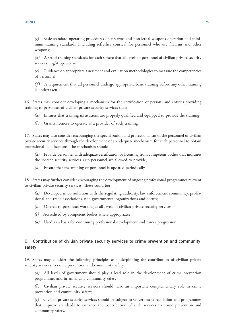*(c)* Basic standard operating procedures on firearms and non-lethal weapons operation and minimum training standards (including refresher courses) for personnel who use firearms and other weapons;

*(d)* A set of training standards for each sphere that all levels of personnel of civilian private security services might operate in;

*(e)* Guidance on appropriate assessment and evaluation methodologies to measure the competencies of personnel;

*( f )* A requirement that all personnel undergo appropriate basic training before any other training is undertaken.

16. States may consider developing a mechanism for the certification of persons and entities providing training to personnel of civilian private security services that:

*(a)* Ensures that training institutions are properly qualified and equipped to provide the training;

*(b)* Grants licences to operate as a provider of such training.

17. States may also consider encouraging the specialization and professionalism of the personnel of civilian private security services through the development of an adequate mechanism for such personnel to obtain professional qualifications. The mechanism should:

*(a)* Provide personnel with adequate certification or licensing from competent bodies that indicates the specific security services such personnel are allowed to provide;

*(b)* Ensure that the training of personnel is updated periodically.

18. States may further consider encouraging the development of ongoing professional programmes relevant to civilian private security services. These could be:

*(a)* Developed in consultation with the regulating authority, law enforcement community, professional and trade associations, non-governmental organizations and clients;

- *(b)* Offered to personnel working at all levels of civilian private security services;
- *(c)* Accredited by competent bodies where appropriate;
- *(d)* Used as a basis for continuing professional development and career progression.

# C. Contribution of civilian private security services to crime prevention and community safety

19. States may consider the following principles as underpinning the contribution of civilian private security services to crime prevention and community safety:

*(a)* All levels of government should play a lead role in the development of crime prevention programmes and in enhancing community safety;

*(b)* Civilian private security services should have an important complementary role in crime prevention and community safety;

*(c)* Civilian private security services should be subject to Government regulation and programmes that improve standards to enhance the contribution of such services to crime prevention and community safety.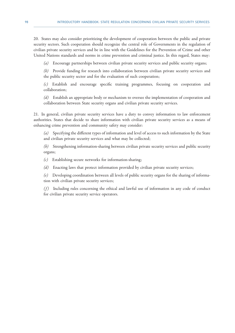20. States may also consider prioritizing the development of cooperation between the public and private security sectors. Such cooperation should recognize the central role of Governments in the regulation of civilian private security services and be in line with the Guidelines for the Prevention of Crime and other United Nations standards and norms in crime prevention and criminal justice. In this regard, States may:

*(a)* Encourage partnerships between civilian private security services and public security organs;

*(b)* Provide funding for research into collaboration between civilian private security services and the public security sector and for the evaluation of such cooperation;

*(c)* Establish and encourage specific training programmes, focusing on cooperation and collaboration;

*(d)* Establish an appropriate body or mechanism to oversee the implementation of cooperation and collaboration between State security organs and civilian private security services.

21. In general, civilian private security services have a duty to convey information to law enforcement authorities. States that decide to share information with civilian private security services as a means of enhancing crime prevention and community safety may consider:

*(a)* Specifying the different types of information and level of access to such information by the State and civilian private security services and what may be collected;

*(b)* Strengthening information-sharing between civilian private security services and public security organs;

*(c)* Establishing secure networks for information-sharing;

*(d)* Enacting laws that protect information provided by civilian private security services;

*(e)* Developing coordination between all levels of public security organs for the sharing of information with civilian private security services;

*(f)* Including rules concerning the ethical and lawful use of information in any code of conduct for civilian private security service operators.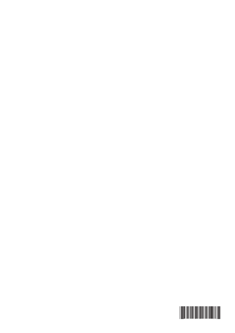